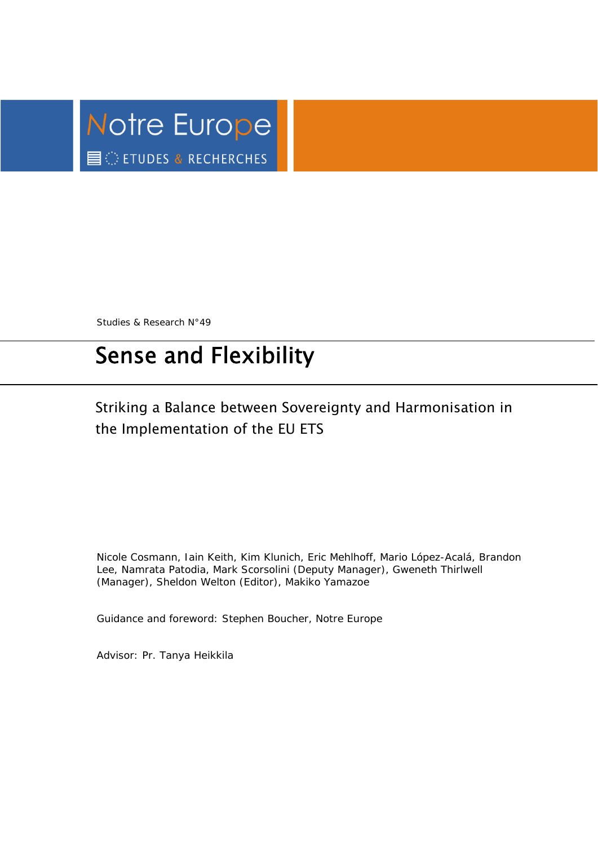

Studies & Research N°49

# Sense and Flexibility

## Striking a Balance between Sovereignty and Harmonisation in the Implementation of the EU ETS

Nicole Cosmann, Iain Keith, Kim Klunich, Eric Mehlhoff, Mario López-Acalá, Brandon Lee, Namrata Patodia, Mark Scorsolini (Deputy Manager), Gweneth Thirlwell (Manager), Sheldon Welton (Editor), Makiko Yamazoe

Guidance and foreword: Stephen Boucher, *Notre Europe* 

Advisor: Pr. Tanya Heikkila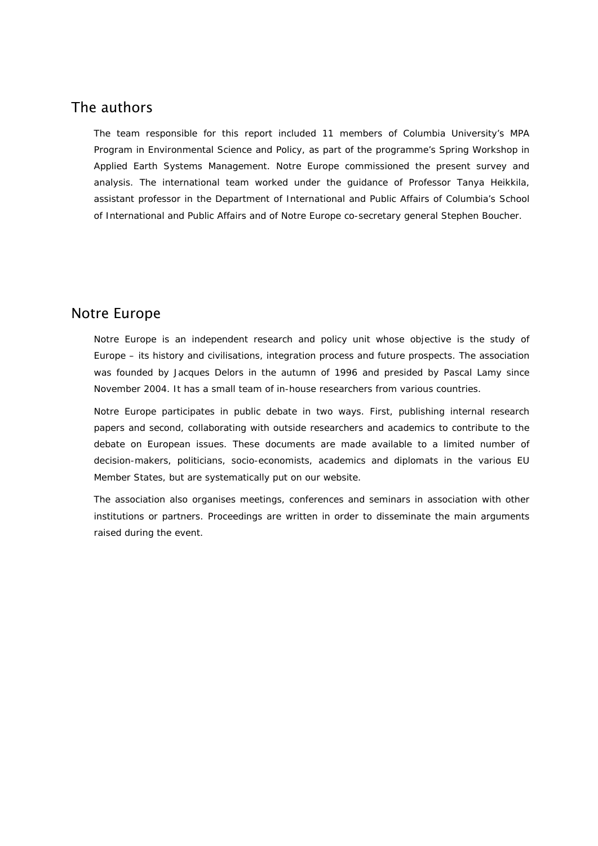### The authors

The team responsible for this report included 11 members of Columbia University's MPA Program in Environmental Science and Policy, as part of the programme's Spring Workshop in Applied Earth Systems Management. *Notre Europe* commissioned the present survey and analysis. The international team worked under the guidance of Professor Tanya Heikkila, assistant professor in the Department of International and Public Affairs of Columbia's School of International and Public Affairs and of *Notre Europe* co-secretary general Stephen Boucher.

### Notre Europe

*Notre Europe* is an independent research and policy unit whose objective is the study of Europe – its history and civilisations, integration process and future prospects. The association was founded by Jacques Delors in the autumn of 1996 and presided by Pascal Lamy since November 2004. It has a small team of in-house researchers from various countries.

*Notre Europe* participates in public debate in two ways. First, publishing internal research papers and second, collaborating with outside researchers and academics to contribute to the debate on European issues. These documents are made available to a limited number of decision-makers, politicians, socio-economists, academics and diplomats in the various EU Member States, but are systematically put on our website.

The association also organises meetings, conferences and seminars in association with other institutions or partners. Proceedings are written in order to disseminate the main arguments raised during the event.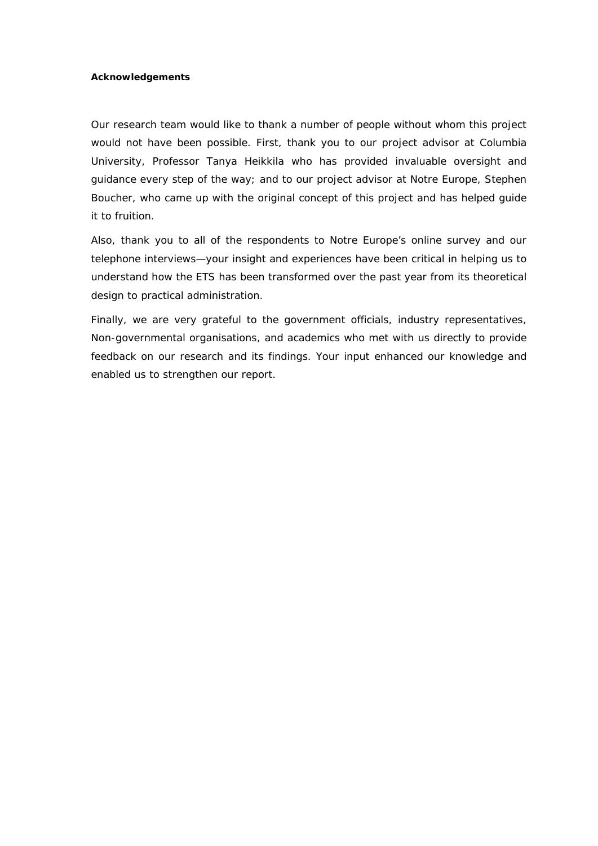### **Acknowledgements**

Our research team would like to thank a number of people without whom this project would not have been possible. First, thank you to our project advisor at Columbia University, Professor Tanya Heikkila who has provided invaluable oversight and guidance every step of the way; and to our project advisor at *Notre Europe*, Stephen Boucher, who came up with the original concept of this project and has helped guide it to fruition.

Also, thank you to all of the respondents to *Notre Europe*'s online survey and our telephone interviews—your insight and experiences have been critical in helping us to understand how the ETS has been transformed over the past year from its theoretical design to practical administration.

Finally, we are very grateful to the government officials, industry representatives, Non-governmental organisations, and academics who met with us directly to provide feedback on our research and its findings. Your input enhanced our knowledge and enabled us to strengthen our report.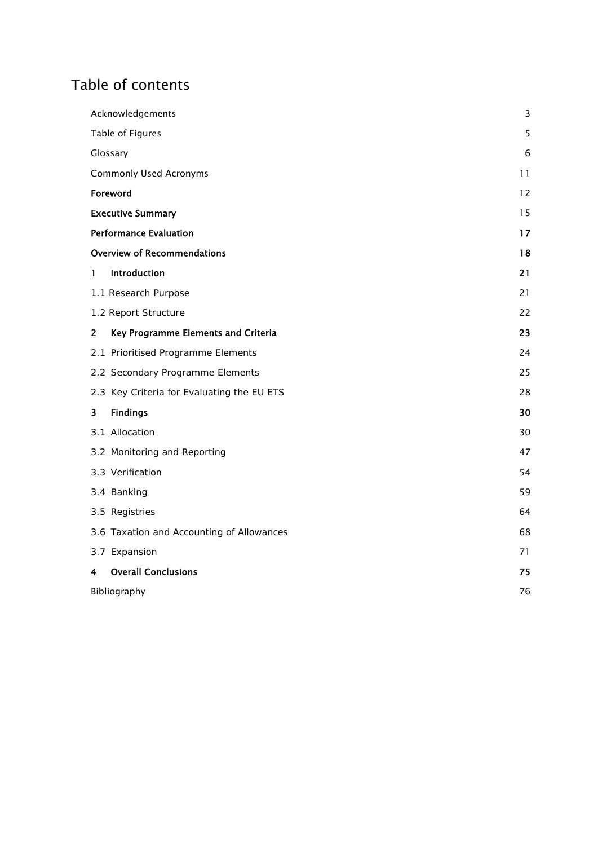## Table of contents

|                | Acknowledgements                           |    |
|----------------|--------------------------------------------|----|
|                | Table of Figures                           | 5  |
|                | Glossary                                   | 6  |
|                | <b>Commonly Used Acronyms</b>              |    |
|                | Foreword                                   | 12 |
|                | <b>Executive Summary</b>                   | 15 |
|                | <b>Performance Evaluation</b>              | 17 |
|                | <b>Overview of Recommendations</b>         | 18 |
| 1              | Introduction                               | 21 |
|                | 1.1 Research Purpose                       | 21 |
|                | 1.2 Report Structure                       | 22 |
| $\overline{2}$ | Key Programme Elements and Criteria        | 23 |
|                | 2.1 Prioritised Programme Elements         | 24 |
|                | 2.2 Secondary Programme Elements           | 25 |
|                | 2.3 Key Criteria for Evaluating the EU ETS | 28 |
| 3              | <b>Findings</b>                            | 30 |
|                | 3.1 Allocation                             | 30 |
|                | 3.2 Monitoring and Reporting               | 47 |
|                | 3.3 Verification                           | 54 |
|                | 3.4 Banking                                | 59 |
|                | 3.5 Registries                             | 64 |
|                | 3.6 Taxation and Accounting of Allowances  | 68 |
|                | 3.7 Expansion                              | 71 |
| 4              | <b>Overall Conclusions</b>                 | 75 |
| Bibliography   |                                            | 76 |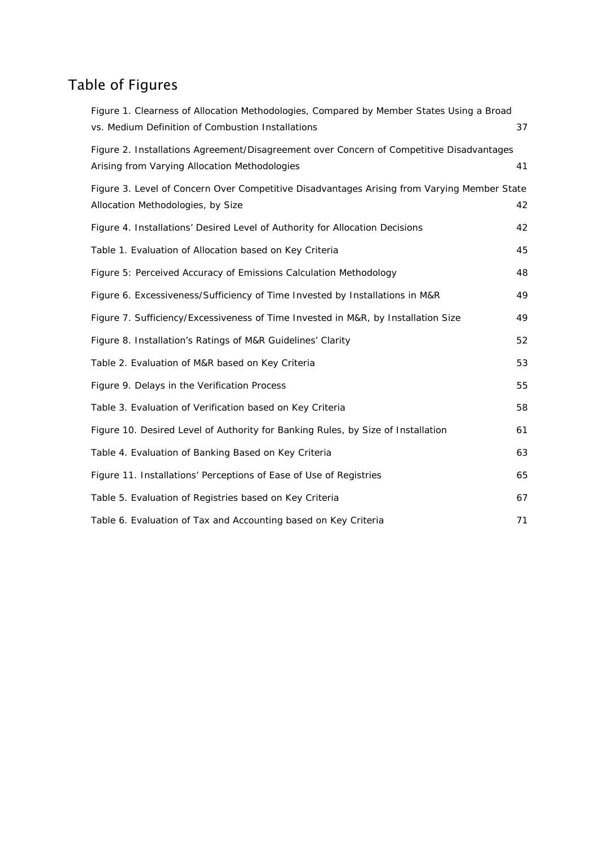## Table of Figures

| Figure 1. Clearness of Allocation Methodologies, Compared by Member States Using a Broad                                                  |    |
|-------------------------------------------------------------------------------------------------------------------------------------------|----|
| vs. Medium Definition of Combustion Installations                                                                                         | 37 |
| Figure 2. Installations Agreement/Disagreement over Concern of Competitive Disadvantages<br>Arising from Varying Allocation Methodologies | 41 |
| Figure 3. Level of Concern Over Competitive Disadvantages Arising from Varying Member State<br>Allocation Methodologies, by Size          | 42 |
| Figure 4. Installations' Desired Level of Authority for Allocation Decisions                                                              | 42 |
| Table 1. Evaluation of Allocation based on Key Criteria                                                                                   | 45 |
| Figure 5: Perceived Accuracy of Emissions Calculation Methodology                                                                         | 48 |
| Figure 6. Excessiveness/Sufficiency of Time Invested by Installations in M&R                                                              | 49 |
| Figure 7. Sufficiency/Excessiveness of Time Invested in M&R, by Installation Size                                                         | 49 |
| Figure 8. Installation's Ratings of M&R Guidelines' Clarity                                                                               | 52 |
| Table 2. Evaluation of M&R based on Key Criteria                                                                                          | 53 |
| Figure 9. Delays in the Verification Process                                                                                              | 55 |
| Table 3. Evaluation of Verification based on Key Criteria                                                                                 | 58 |
| Figure 10. Desired Level of Authority for Banking Rules, by Size of Installation                                                          | 61 |
| Table 4. Evaluation of Banking Based on Key Criteria                                                                                      | 63 |
| Figure 11. Installations' Perceptions of Ease of Use of Registries                                                                        | 65 |
| Table 5. Evaluation of Registries based on Key Criteria                                                                                   | 67 |
| Table 6. Evaluation of Tax and Accounting based on Key Criteria                                                                           | 71 |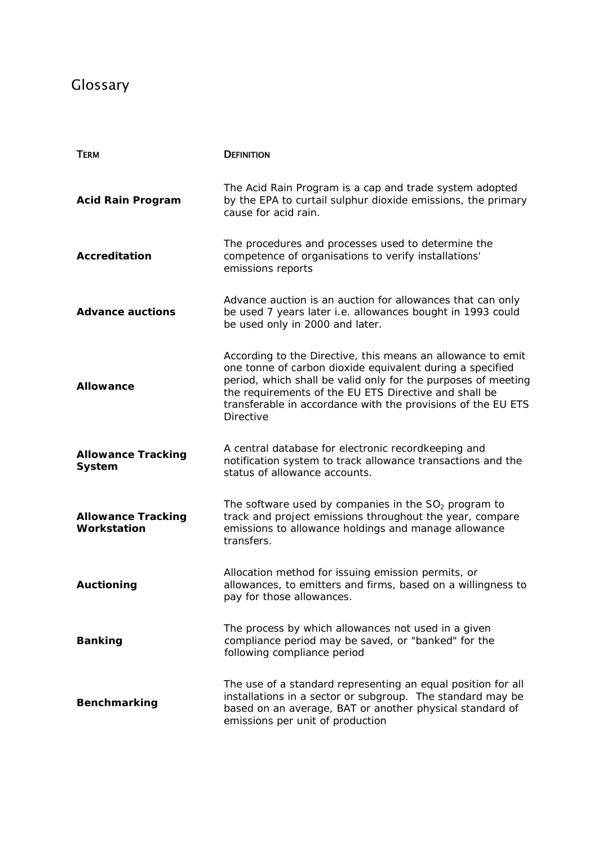## Glossary

| <b>TERM</b>                              | <b>DEFINITION</b>                                                                                                                                                                                                                                                                                                                      |
|------------------------------------------|----------------------------------------------------------------------------------------------------------------------------------------------------------------------------------------------------------------------------------------------------------------------------------------------------------------------------------------|
| <b>Acid Rain Program</b>                 | The Acid Rain Program is a cap and trade system adopted<br>by the EPA to curtail sulphur dioxide emissions, the primary<br>cause for acid rain.                                                                                                                                                                                        |
| <b>Accreditation</b>                     | The procedures and processes used to determine the<br>competence of organisations to verify installations'<br>emissions reports                                                                                                                                                                                                        |
| <b>Advance auctions</b>                  | Advance auction is an auction for allowances that can only<br>be used 7 years later i.e. allowances bought in 1993 could<br>be used only in 2000 and later.                                                                                                                                                                            |
| <b>Allowance</b>                         | According to the Directive, this means an allowance to emit<br>one tonne of carbon dioxide equivalent during a specified<br>period, which shall be valid only for the purposes of meeting<br>the requirements of the EU ETS Directive and shall be<br>transferable in accordance with the provisions of the EU ETS<br><b>Directive</b> |
| <b>Allowance Tracking</b><br>System      | A central database for electronic recordkeeping and<br>notification system to track allowance transactions and the<br>status of allowance accounts.                                                                                                                                                                                    |
| <b>Allowance Tracking</b><br>Workstation | The software used by companies in the $SO2$ program to<br>track and project emissions throughout the year, compare<br>emissions to allowance holdings and manage allowance<br>transfers.                                                                                                                                               |
| <b>Auctioning</b>                        | Allocation method for issuing emission permits, or<br>allowances, to emitters and firms, based on a willingness to<br>pay for those allowances.                                                                                                                                                                                        |
| <b>Banking</b>                           | The process by which allowances not used in a given<br>compliance period may be saved, or "banked" for the<br>following compliance period                                                                                                                                                                                              |
| <b>Benchmarking</b>                      | The use of a standard representing an equal position for all<br>installations in a sector or subgroup. The standard may be<br>based on an average, BAT or another physical standard of<br>emissions per unit of production                                                                                                             |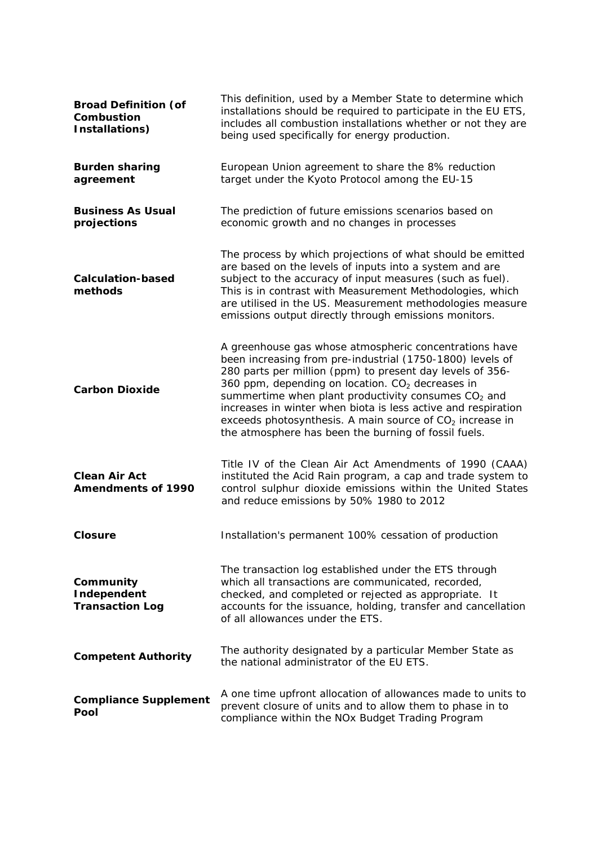| <b>Broad Definition (of</b><br>Combustion<br>Installations) | This definition, used by a Member State to determine which<br>installations should be required to participate in the EU ETS,<br>includes all combustion installations whether or not they are<br>being used specifically for energy production.                                                                                                                                                                                                                                                  |  |  |
|-------------------------------------------------------------|--------------------------------------------------------------------------------------------------------------------------------------------------------------------------------------------------------------------------------------------------------------------------------------------------------------------------------------------------------------------------------------------------------------------------------------------------------------------------------------------------|--|--|
| <b>Burden sharing</b><br>agreement                          | European Union agreement to share the 8% reduction<br>target under the Kyoto Protocol among the EU-15                                                                                                                                                                                                                                                                                                                                                                                            |  |  |
| <b>Business As Usual</b><br>projections                     | The prediction of future emissions scenarios based on<br>economic growth and no changes in processes                                                                                                                                                                                                                                                                                                                                                                                             |  |  |
| <b>Calculation-based</b><br>methods                         | The process by which projections of what should be emitted<br>are based on the levels of inputs into a system and are<br>subject to the accuracy of input measures (such as fuel).<br>This is in contrast with Measurement Methodologies, which<br>are utilised in the US. Measurement methodologies measure<br>emissions output directly through emissions monitors.                                                                                                                            |  |  |
| <b>Carbon Dioxide</b>                                       | A greenhouse gas whose atmospheric concentrations have<br>been increasing from pre-industrial (1750-1800) levels of<br>280 parts per million (ppm) to present day levels of 356-<br>360 ppm, depending on location. $CO2$ decreases in<br>summertime when plant productivity consumes CO <sub>2</sub> and<br>increases in winter when biota is less active and respiration<br>exceeds photosynthesis. A main source of $CO2$ increase in<br>the atmosphere has been the burning of fossil fuels. |  |  |
| <b>Clean Air Act</b><br><b>Amendments of 1990</b>           | Title IV of the Clean Air Act Amendments of 1990 (CAAA)<br>instituted the Acid Rain program, a cap and trade system to<br>control sulphur dioxide emissions within the United States<br>and reduce emissions by 50% 1980 to 2012                                                                                                                                                                                                                                                                 |  |  |
| <b>Closure</b>                                              | Installation's permanent 100% cessation of production                                                                                                                                                                                                                                                                                                                                                                                                                                            |  |  |
| Community<br>Independent<br><b>Transaction Log</b>          | The transaction log established under the ETS through<br>which all transactions are communicated, recorded,<br>checked, and completed or rejected as appropriate. It<br>accounts for the issuance, holding, transfer and cancellation<br>of all allowances under the ETS.                                                                                                                                                                                                                        |  |  |
| <b>Competent Authority</b>                                  | The authority designated by a particular Member State as<br>the national administrator of the EU ETS.                                                                                                                                                                                                                                                                                                                                                                                            |  |  |
| <b>Compliance Supplement</b><br>Pool                        | A one time upfront allocation of allowances made to units to<br>prevent closure of units and to allow them to phase in to<br>compliance within the NOx Budget Trading Program                                                                                                                                                                                                                                                                                                                    |  |  |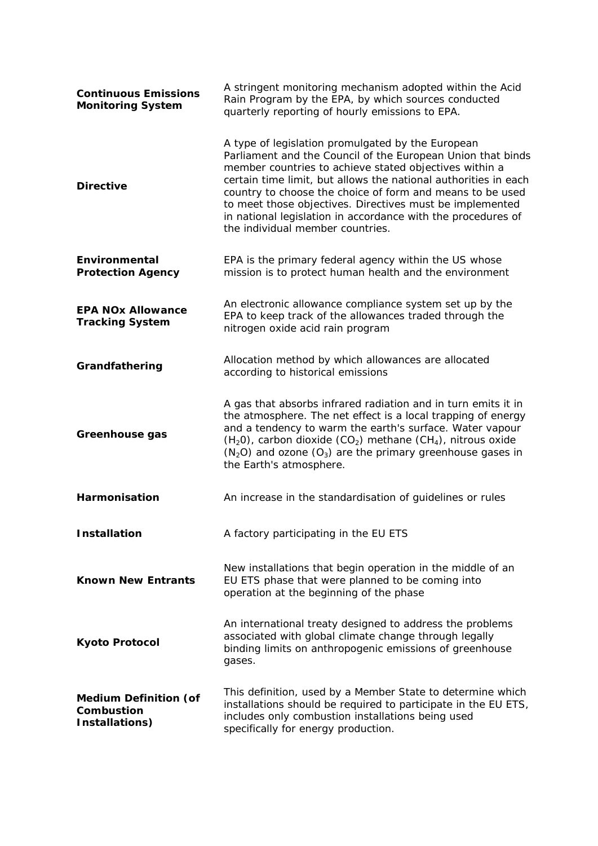| <b>Continuous Emissions</b><br><b>Monitoring System</b>      | A stringent monitoring mechanism adopted within the Acid<br>Rain Program by the EPA, by which sources conducted<br>quarterly reporting of hourly emissions to EPA.                                                                                                                                                                                                                                                                                                         |  |  |
|--------------------------------------------------------------|----------------------------------------------------------------------------------------------------------------------------------------------------------------------------------------------------------------------------------------------------------------------------------------------------------------------------------------------------------------------------------------------------------------------------------------------------------------------------|--|--|
| <b>Directive</b>                                             | A type of legislation promulgated by the European<br>Parliament and the Council of the European Union that binds<br>member countries to achieve stated objectives within a<br>certain time limit, but allows the national authorities in each<br>country to choose the choice of form and means to be used<br>to meet those objectives. Directives must be implemented<br>in national legislation in accordance with the procedures of<br>the individual member countries. |  |  |
| Environmental<br><b>Protection Agency</b>                    | EPA is the primary federal agency within the US whose<br>mission is to protect human health and the environment                                                                                                                                                                                                                                                                                                                                                            |  |  |
| <b>EPA NOx Allowance</b><br><b>Tracking System</b>           | An electronic allowance compliance system set up by the<br>EPA to keep track of the allowances traded through the<br>nitrogen oxide acid rain program                                                                                                                                                                                                                                                                                                                      |  |  |
| Grandfathering                                               | Allocation method by which allowances are allocated<br>according to historical emissions                                                                                                                                                                                                                                                                                                                                                                                   |  |  |
| Greenhouse gas                                               | A gas that absorbs infrared radiation and in turn emits it in<br>the atmosphere. The net effect is a local trapping of energy<br>and a tendency to warm the earth's surface. Water vapour<br>$(H20)$ , carbon dioxide (CO <sub>2</sub> ) methane (CH <sub>4</sub> ), nitrous oxide<br>$(N_2O)$ and ozone $(O_3)$ are the primary greenhouse gases in<br>the Earth's atmosphere.                                                                                            |  |  |
| Harmonisation                                                | An increase in the standardisation of guidelines or rules                                                                                                                                                                                                                                                                                                                                                                                                                  |  |  |
| <b>Installation</b>                                          | A factory participating in the EU ETS                                                                                                                                                                                                                                                                                                                                                                                                                                      |  |  |
| <b>Known New Entrants</b>                                    | New installations that begin operation in the middle of an<br>EU ETS phase that were planned to be coming into<br>operation at the beginning of the phase                                                                                                                                                                                                                                                                                                                  |  |  |
| <b>Kyoto Protocol</b>                                        | An international treaty designed to address the problems<br>associated with global climate change through legally<br>binding limits on anthropogenic emissions of greenhouse<br>gases.                                                                                                                                                                                                                                                                                     |  |  |
| <b>Medium Definition (of</b><br>Combustion<br>Installations) | This definition, used by a Member State to determine which<br>installations should be required to participate in the EU ETS,<br>includes only combustion installations being used<br>specifically for energy production.                                                                                                                                                                                                                                                   |  |  |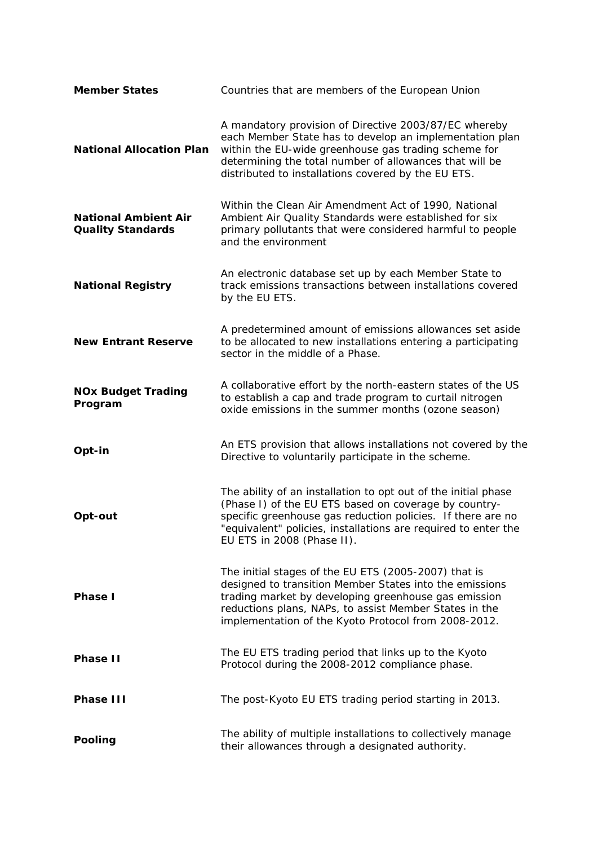| <b>Member States</b>                                    | Countries that are members of the European Union                                                                                                                                                                                                                                           |  |  |
|---------------------------------------------------------|--------------------------------------------------------------------------------------------------------------------------------------------------------------------------------------------------------------------------------------------------------------------------------------------|--|--|
| <b>National Allocation Plan</b>                         | A mandatory provision of Directive 2003/87/EC whereby<br>each Member State has to develop an implementation plan<br>within the EU-wide greenhouse gas trading scheme for<br>determining the total number of allowances that will be<br>distributed to installations covered by the EU ETS. |  |  |
| <b>National Ambient Air</b><br><b>Quality Standards</b> | Within the Clean Air Amendment Act of 1990, National<br>Ambient Air Quality Standards were established for six<br>primary pollutants that were considered harmful to people<br>and the environment                                                                                         |  |  |
| <b>National Registry</b>                                | An electronic database set up by each Member State to<br>track emissions transactions between installations covered<br>by the EU ETS.                                                                                                                                                      |  |  |
| <b>New Entrant Reserve</b>                              | A predetermined amount of emissions allowances set aside<br>to be allocated to new installations entering a participating<br>sector in the middle of a Phase.                                                                                                                              |  |  |
| <b>NOx Budget Trading</b><br>Program                    | A collaborative effort by the north-eastern states of the US<br>to establish a cap and trade program to curtail nitrogen<br>oxide emissions in the summer months (ozone season)                                                                                                            |  |  |
| Opt-in                                                  | An ETS provision that allows installations not covered by the<br>Directive to voluntarily participate in the scheme.                                                                                                                                                                       |  |  |
| Opt-out                                                 | The ability of an installation to opt out of the initial phase<br>(Phase I) of the EU ETS based on coverage by country-<br>specific greenhouse gas reduction policies. If there are no<br>"equivalent" policies, installations are required to enter the<br>EU ETS in 2008 (Phase II).     |  |  |
| Phase I                                                 | The initial stages of the EU ETS (2005-2007) that is<br>designed to transition Member States into the emissions<br>trading market by developing greenhouse gas emission<br>reductions plans, NAPs, to assist Member States in the<br>implementation of the Kyoto Protocol from 2008-2012.  |  |  |
| <b>Phase II</b>                                         | The EU ETS trading period that links up to the Kyoto<br>Protocol during the 2008-2012 compliance phase.                                                                                                                                                                                    |  |  |
| Phase III                                               | The post-Kyoto EU ETS trading period starting in 2013.                                                                                                                                                                                                                                     |  |  |
| Pooling                                                 | The ability of multiple installations to collectively manage<br>their allowances through a designated authority.                                                                                                                                                                           |  |  |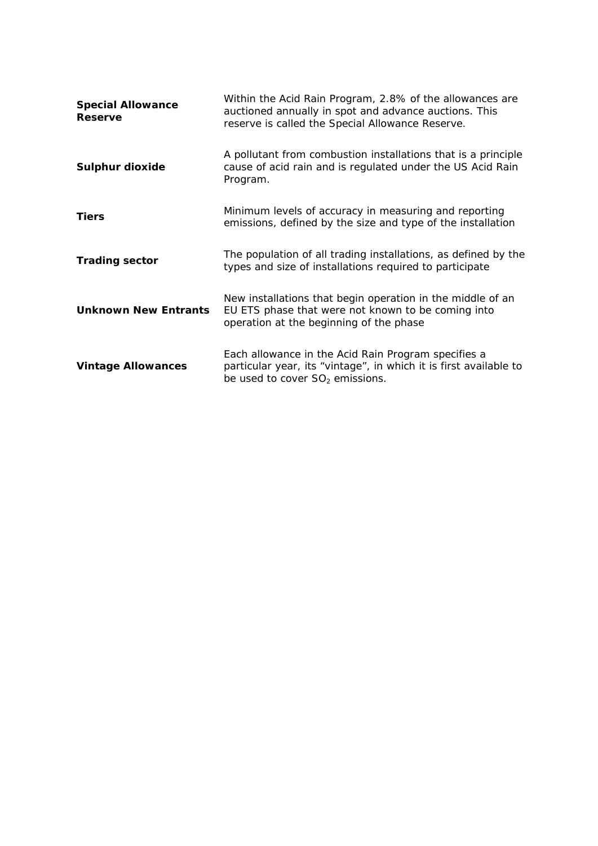| <b>Special Allowance</b><br><b>Reserve</b> | Within the Acid Rain Program, 2.8% of the allowances are<br>auctioned annually in spot and advance auctions. This<br>reserve is called the Special Allowance Reserve. |
|--------------------------------------------|-----------------------------------------------------------------------------------------------------------------------------------------------------------------------|
| Sulphur dioxide                            | A pollutant from combustion installations that is a principle<br>cause of acid rain and is regulated under the US Acid Rain<br>Program.                               |
| <b>Tiers</b>                               | Minimum levels of accuracy in measuring and reporting<br>emissions, defined by the size and type of the installation                                                  |
| <b>Trading sector</b>                      | The population of all trading installations, as defined by the<br>types and size of installations required to participate                                             |
| <b>Unknown New Entrants</b>                | New installations that begin operation in the middle of an<br>EU ETS phase that were not known to be coming into<br>operation at the beginning of the phase           |
| <b>Vintage Allowances</b>                  | Each allowance in the Acid Rain Program specifies a<br>particular year, its "vintage", in which it is first available to<br>be used to cover $SO2$ emissions.         |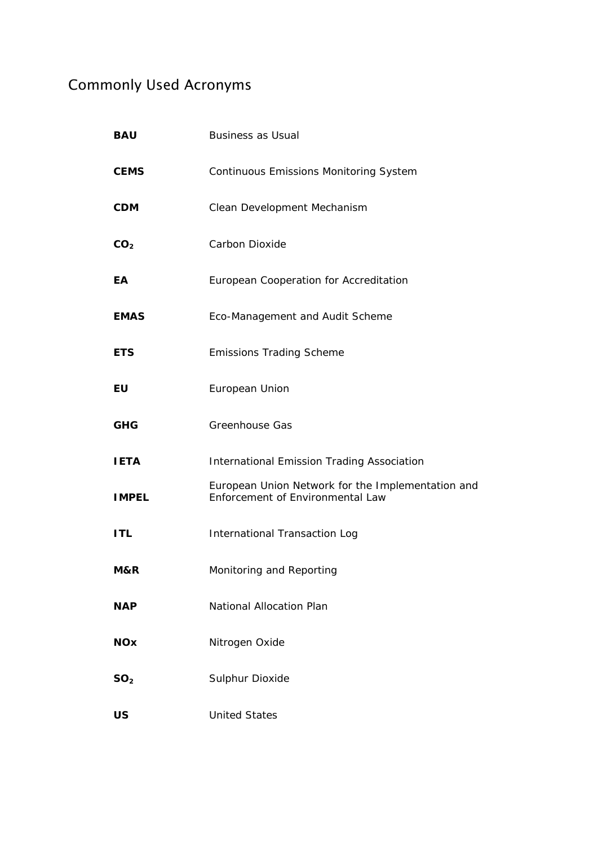## Commonly Used Acronyms

| <b>BAU</b>      | <b>Business as Usual</b>                                                              |
|-----------------|---------------------------------------------------------------------------------------|
| <b>CEMS</b>     | <b>Continuous Emissions Monitoring System</b>                                         |
| <b>CDM</b>      | Clean Development Mechanism                                                           |
| CO <sub>2</sub> | Carbon Dioxide                                                                        |
| EA              | European Cooperation for Accreditation                                                |
| <b>EMAS</b>     | Eco-Management and Audit Scheme                                                       |
| <b>ETS</b>      | <b>Emissions Trading Scheme</b>                                                       |
| EU              | European Union                                                                        |
| <b>GHG</b>      | <b>Greenhouse Gas</b>                                                                 |
| <b>IETA</b>     | International Emission Trading Association                                            |
| <b>IMPEL</b>    | European Union Network for the Implementation and<br>Enforcement of Environmental Law |
| <b>ITL</b>      | <b>International Transaction Log</b>                                                  |
| M&R             | Monitoring and Reporting                                                              |
| <b>NAP</b>      | National Allocation Plan                                                              |
| <b>NOx</b>      | Nitrogen Oxide                                                                        |
| SO <sub>2</sub> | Sulphur Dioxide                                                                       |
| US              | <b>United States</b>                                                                  |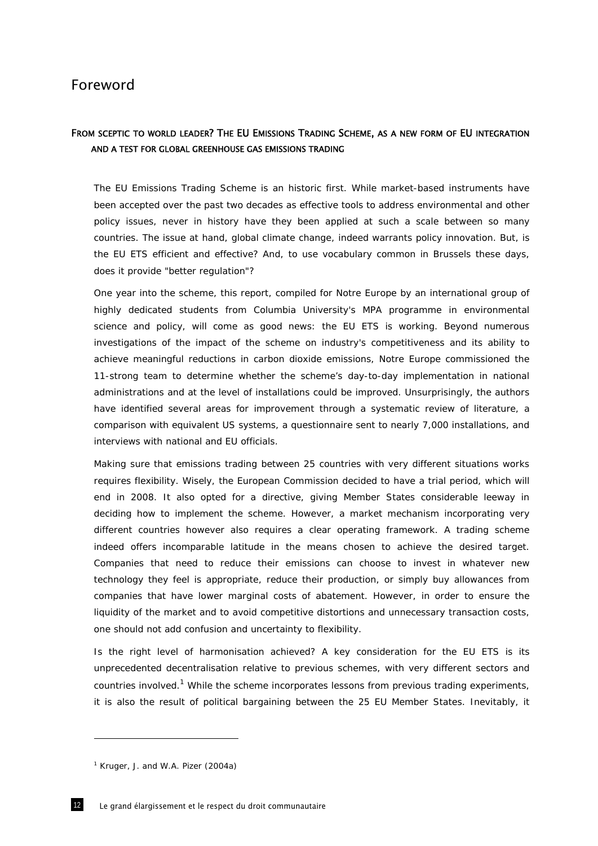### Foreword

### FROM SCEPTIC TO WORLD LEADER? THE EU EMISSIONS TRADING SCHEME, AS A NEW FORM OF EU INTEGRATION AND A TEST FOR GLOBAL GREENHOUSE GAS EMISSIONS TRADING

The EU Emissions Trading Scheme is an historic first. While market-based instruments have been accepted over the past two decades as effective tools to address environmental and other policy issues, never in history have they been applied at such a scale between so many countries. The issue at hand, global climate change, indeed warrants policy innovation. But, is the EU ETS efficient and effective? And, to use vocabulary common in Brussels these days, does it provide "better regulation"?

One year into the scheme, this report, compiled for Notre Europe by an international group of highly dedicated students from Columbia University's MPA programme in environmental science and policy, will come as good news: the EU ETS is working. Beyond numerous investigations of the impact of the scheme on industry's competitiveness and its ability to achieve meaningful reductions in carbon dioxide emissions, Notre Europe commissioned the 11-strong team to determine whether the scheme's day-to-day implementation in national administrations and at the level of installations could be improved. Unsurprisingly, the authors have identified several areas for improvement through a systematic review of literature, a comparison with equivalent US systems, a questionnaire sent to nearly 7,000 installations, and interviews with national and EU officials.

Making sure that emissions trading between 25 countries with very different situations works requires flexibility. Wisely, the European Commission decided to have a trial period, which will end in 2008. It also opted for a directive, giving Member States considerable leeway in deciding how to implement the scheme. However, a market mechanism incorporating very different countries however also requires a clear operating framework. A trading scheme indeed offers incomparable latitude in the means chosen to achieve the desired target. Companies that need to reduce their emissions can choose to invest in whatever new technology they feel is appropriate, reduce their production, or simply buy allowances from companies that have lower marginal costs of abatement. However, in order to ensure the liquidity of the market and to avoid competitive distortions and unnecessary transaction costs, one should not add confusion and uncertainty to flexibility.

Is the right level of harmonisation achieved? A key consideration for the EU ETS is its unprecedented decentralisation relative to previous schemes, with very different sectors and countries involved.<sup>1</sup> While the scheme incorporates lessons from previous trading experiments, it is also the result of political bargaining between the 25 EU Member States. Inevitably, it

 $1$  Kruger, J. and W.A. Pizer (2004a)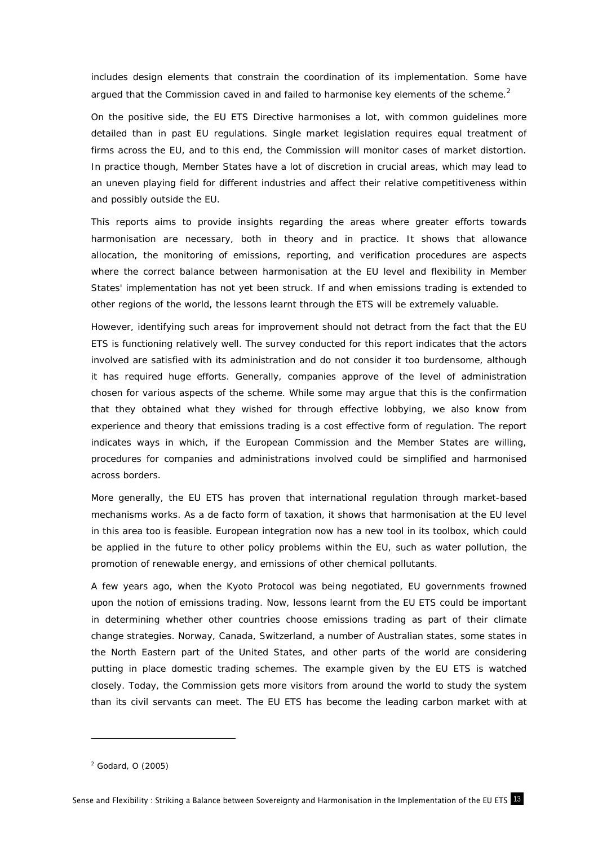includes design elements that constrain the coordination of its implementation. Some have argued that the Commission caved in and failed to harmonise key elements of the scheme.<sup>2</sup>

On the positive side, the EU ETS Directive harmonises a lot, with common guidelines more detailed than in past EU regulations. Single market legislation requires equal treatment of firms across the EU, and to this end, the Commission will monitor cases of market distortion. In practice though, Member States have a lot of discretion in crucial areas, which may lead to an uneven playing field for different industries and affect their relative competitiveness within and possibly outside the EU.

This reports aims to provide insights regarding the areas where greater efforts towards harmonisation are necessary, both in theory and in practice. It shows that allowance allocation, the monitoring of emissions, reporting, and verification procedures are aspects where the correct balance between harmonisation at the EU level and flexibility in Member States' implementation has not yet been struck. If and when emissions trading is extended to other regions of the world, the lessons learnt through the ETS will be extremely valuable.

However, identifying such areas for improvement should not detract from the fact that the EU ETS is functioning relatively well. The survey conducted for this report indicates that the actors involved are satisfied with its administration and do not consider it too burdensome, although it has required huge efforts. Generally, companies approve of the level of administration chosen for various aspects of the scheme. While some may argue that this is the confirmation that they obtained what they wished for through effective lobbying, we also know from experience and theory that emissions trading is a cost effective form of regulation. The report indicates ways in which, if the European Commission and the Member States are willing, procedures for companies and administrations involved could be simplified and harmonised across borders.

More generally, the EU ETS has proven that international regulation through market-based mechanisms works. As a de facto form of taxation, it shows that harmonisation at the EU level in this area too is feasible. European integration now has a new tool in its toolbox, which could be applied in the future to other policy problems within the EU, such as water pollution, the promotion of renewable energy, and emissions of other chemical pollutants.

A few years ago, when the Kyoto Protocol was being negotiated, EU governments frowned upon the notion of emissions trading. Now, lessons learnt from the EU ETS could be important in determining whether other countries choose emissions trading as part of their climate change strategies. Norway, Canada, Switzerland, a number of Australian states, some states in the North Eastern part of the United States, and other parts of the world are considering putting in place domestic trading schemes. The example given by the EU ETS is watched closely. Today, the Commission gets more visitors from around the world to study the system than its civil servants can meet. The EU ETS has become the leading carbon market with at

<sup>2</sup> Godard, O (2005)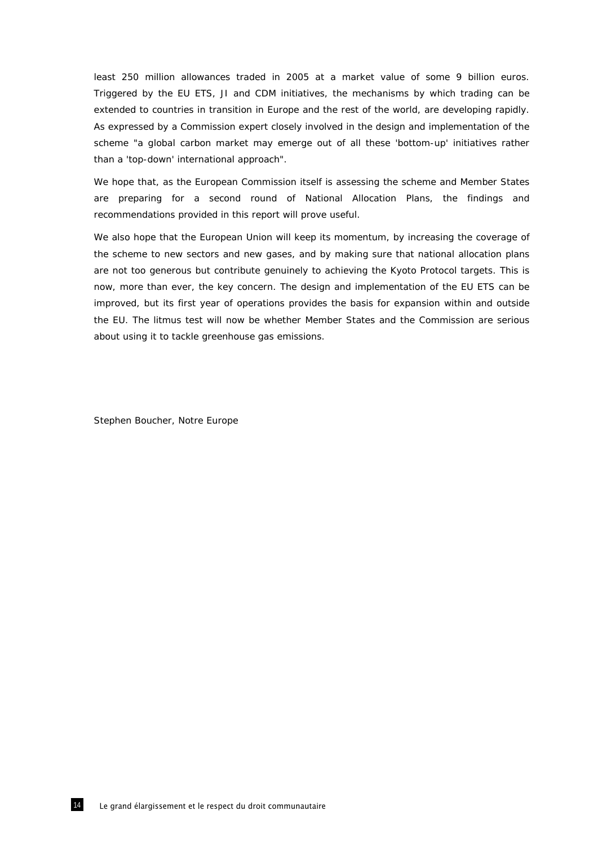least 250 million allowances traded in 2005 at a market value of some 9 billion euros. Triggered by the EU ETS, JI and CDM initiatives, the mechanisms by which trading can be extended to countries in transition in Europe and the rest of the world, are developing rapidly. As expressed by a Commission expert closely involved in the design and implementation of the scheme "a global carbon market may emerge out of all these 'bottom-up' initiatives rather than a 'top-down' international approach".

We hope that, as the European Commission itself is assessing the scheme and Member States are preparing for a second round of National Allocation Plans, the findings and recommendations provided in this report will prove useful.

We also hope that the European Union will keep its momentum, by increasing the coverage of the scheme to new sectors and new gases, and by making sure that national allocation plans are not too generous but contribute genuinely to achieving the Kyoto Protocol targets. This is now, more than ever, the key concern. The design and implementation of the EU ETS can be improved, but its first year of operations provides the basis for expansion within and outside the EU. The litmus test will now be whether Member States and the Commission are serious about using it to tackle greenhouse gas emissions.

Stephen Boucher, *Notre Europe*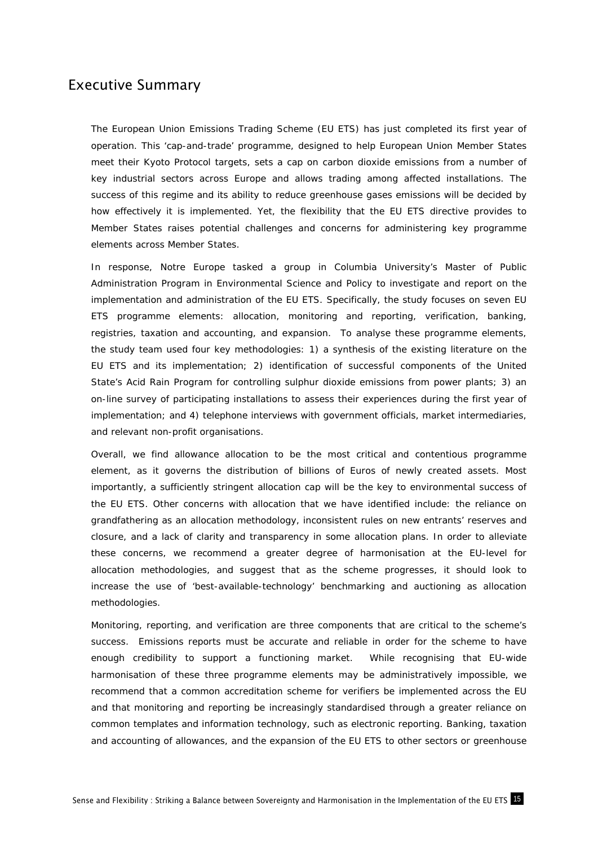### Executive Summary

The European Union Emissions Trading Scheme (EU ETS) has just completed its first year of operation. This 'cap-and-trade' programme, designed to help European Union Member States meet their Kyoto Protocol targets, sets a cap on carbon dioxide emissions from a number of key industrial sectors across Europe and allows trading among affected installations. The success of this regime and its ability to reduce greenhouse gases emissions will be decided by how effectively it is implemented. Yet, the flexibility that the EU ETS directive provides to Member States raises potential challenges and concerns for administering key programme elements across Member States.

In response, *Notre Europe* tasked a group in Columbia University's Master of Public Administration Program in Environmental Science and Policy to investigate and report on the implementation and administration of the EU ETS*.* Specifically, the study focuses on seven EU ETS programme elements: allocation, monitoring and reporting, verification, banking, registries, taxation and accounting, and expansion. To analyse these programme elements, the study team used four key methodologies: 1) a synthesis of the existing literature on the EU ETS and its implementation; 2) identification of successful components of the United State's Acid Rain Program for controlling sulphur dioxide emissions from power plants; 3) an on-line survey of participating installations to assess their experiences during the first year of implementation; and 4) telephone interviews with government officials, market intermediaries, and relevant non-profit organisations.

Overall, we find allowance allocation to be the most critical and contentious programme element, as it governs the distribution of billions of Euros of newly created assets. Most importantly, a sufficiently stringent allocation cap will be the key to environmental success of the EU ETS. Other concerns with allocation that we have identified include: the reliance on grandfathering as an allocation methodology, inconsistent rules on new entrants' reserves and closure, and a lack of clarity and transparency in some allocation plans. In order to alleviate these concerns, we recommend a greater degree of harmonisation at the EU-level for allocation methodologies, and suggest that as the scheme progresses, it should look to increase the use of 'best-available-technology' benchmarking and auctioning as allocation methodologies.

Monitoring, reporting, and verification are three components that are critical to the scheme's success. Emissions reports must be accurate and reliable in order for the scheme to have enough credibility to support a functioning market. While recognising that EU-wide harmonisation of these three programme elements may be administratively impossible, we recommend that a common accreditation scheme for verifiers be implemented across the EU and that monitoring and reporting be increasingly standardised through a greater reliance on common templates and information technology, such as electronic reporting. Banking, taxation and accounting of allowances, and the expansion of the EU ETS to other sectors or greenhouse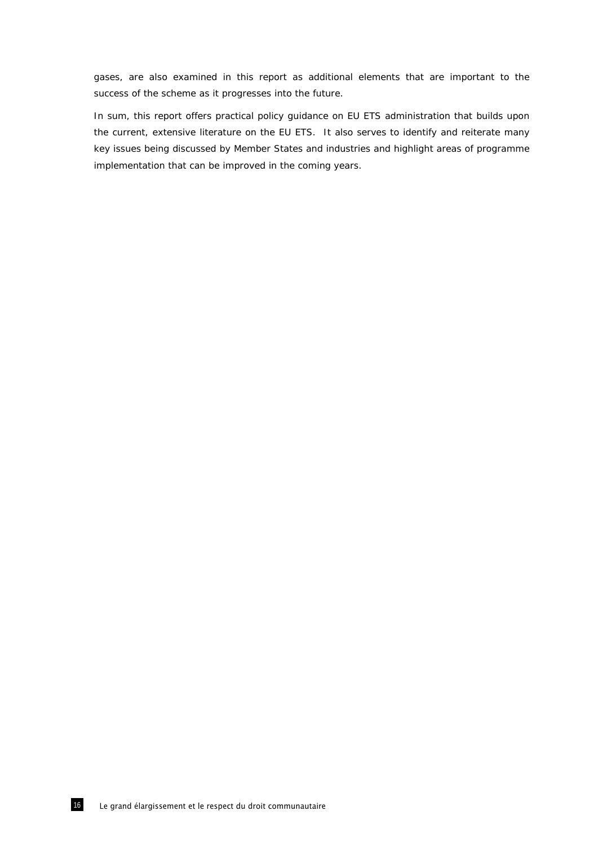gases, are also examined in this report as additional elements that are important to the success of the scheme as it progresses into the future.

In sum, this report offers practical policy guidance on EU ETS administration that builds upon the current, extensive literature on the EU ETS. It also serves to identify and reiterate many key issues being discussed by Member States and industries and highlight areas of programme implementation that can be improved in the coming years.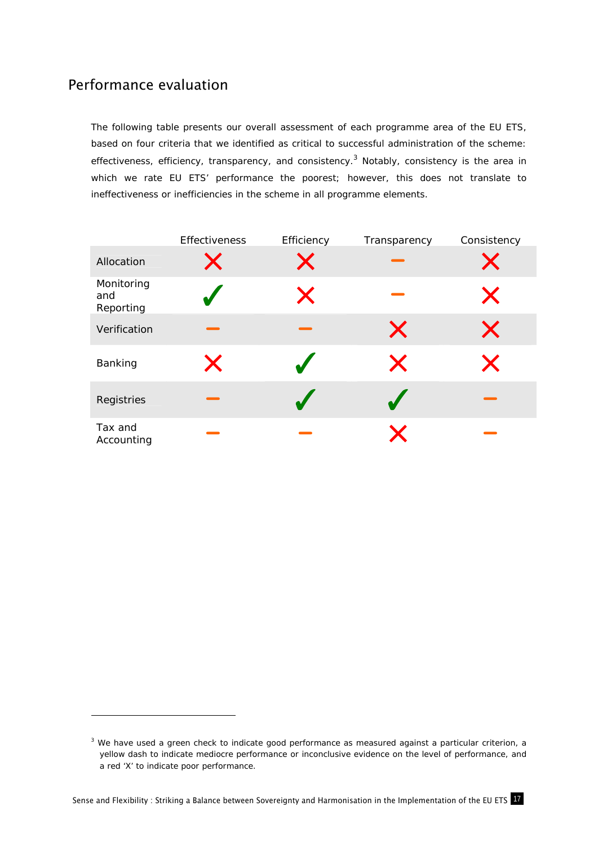### Performance evaluation

-

The following table presents our overall assessment of each programme area of the EU ETS, based on four criteria that we identified as critical to successful administration of the scheme: effectiveness, efficiency, transparency, and consistency.<sup>3</sup> Notably, consistency is the area in which we rate EU ETS' performance the poorest; however, this does not translate to ineffectiveness or inefficiencies in the scheme in all programme elements.

|                                | Effectiveness     | Efficiency    | Transparency | Consistency |
|--------------------------------|-------------------|---------------|--------------|-------------|
| Allocation                     | $\bm{\mathsf{X}}$ | $\bm{\times}$ |              |             |
| Monitoring<br>and<br>Reporting |                   | X             |              | X           |
| Verification                   |                   |               | X            | X           |
| Banking                        | X                 |               | X            | X           |
| Registries                     |                   |               |              |             |
| Tax and<br>Accounting          |                   |               |              |             |

 $3$  We have used a green check to indicate good performance as measured against a particular criterion, a yellow dash to indicate mediocre performance or inconclusive evidence on the level of performance, and a red 'X' to indicate poor performance.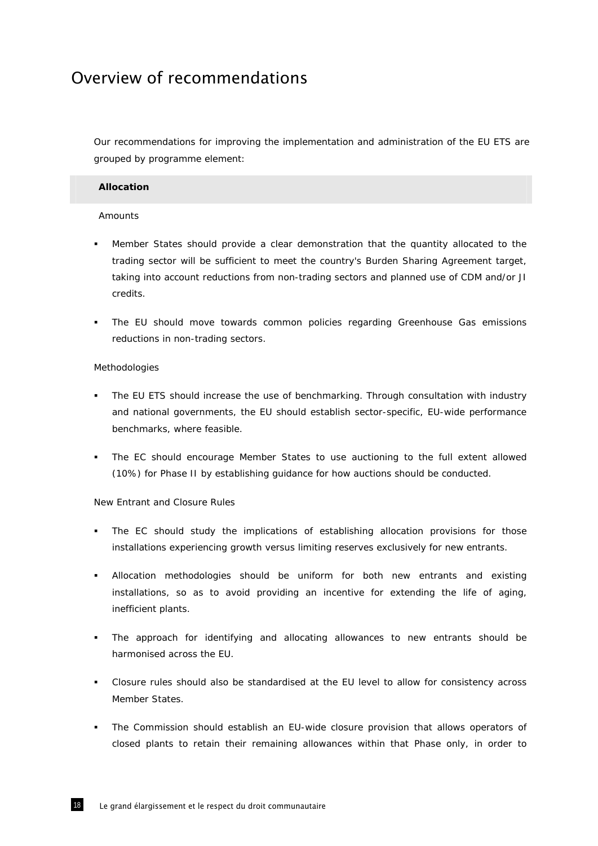## Overview of recommendations

Our recommendations for improving the implementation and administration of the EU ETS are grouped by programme element:

### **Allocation**

### Amounts

- Member States should provide a clear demonstration that the quantity allocated to the trading sector will be sufficient to meet the country's Burden Sharing Agreement target, taking into account reductions from non-trading sectors and planned use of CDM and/or JI credits.
- The EU should move towards common policies regarding Greenhouse Gas emissions reductions in non-trading sectors.

### Methodologies

- The EU ETS should increase the use of benchmarking. Through consultation with industry and national governments, the EU should establish sector-specific, EU-wide performance benchmarks, where feasible.
- The EC should encourage Member States to use auctioning to the full extent allowed (10%) for Phase II by establishing guidance for how auctions should be conducted.

### New Entrant and Closure Rules

- The EC should study the implications of establishing allocation provisions for those installations experiencing growth versus limiting reserves exclusively for new entrants.
- Allocation methodologies should be uniform for both new entrants and existing installations, so as to avoid providing an incentive for extending the life of aging, inefficient plants.
- The approach for identifying and allocating allowances to new entrants should be harmonised across the EU.
- Closure rules should also be standardised at the EU level to allow for consistency across Member States.
- The Commission should establish an EU-wide closure provision that allows operators of closed plants to retain their remaining allowances within that Phase only, in order to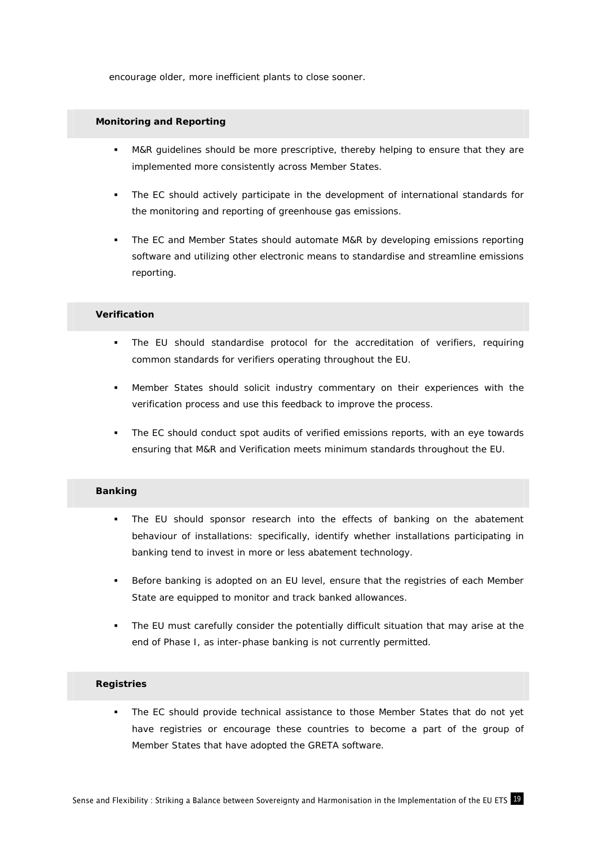encourage older, more inefficient plants to close sooner.

### **Monitoring and Reporting**

- M&R guidelines should be more prescriptive, thereby helping to ensure that they are implemented more consistently across Member States.
- The EC should actively participate in the development of international standards for the monitoring and reporting of greenhouse gas emissions.
- The EC and Member States should automate M&R by developing emissions reporting software and utilizing other electronic means to standardise and streamline emissions reporting.

### **Verification**

- The EU should standardise protocol for the accreditation of verifiers, requiring common standards for verifiers operating throughout the EU.
- Member States should solicit industry commentary on their experiences with the verification process and use this feedback to improve the process.
- The EC should conduct spot audits of verified emissions reports, with an eye towards ensuring that M&R and Verification meets minimum standards throughout the EU.

### **Banking**

- The EU should sponsor research into the effects of banking on the abatement behaviour of installations: specifically, identify whether installations participating in banking tend to invest in *more* or *less* abatement technology.
- Before banking is adopted on an EU level, ensure that the registries of each Member State are equipped to monitor and track banked allowances.
- The EU must carefully consider the potentially difficult situation that may arise at the end of Phase I, as inter-phase banking is not currently permitted.

#### **Registries**

 The EC should provide technical assistance to those Member States that do not yet have registries or encourage these countries to become a part of the group of Member States that have adopted the GRETA software.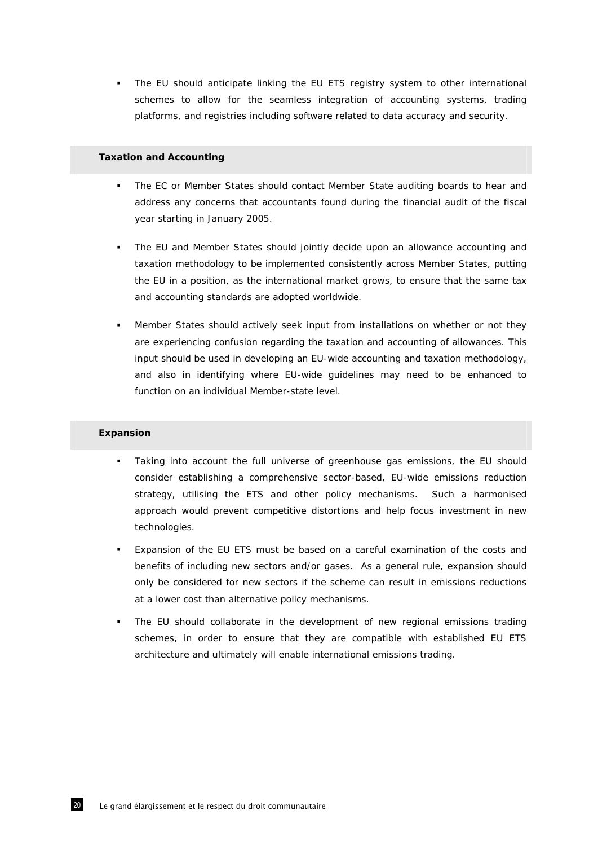The EU should anticipate linking the EU ETS registry system to other international schemes to allow for the seamless integration of accounting systems, trading platforms, and registries including software related to data accuracy and security.

### **Taxation and Accounting**

- The EC or Member States should contact Member State auditing boards to hear and address any concerns that accountants found during the financial audit of the fiscal year starting in January 2005.
- The EU and Member States should jointly decide upon an allowance accounting and taxation methodology to be implemented consistently across Member States, putting the EU in a position, as the international market grows, to ensure that the same tax and accounting standards are adopted worldwide.
- Member States should actively seek input from installations on whether or not they are experiencing confusion regarding the taxation and accounting of allowances. This input should be used in developing an EU-wide accounting and taxation methodology, and also in identifying where EU-wide guidelines may need to be enhanced to function on an individual Member-state level.

### **Expansion**

- Taking into account the full universe of greenhouse gas emissions, the EU should consider establishing a comprehensive sector-based, EU-wide emissions reduction strategy, utilising the ETS and other policy mechanisms. Such a harmonised approach would prevent competitive distortions and help focus investment in new technologies.
- Expansion of the EU ETS must be based on a careful examination of the costs and benefits of including new sectors and/or gases. As a general rule, expansion should only be considered for new sectors if the scheme can result in emissions reductions at a lower cost than alternative policy mechanisms.
- The EU should collaborate in the development of new regional emissions trading schemes, in order to ensure that they are compatible with established EU ETS architecture and ultimately will enable international emissions trading.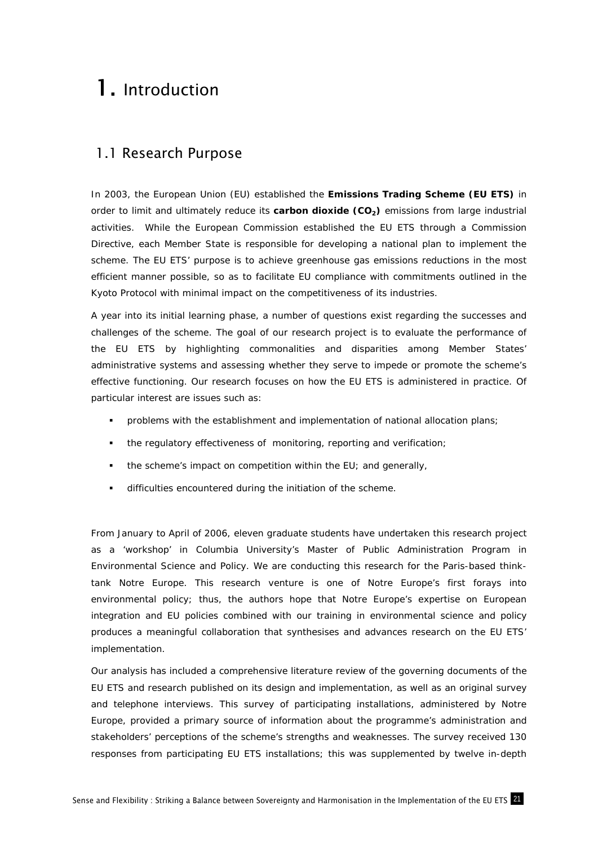# 1. Introduction

### 1.1 Research Purpose

In 2003, the European Union (EU) established the *Emissions Trading Scheme (EU ETS)* in order to limit and ultimately reduce its *carbon dioxide (CO2)* emissions from large industrial activities. While the European Commission established the EU ETS through a Commission Directive, each Member State is responsible for developing a national plan to implement the scheme. The EU ETS' purpose is to achieve greenhouse gas emissions reductions in the most efficient manner possible, so as to facilitate EU compliance with commitments outlined in the Kyoto Protocol with minimal impact on the competitiveness of its industries.

A year into its initial learning phase, a number of questions exist regarding the successes and challenges of the scheme. The goal of our research project is to evaluate the performance of the EU ETS by highlighting commonalities and disparities among Member States' administrative systems and assessing whether they serve to impede or promote the scheme's effective functioning. Our research focuses on how the EU ETS is administered in practice. Of particular interest are issues such as:

- problems with the establishment and implementation of national allocation plans;
- the regulatory effectiveness of monitoring, reporting and verification;
- the scheme's impact on competition within the EU; and generally,
- difficulties encountered during the initiation of the scheme.

From January to April of 2006, eleven graduate students have undertaken this research project as a 'workshop' in Columbia University's Master of Public Administration Program in Environmental Science and Policy. We are conducting this research for the Paris-based thinktank *Notre Europe.* This research venture is one of *Notre Europe's* first forays into environmental policy; thus, the authors hope that *Notre Europe's* expertise on European integration and EU policies combined with our training in environmental science and policy produces a meaningful collaboration that synthesises and advances research on the EU ETS' implementation.

Our analysis has included a comprehensive literature review of the governing documents of the EU ETS and research published on its design and implementation, as well as an original survey and telephone interviews. This survey of participating installations, administered by *Notre Europe*, provided a primary source of information about the programme's administration and stakeholders' perceptions of the scheme's strengths and weaknesses. The survey received 130 responses from participating EU ETS installations; this was supplemented by twelve in-depth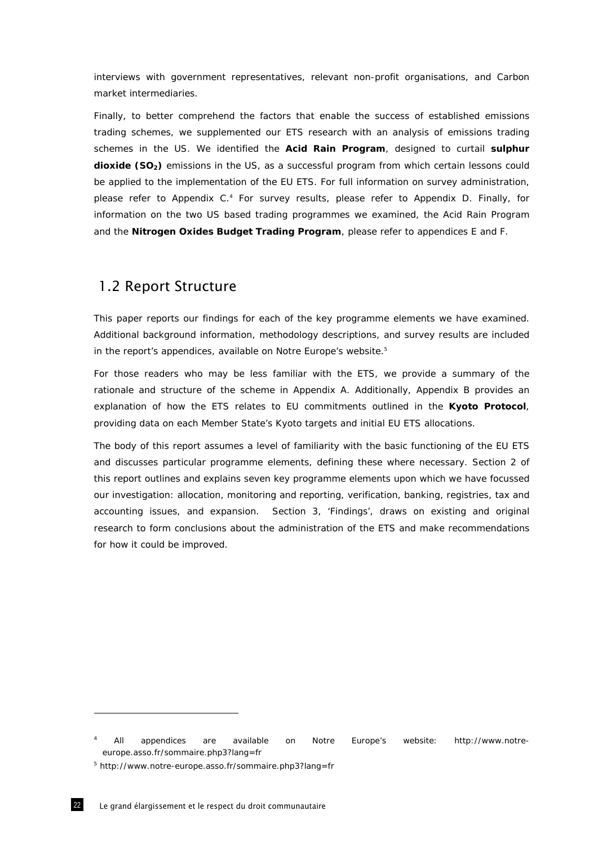interviews with government representatives, relevant non-profit organisations, and Carbon market intermediaries.

Finally, to better comprehend the factors that enable the success of established emissions trading schemes, we supplemented our ETS research with an analysis of emissions trading schemes in the US. We identified the *Acid Rain Program*, designed to curtail *sulphur dioxide (SO<sub>2</sub>)* emissions in the US, as a successful program from which certain lessons could be applied to the implementation of the EU ETS. For full information on survey administration, please refer to Appendix C.<sup>4</sup> For survey results, please refer to Appendix D. Finally, for information on the two US based trading programmes we examined, the Acid Rain Program and the *Nitrogen Oxides Budget Trading Program*, please refer to appendices E and F.

### 1.2 Report Structure

This paper reports our findings for each of the key programme elements we have examined. Additional background information, methodology descriptions, and survey results are included in the report's appendices, available on *Notre Europe's* website.5

For those readers who may be less familiar with the ETS, we provide a summary of the rationale and structure of the scheme in Appendix A. Additionally, Appendix B provides an explanation of how the ETS relates to EU commitments outlined in the *Kyoto Protocol*, providing data on each Member State's Kyoto targets and initial EU ETS allocations.

The body of this report assumes a level of familiarity with the basic functioning of the EU ETS and discusses particular programme elements, defining these where necessary. Section 2 of this report outlines and explains seven key programme elements upon which we have focussed our investigation: allocation, monitoring and reporting, verification, banking, registries, tax and accounting issues, and expansion. Section 3, 'Findings', draws on existing and original research to form conclusions about the administration of the ETS and make recommendations for how it could be improved.

<sup>4</sup> All appendices are available on *Notre Europe's* website: http://www.notreeurope.asso.fr/sommaire.php3?lang=fr

<sup>5</sup> http://www.notre-europe.asso.fr/sommaire.php3?lang=fr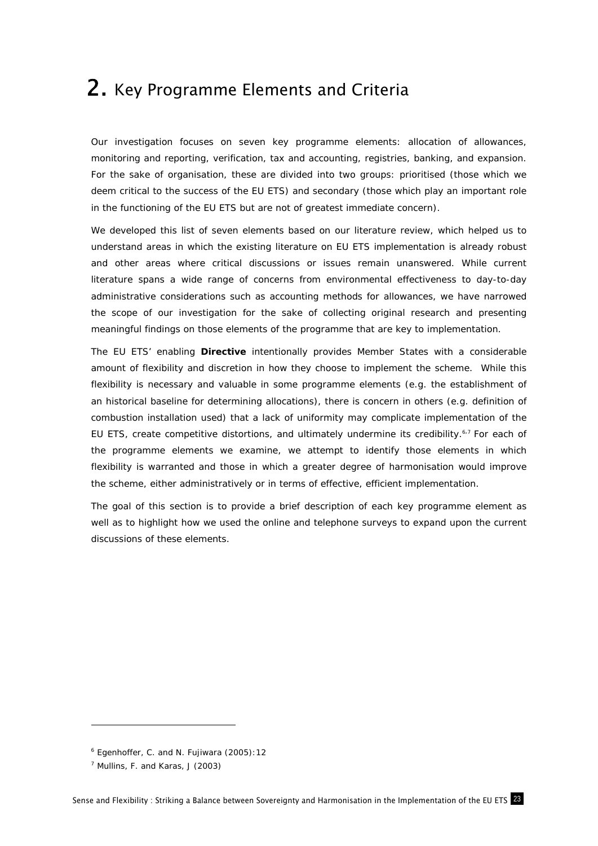## 2. Key Programme Elements and Criteria

Our investigation focuses on seven key programme elements: allocation of allowances, monitoring and reporting, verification, tax and accounting, registries, banking, and expansion. For the sake of organisation, these are divided into two groups: prioritised (those which we deem critical to the success of the EU ETS) and secondary (those which play an important role in the functioning of the EU ETS but are not of greatest immediate concern).

We developed this list of seven elements based on our literature review, which helped us to understand areas in which the existing literature on EU ETS implementation is already robust and other areas where critical discussions or issues remain unanswered. While current literature spans a wide range of concerns from environmental effectiveness to day-to-day administrative considerations such as accounting methods for allowances, we have narrowed the scope of our investigation for the sake of collecting original research and presenting meaningful findings on those elements of the programme that are key to implementation.

The EU ETS' enabling *Directive* intentionally provides Member States with a considerable amount of flexibility and discretion in how they choose to implement the scheme. While this flexibility is necessary and valuable in some programme elements (e.g. the establishment of an historical baseline for determining allocations), there is concern in others (e.g. definition of combustion installation used) that a lack of uniformity may complicate implementation of the EU ETS, create competitive distortions, and ultimately undermine its credibility.<sup>6,7</sup> For each of the programme elements we examine, we attempt to identify those elements in which flexibility is warranted and those in which a greater degree of harmonisation would improve the scheme, either administratively or in terms of effective, efficient implementation.

The goal of this section is to provide a brief description of each key programme element as well as to highlight how we used the online and telephone surveys to expand upon the current discussions of these elements.

<sup>6</sup> Egenhoffer, C. and N. Fujiwara (2005):12

 $<sup>7</sup>$  Mullins, F. and Karas, J (2003)</sup>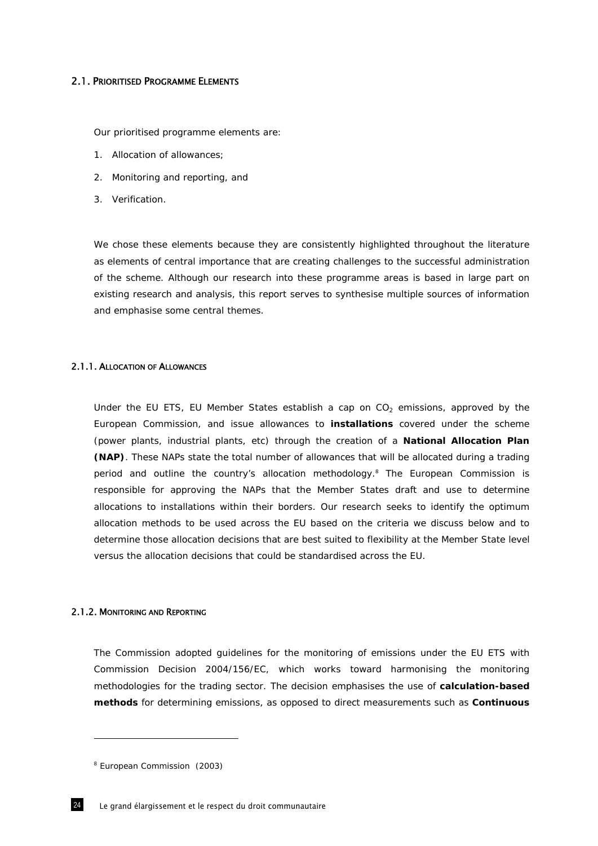### 2.1. PRIORITISED PROGRAMME ELEMENTS

Our prioritised programme elements are:

- 1. Allocation of allowances;
- 2. Monitoring and reporting, and
- 3. Verification.

We chose these elements because they are consistently highlighted throughout the literature as elements of central importance that are creating challenges to the successful administration of the scheme. Although our research into these programme areas is based in large part on existing research and analysis, this report serves to synthesise multiple sources of information and emphasise some central themes.

#### 2.1.1. ALLOCATION OF ALLOWANCES

Under the EU ETS, EU Member States establish a cap on  $CO<sub>2</sub>$  emissions, approved by the European Commission, and issue allowances to *installations* covered under the scheme (power plants, industrial plants, etc) through the creation of a *National Allocation Plan (NAP)*. These NAPs state the total number of allowances that will be allocated during a trading period and outline the country's allocation methodology.<sup>8</sup> The European Commission is responsible for approving the NAPs that the Member States draft and use to determine allocations to installations within their borders. Our research seeks to identify the optimum allocation methods to be used across the EU based on the criteria we discuss below and to determine those allocation decisions that are best suited to flexibility at the Member State level versus the allocation decisions that could be standardised across the EU.

### 2.1.2. MONITORING AND REPORTING

The Commission adopted guidelines for the monitoring of emissions under the EU ETS with Commission Decision 2004/156/EC, which works toward harmonising the monitoring methodologies for the trading sector. The decision emphasises the use of *calculation-based methods* for determining emissions, as opposed to direct measurements such as *Continuous* 

<sup>&</sup>lt;sup>8</sup> European Commission (2003)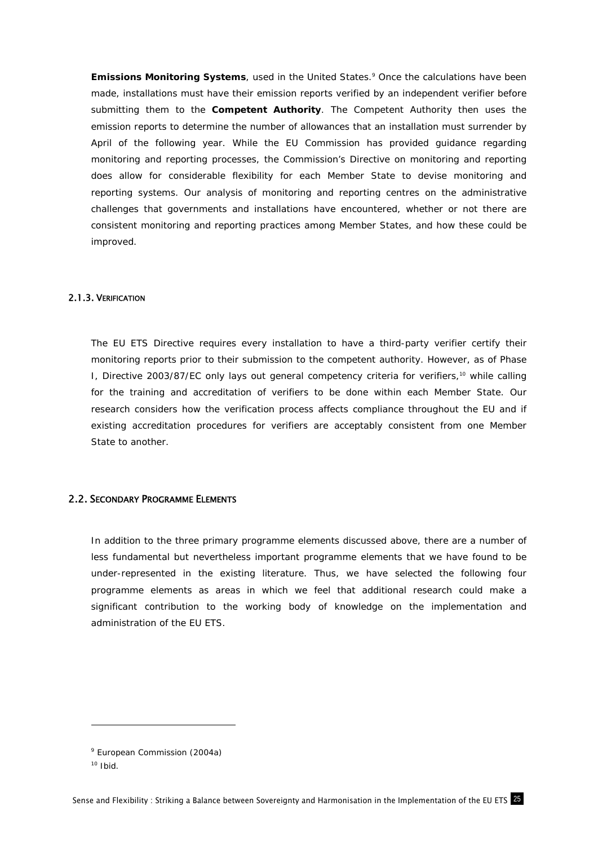**Emissions Monitoring Systems**, used in the United States.<sup>9</sup> Once the calculations have been made, installations must have their emission reports verified by an independent verifier before submitting them to the *Competent Authority*. The Competent Authority then uses the emission reports to determine the number of allowances that an installation must surrender by April of the following year. While the EU Commission has provided guidance regarding monitoring and reporting processes, the Commission's Directive on monitoring and reporting does allow for considerable flexibility for each Member State to devise monitoring and reporting systems. Our analysis of monitoring and reporting centres on the administrative challenges that governments and installations have encountered, whether or not there are consistent monitoring and reporting practices among Member States, and how these could be improved.

### 2.1.3. VERIFICATION

The EU ETS Directive requires every installation to have a third-party verifier certify their monitoring reports prior to their submission to the competent authority. However, as of Phase I, Directive 2003/87/EC only lays out general competency criteria for verifiers,<sup>10</sup> while calling for the training and accreditation of verifiers to be done within each Member State. Our research considers how the verification process affects compliance throughout the EU and if existing accreditation procedures for verifiers are acceptably consistent from one Member State to another.

### 2.2. SECONDARY PROGRAMME ELEMENTS

In addition to the three primary programme elements discussed above, there are a number of less fundamental but nevertheless important programme elements that we have found to be under-represented in the existing literature. Thus, we have selected the following four programme elements as areas in which we feel that additional research could make a significant contribution to the working body of knowledge on the implementation and administration of the EU ETS.

<sup>&</sup>lt;sup>9</sup> European Commission (2004a)

 $10$  Ibid.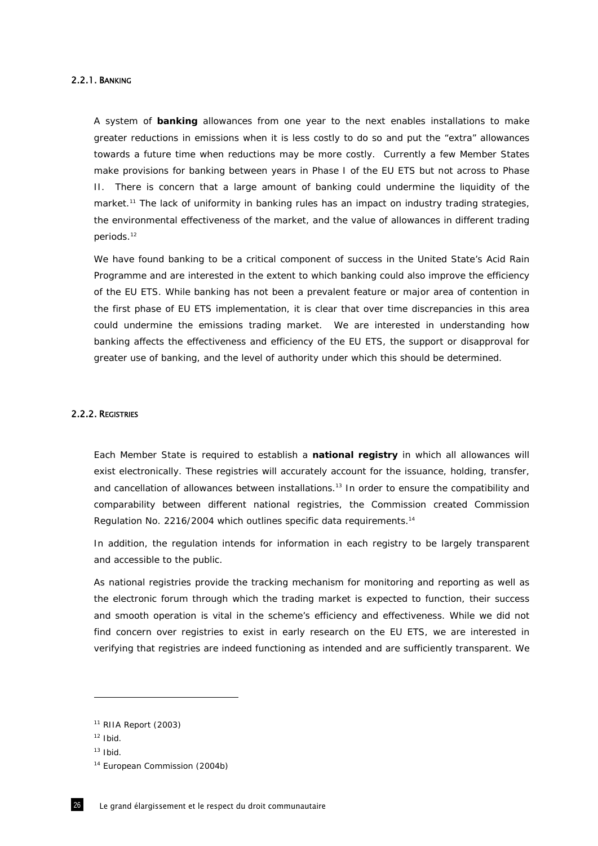### 2.2.1. BANKING

A system of *banking* allowances from one year to the next enables installations to make greater reductions in emissions when it is less costly to do so and put the "extra" allowances towards a future time when reductions may be more costly. Currently a few Member States make provisions for banking between years in Phase I of the EU ETS but not across to Phase II. There is concern that a large amount of banking could undermine the liquidity of the market.<sup>11</sup> The lack of uniformity in banking rules has an impact on industry trading strategies, the environmental effectiveness of the market, and the value of allowances in different trading periods.12

We have found banking to be a critical component of success in the United State's Acid Rain Programme and are interested in the extent to which banking could also improve the efficiency of the EU ETS. While banking has not been a prevalent feature or major area of contention in the first phase of EU ETS implementation, it is clear that over time discrepancies in this area could undermine the emissions trading market. We are interested in understanding how banking affects the effectiveness and efficiency of the EU ETS, the support or disapproval for greater use of banking, and the level of authority under which this should be determined.

#### 2.2.2. REGISTRIES

Each Member State is required to establish a *national registry* in which all allowances will exist electronically. These registries will accurately account for the issuance, holding, transfer, and cancellation of allowances between installations.<sup>13</sup> In order to ensure the compatibility and comparability between different national registries, the Commission created Commission Regulation No. 2216/2004 which outlines specific data requirements.14

In addition, the regulation intends for information in each registry to be largely transparent and accessible to the public.

As national registries provide the tracking mechanism for monitoring and reporting as well as the electronic forum through which the trading market is expected to function, their success and smooth operation is vital in the scheme's efficiency and effectiveness. While we did not find concern over registries to exist in early research on the EU ETS, we are interested in verifying that registries are indeed functioning as intended and are sufficiently transparent. We

 $11$  RIIA Report (2003)

 $12$  Ibid.

 $13$  Ibid.

<sup>&</sup>lt;sup>14</sup> European Commission (2004b)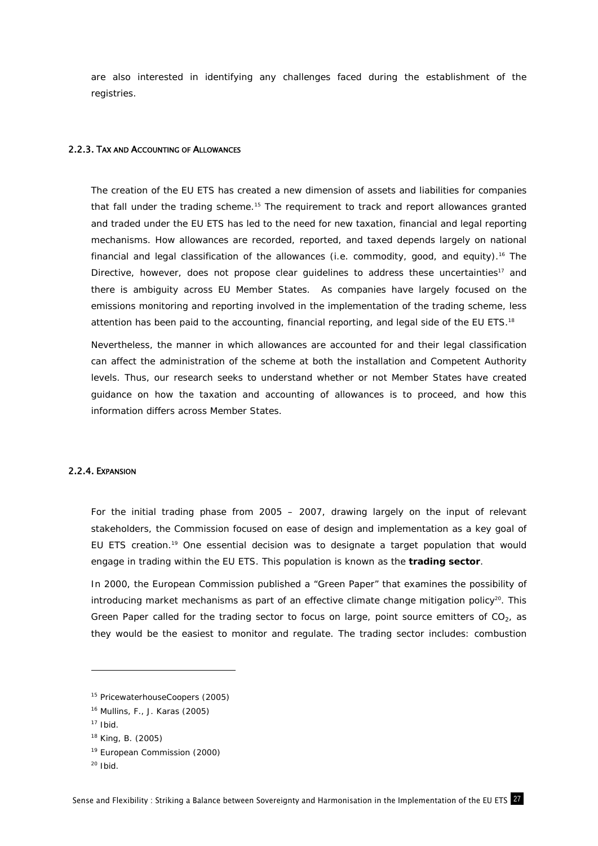are also interested in identifying any challenges faced during the establishment of the registries.

#### 2.2.3. TAX AND ACCOUNTING OF ALLOWANCES

The creation of the EU ETS has created a new dimension of assets and liabilities for companies that fall under the trading scheme.<sup>15</sup> The requirement to track and report allowances granted and traded under the EU ETS has led to the need for new taxation, financial and legal reporting mechanisms. How allowances are recorded, reported, and taxed depends largely on national financial and legal classification of the allowances (i.e. commodity, good, and equity).<sup>16</sup> The Directive, however, does not propose clear quidelines to address these uncertainties<sup>17</sup> and there is ambiguity across EU Member States. As companies have largely focused on the emissions monitoring and reporting involved in the implementation of the trading scheme, less attention has been paid to the accounting, financial reporting, and legal side of the EU ETS.<sup>18</sup>

Nevertheless, the manner in which allowances are accounted for and their legal classification can affect the administration of the scheme at both the installation and Competent Authority levels. Thus, our research seeks to understand whether or not Member States have created guidance on how the taxation and accounting of allowances is to proceed, and how this information differs across Member States.

### 2.2.4. EXPANSION

For the initial trading phase from 2005 – 2007, drawing largely on the input of relevant stakeholders, the Commission focused on ease of design and implementation as a key goal of EU ETS creation.19 One essential decision was to designate a target population that would engage in trading within the EU ETS. This population is known as the *trading sector*.

In 2000, the European Commission published a "Green Paper" that examines the possibility of introducing market mechanisms as part of an effective climate change mitigation policy<sup>20</sup>. This Green Paper called for the trading sector to focus on large, point source emitters of  $CO<sub>2</sub>$ , as they would be the easiest to monitor and regulate. The trading sector includes: combustion

<sup>&</sup>lt;sup>15</sup> PricewaterhouseCoopers (2005)

<sup>16</sup> Mullins, F., J. Karas (2005)

 $17$  Ibid.

<sup>18</sup> King, B. (2005)

<sup>&</sup>lt;sup>19</sup> European Commission (2000)

 $20$  Ibid.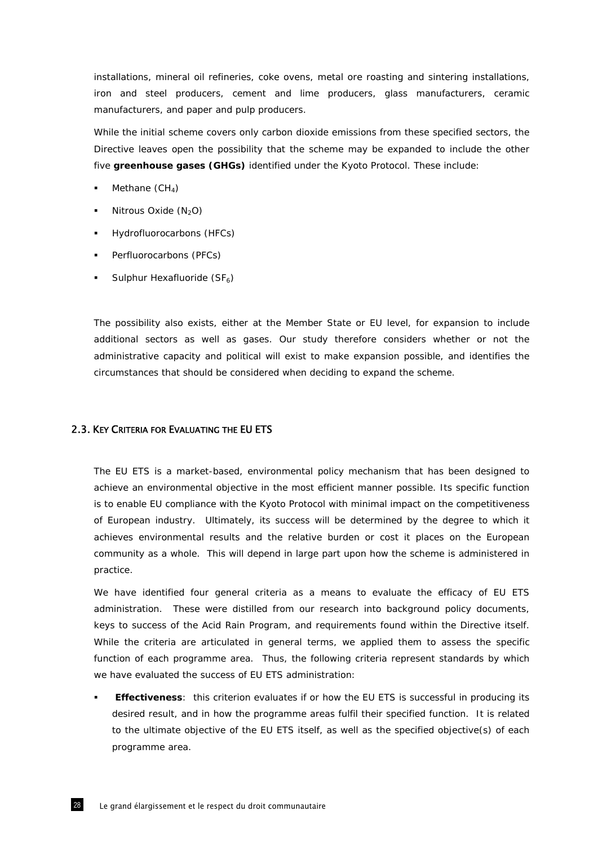installations, mineral oil refineries, coke ovens, metal ore roasting and sintering installations, iron and steel producers, cement and lime producers, glass manufacturers, ceramic manufacturers, and paper and pulp producers.

While the initial scheme covers only carbon dioxide emissions from these specified sectors, the Directive leaves open the possibility that the scheme may be expanded to include the other five *greenhouse gases (GHGs)* identified under the Kyoto Protocol. These include:

- Methane  $(CH_4)$
- Nitrous Oxide  $(N_2O)$
- Hydrofluorocarbons (HFCs)
- **•** Perfluorocarbons (PFCs)
- Sulphur Hexafluoride  $(SF_6)$

The possibility also exists, either at the Member State or EU level, for expansion to include additional sectors as well as gases. Our study therefore considers whether or not the administrative capacity and political will exist to make expansion possible, and identifies the circumstances that should be considered when deciding to expand the scheme.

### 2.3. KEY CRITERIA FOR EVALUATING THE EU ETS

The EU ETS is a market-based, environmental policy mechanism that has been designed to achieve an environmental objective in the most efficient manner possible. Its specific function is to enable EU compliance with the Kyoto Protocol with minimal impact on the competitiveness of European industry. Ultimately, its success will be determined by the degree to which it achieves environmental results and the relative burden or cost it places on the European community as a whole. This will depend in large part upon how the scheme is administered in practice.

We have identified four general criteria as a means to evaluate the efficacy of EU ETS administration. These were distilled from our research into background policy documents, keys to success of the Acid Rain Program, and requirements found within the Directive itself. While the criteria are articulated in general terms, we applied them to assess the specific function of each programme area. Thus, the following criteria represent standards by which we have evaluated the success of EU ETS administration:

 **Effectiveness**: this criterion evaluates if or how the EU ETS is successful in producing its desired result, and in how the programme areas fulfil their specified function. It is related to the ultimate objective of the EU ETS itself, as well as the specified objective(s) of each programme area.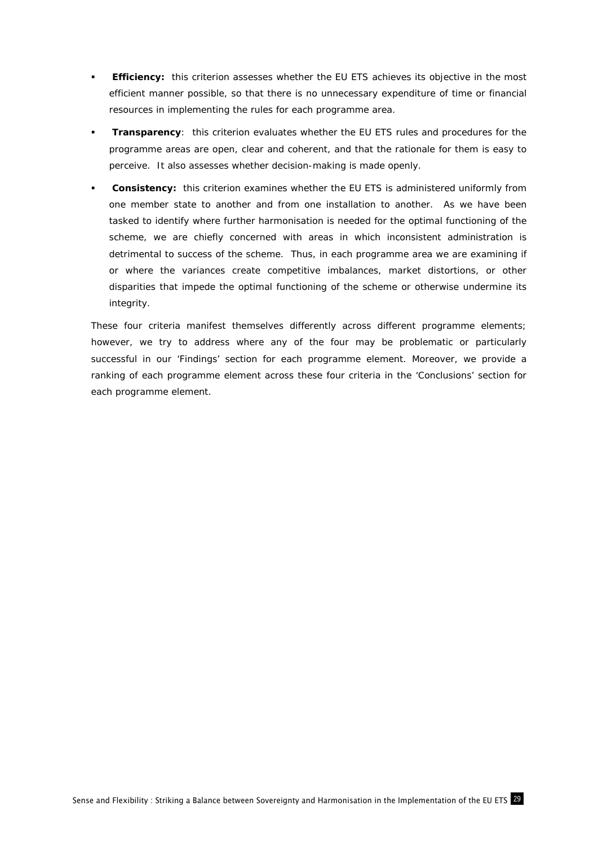- **Efficiency:** this criterion assesses whether the EU ETS achieves its objective in the most efficient manner possible, so that there is no unnecessary expenditure of time or financial resources in implementing the rules for each programme area.
- **Transparency**: this criterion evaluates whether the EU ETS rules and procedures for the programme areas are open, clear and coherent, and that the rationale for them is easy to perceive. It also assesses whether decision-making is made openly.
- **Consistency:** this criterion examines whether the EU ETS is administered uniformly from one member state to another and from one installation to another. As we have been tasked to identify where further harmonisation is needed for the optimal functioning of the scheme, we are chiefly concerned with areas in which inconsistent administration is detrimental to success of the scheme. Thus, in each programme area we are examining if or where the variances create competitive imbalances, market distortions, or other disparities that impede the optimal functioning of the scheme or otherwise undermine its integrity.

These four criteria manifest themselves differently across different programme elements; however, we try to address where any of the four may be problematic or particularly successful in our 'Findings' section for each programme element. Moreover, we provide a ranking of each programme element across these four criteria in the 'Conclusions' section for each programme element.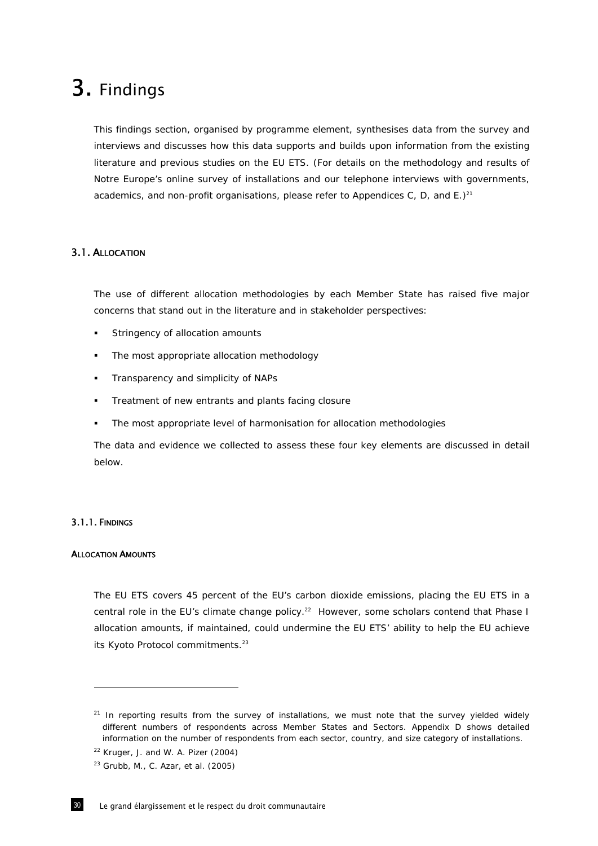# 3. Findings

This findings section, organised by programme element, synthesises data from the survey and interviews and discusses how this data supports and builds upon information from the existing literature and previous studies on the EU ETS. (For details on the methodology and results of *Notre Europe*'s online survey of installations and our telephone interviews with governments, academics, and non-profit organisations, please refer to Appendices C, D, and  $E.$ )<sup>21</sup>

### 3.1. ALLOCATION

The use of different allocation methodologies by each Member State has raised five major concerns that stand out in the literature and in stakeholder perspectives:

- Stringency of allocation amounts
- The most appropriate allocation methodology
- Transparency and simplicity of NAPs
- Treatment of new entrants and plants facing closure
- The most appropriate level of harmonisation for allocation methodologies

The data and evidence we collected to assess these four key elements are discussed in detail below.

### 3.1.1. FINDINGS

ł

### ALLOCATION AMOUNTS

The EU ETS covers 45 percent of the EU's carbon dioxide emissions, placing the EU ETS in a central role in the EU's climate change policy.<sup>22</sup> However, some scholars contend that Phase I allocation amounts, if maintained, could undermine the EU ETS' ability to help the EU achieve its Kyoto Protocol commitments.<sup>23</sup>

 $21$  In reporting results from the survey of installations, we must note that the survey yielded widely different numbers of respondents across Member States and Sectors. Appendix D shows detailed information on the number of respondents from each sector, country, and size category of installations.

 $22$  Kruger, J. and W. A. Pizer (2004)

 $23$  Grubb, M., C. Azar, et al. (2005)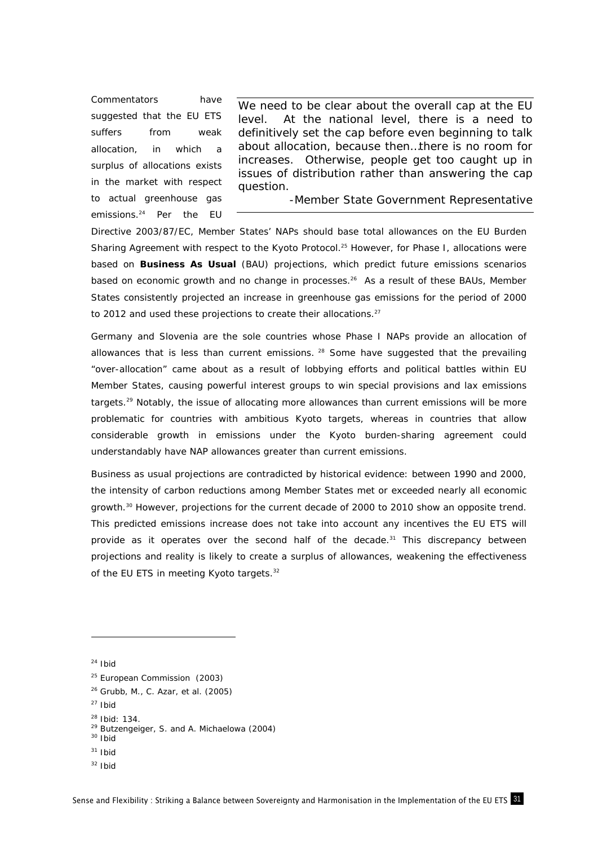Commentators have suggested that the EU ETS suffers from weak allocation, in which a surplus of allocations exists in the market with respect to actual greenhouse gas emissions.24 Per the EU

*We need to be clear about the overall cap at the EU level. At the national level, there is a need to definitively set the cap before even beginning to talk about allocation, because then…there is no room for increases. Otherwise, people get too caught up in issues of distribution rather than answering the cap question.* 

-Member State Government Representative

Directive 2003/87/EC, Member States' NAPs should base total allowances on the EU Burden Sharing Agreement with respect to the Kyoto Protocol.<sup>25</sup> However, for Phase I, allocations were based on *Business As Usual* (BAU) projections, which predict future emissions scenarios based on economic growth and no change in processes.<sup>26</sup> As a result of these BAUs, Member States consistently projected an increase in greenhouse gas emissions for the period of 2000 to 2012 and used these projections to create their allocations. $27$ 

Germany and Slovenia are the sole countries whose Phase I NAPs provide an allocation of allowances that is less than current emissions.  $28$  Some have suggested that the prevailing "over-allocation" came about as a result of lobbying efforts and political battles within EU Member States, causing powerful interest groups to win special provisions and lax emissions targets.<sup>29</sup> Notably, the issue of allocating more allowances than current emissions will be more problematic for countries with ambitious Kyoto targets, whereas in countries that allow considerable growth in emissions under the Kyoto burden-sharing agreement could understandably have NAP allowances greater than current emissions.

Business as usual projections are contradicted by historical evidence: between 1990 and 2000, the intensity of carbon reductions among Member States met or exceeded nearly all economic growth.<sup>30</sup> However, projections for the current decade of 2000 to 2010 show an opposite trend. This predicted emissions increase does not take into account any incentives the EU ETS will provide as it operates over the second half of the decade.<sup>31</sup> This discrepancy between projections and reality is likely to create a surplus of allowances, weakening the effectiveness of the EU ETS in meeting Kyoto targets.<sup>32</sup>

 $24$  Ibid

- 26 Grubb, M., C. Azar, et al. (2005)
- $27$  Ibid
- 
- <sup>28</sup> Ibid: 134.<br><sup>29</sup> Butzengeiger, S. and A. Michaelowa (2004)<br><sup>30</sup> Ibid
- $31$  Ibid
- 
- $32$  Ibid

<sup>&</sup>lt;sup>25</sup> European Commission (2003)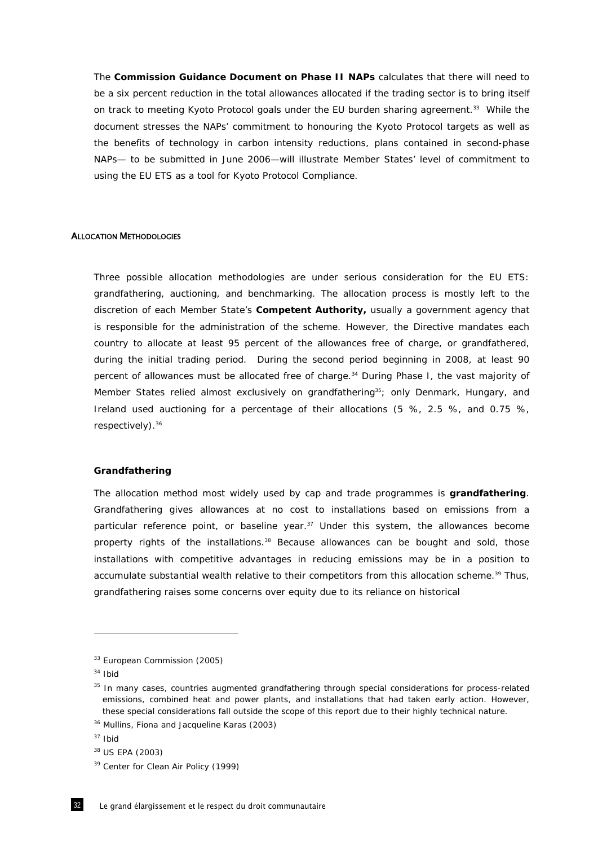The *Commission Guidance Document on Phase II NAPs* calculates that there will need to be a six percent reduction in the total allowances allocated if the trading sector is to bring itself on track to meeting Kyoto Protocol goals under the EU burden sharing agreement.<sup>33</sup> While the document stresses the NAPs' commitment to honouring the Kyoto Protocol targets as well as the benefits of technology in carbon intensity reductions, plans contained in second-phase NAPs— to be submitted in June 2006—will illustrate Member States' level of commitment to using the EU ETS as a tool for Kyoto Protocol Compliance.

### ALLOCATION METHODOLOGIES

Three possible allocation methodologies are under serious consideration for the EU ETS: grandfathering, auctioning, and benchmarking. The allocation process is mostly left to the discretion of each Member State's *Competent Authority,* usually a government agency that is responsible for the administration of the scheme. However, the Directive mandates each country to allocate at least 95 percent of the allowances free of charge, or grandfathered, during the initial trading period. During the second period beginning in 2008, at least 90 percent of allowances must be allocated free of charge.<sup>34</sup> During Phase I, the vast majority of Member States relied almost exclusively on grandfathering<sup>35</sup>; only Denmark, Hungary, and Ireland used auctioning for a percentage of their allocations (5 %, 2.5 %, and 0.75 %, respectively).<sup>36</sup>

#### *Grandfathering*

The allocation method most widely used by cap and trade programmes is *grandfathering*. Grandfathering gives allowances at no cost to installations based on emissions from a particular reference point, or baseline year. $37$  Under this system, the allowances become property rights of the installations.<sup>38</sup> Because allowances can be bought and sold, those installations with competitive advantages in reducing emissions may be in a position to accumulate substantial wealth relative to their competitors from this allocation scheme.<sup>39</sup> Thus, grandfathering raises some concerns over equity due to its reliance on historical

<sup>&</sup>lt;sup>33</sup> European Commission (2005)

 $34$  Ibid

<sup>&</sup>lt;sup>35</sup> In many cases, countries augmented grandfathering through special considerations for process-related emissions, combined heat and power plants, and installations that had taken early action. However, these special considerations fall outside the scope of this report due to their highly technical nature.

<sup>36</sup> Mullins, Fiona and Jacqueline Karas (2003)

<sup>37</sup> Ibid

<sup>38</sup> US EPA (2003)

<sup>&</sup>lt;sup>39</sup> Center for Clean Air Policy (1999)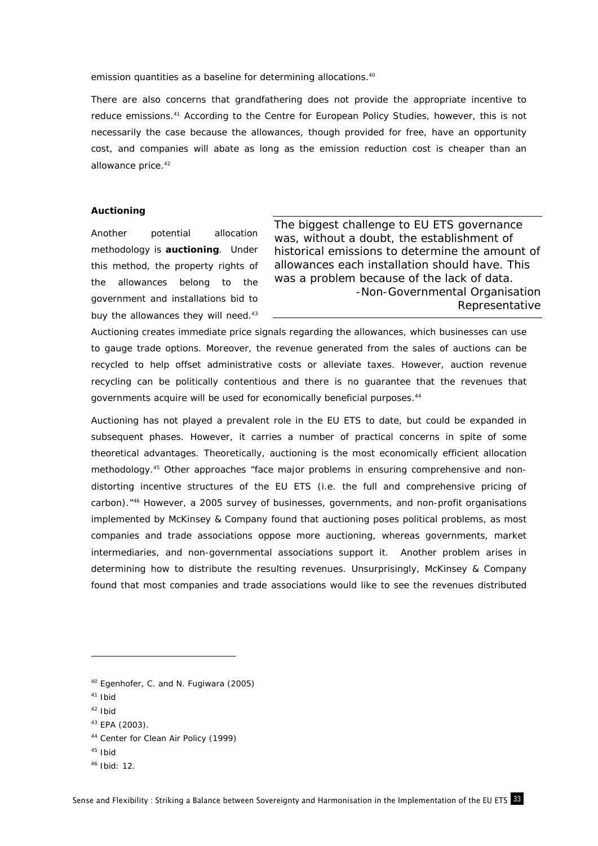emission quantities as a baseline for determining allocations.<sup>40</sup>

There are also concerns that grandfathering does not provide the appropriate incentive to reduce emissions.<sup>41</sup> According to the Centre for European Policy Studies, however, this is not necessarily the case because the allowances, though provided for free, have an opportunity cost, and companies will abate as long as the emission reduction cost is cheaper than an allowance price.<sup>42</sup>

#### *Auctioning*

Another potential allocation methodology is *auctioning*. Under this method, the property rights of the allowances belong to the government and installations bid to buy the allowances they will need.<sup>43</sup>

*The biggest challenge to EU ETS governance was, without a doubt, the establishment of historical emissions to determine the amount of allowances each installation should have. This was a problem because of the lack of data.*  -Non-Governmental Organisation Representative

Auctioning creates immediate price signals regarding the allowances, which businesses can use to gauge trade options. Moreover, the revenue generated from the sales of auctions can be recycled to help offset administrative costs or alleviate taxes. However, auction revenue recycling can be politically contentious and there is no guarantee that the revenues that governments acquire will be used for economically beneficial purposes.<sup>44</sup>

Auctioning has not played a prevalent role in the EU ETS to date, but could be expanded in subsequent phases. However, it carries a number of practical concerns in spite of some theoretical advantages. Theoretically, auctioning is the most economically efficient allocation methodology.<sup>45</sup> Other approaches "face major problems in ensuring comprehensive and nondistorting incentive structures of the EU ETS (i.e. the full and comprehensive pricing of carbon)."46 However, a 2005 survey of businesses, governments, and non-profit organisations implemented by McKinsey & Company found that auctioning poses political problems, as most companies and trade associations oppose more auctioning, whereas governments, market intermediaries, and non-governmental associations support it. Another problem arises in determining how to distribute the resulting revenues. Unsurprisingly, McKinsey & Company found that most companies and trade associations would like to see the revenues distributed

 $41$  Ibid

- $42$  Ibid
- 43 EPA (2003).

- 45 Ibid
- $46$  Ibid: 12

<sup>40</sup> Egenhofer, C. and N. Fugiwara (2005)

<sup>44</sup> Center for Clean Air Policy (1999)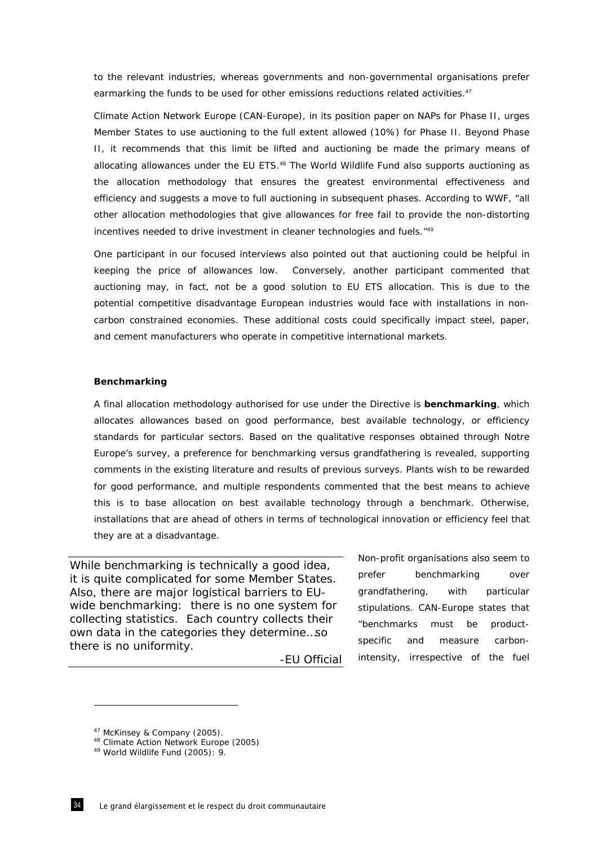to the relevant industries, whereas governments and non-governmental organisations prefer earmarking the funds to be used for other emissions reductions related activities.<sup>47</sup>

Climate Action Network Europe (CAN-Europe), in its position paper on NAPs for Phase II, urges Member States to use auctioning to the full extent allowed (10%) for Phase II. Beyond Phase II, it recommends that this limit be lifted and auctioning be made the primary means of allocating allowances under the EU ETS.<sup>48</sup> The World Wildlife Fund also supports auctioning as the allocation methodology that ensures the greatest environmental effectiveness and efficiency and suggests a move to full auctioning in subsequent phases. According to WWF, "all other allocation methodologies that give allowances for free fail to provide the non-distorting incentives needed to drive investment in cleaner technologies and fuels.<sup>"49</sup>

One participant in our focused interviews also pointed out that auctioning could be helpful in keeping the price of allowances low. Conversely, another participant commented that auctioning may, in fact, *not* be a good solution to EU ETS allocation. This is due to the potential competitive disadvantage European industries would face with installations in noncarbon constrained economies. These additional costs could specifically impact steel, paper, and cement manufacturers who operate in competitive international markets.

### *Benchmarking*

A final allocation methodology authorised for use under the Directive is *benchmarking*, which allocates allowances based on good performance, best available technology, or efficiency standards for particular sectors. Based on the qualitative responses obtained through *Notre Europe's* survey, a preference for benchmarking versus grandfathering is revealed, supporting comments in the existing literature and results of previous surveys. Plants wish to be rewarded for good performance, and multiple respondents commented that the best means to achieve this is to base allocation on best available technology through a benchmark. Otherwise, installations that are ahead of others in terms of technological innovation or efficiency feel that they are at a disadvantage.

*While benchmarking is technically a good idea, it is quite complicated for some Member States. Also, there are major logistical barriers to EUwide benchmarking: there is no one system for collecting statistics. Each country collects their own data in the categories they determine…so there is no uniformity.* 

-EU Official

Non-profit organisations also seem to prefer benchmarking over grandfathering, with particular stipulations. CAN-Europe states that "benchmarks must be productspecific and measure carbonintensity, irrespective of the fuel

<sup>&</sup>lt;sup>47</sup> McKinsey & Company (2005).<br><sup>48</sup> Climate Action Network Europe (2005)<br><sup>49</sup> World Wildlife Fund (2005): 9.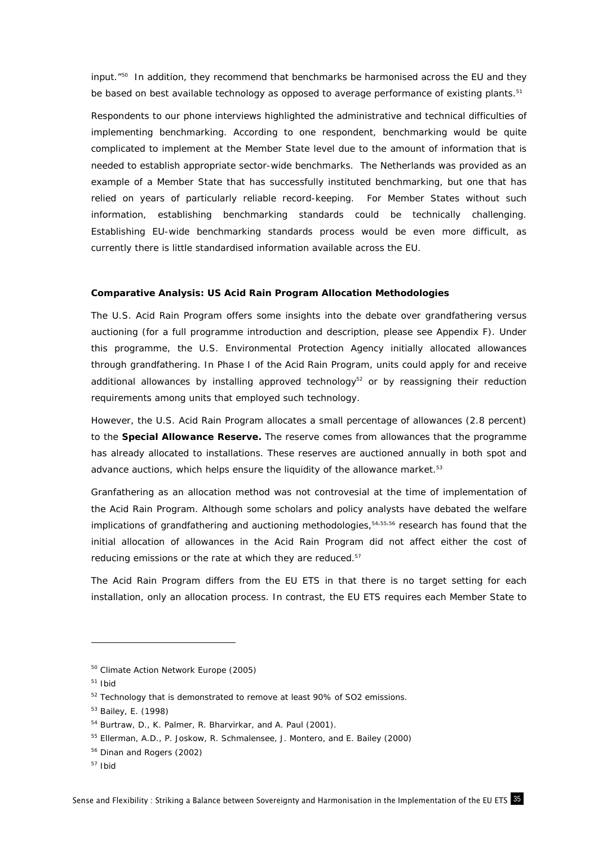input."50 In addition, they recommend that benchmarks be harmonised across the EU and they be based on best available technology as opposed to average performance of existing plants.<sup>51</sup>

Respondents to our phone interviews highlighted the administrative and technical difficulties of implementing benchmarking. According to one respondent, benchmarking would be quite complicated to implement at the Member State level due to the amount of information that is needed to establish appropriate sector-wide benchmarks. The Netherlands was provided as an example of a Member State that has successfully instituted benchmarking, but one that has relied on years of particularly reliable record-keeping. For Member States without such information, establishing benchmarking standards could be technically challenging. Establishing EU-wide benchmarking standards process would be even more difficult, as currently there is little standardised information available across the EU.

### *Comparative Analysis: US Acid Rain Program Allocation Methodologies*

The U.S. Acid Rain Program offers some insights into the debate over grandfathering versus auctioning (for a full programme introduction and description, please see Appendix F). Under this programme, the U.S. Environmental Protection Agency initially allocated allowances through grandfathering. In Phase I of the Acid Rain Program, units could apply for and receive additional allowances by installing approved technology $52$  or by reassigning their reduction requirements among units that employed such technology.

However, the U.S. Acid Rain Program allocates a small percentage of allowances (2.8 percent) to the *Special Allowance Reserve.* The reserve comes from allowances that the programme has already allocated to installations. These reserves are auctioned annually in both spot and advance auctions, which helps ensure the liquidity of the allowance market.<sup>53</sup>

Granfathering as an allocation method was not controvesial at the time of implementation of the Acid Rain Program. Although some scholars and policy analysts have debated the welfare implications of grandfathering and auctioning methodologies, 54,55,56 research has found that the initial allocation of allowances in the Acid Rain Program *did not affect* either the cost of reducing emissions or the rate at which they are reduced.<sup>57</sup>

The Acid Rain Program differs from the EU ETS in that there is no target setting for each installation, only an allocation process. In contrast, the EU ETS requires each Member State to

<sup>50</sup> Climate Action Network Europe (2005)

 $51$  Ibid

<sup>&</sup>lt;sup>52</sup> Technology that is demonstrated to remove at least 90% of SO2 emissions.

<sup>53</sup> Bailey, E. (1998)

<sup>54</sup> Burtraw, D., K. Palmer, R. Bharvirkar, and A. Paul (2001).

<sup>55</sup> Ellerman, A.D., P. Joskow, R. Schmalensee, J. Montero, and E. Bailey (2000)

<sup>56</sup> Dinan and Rogers (2002)

 $57$  Ibid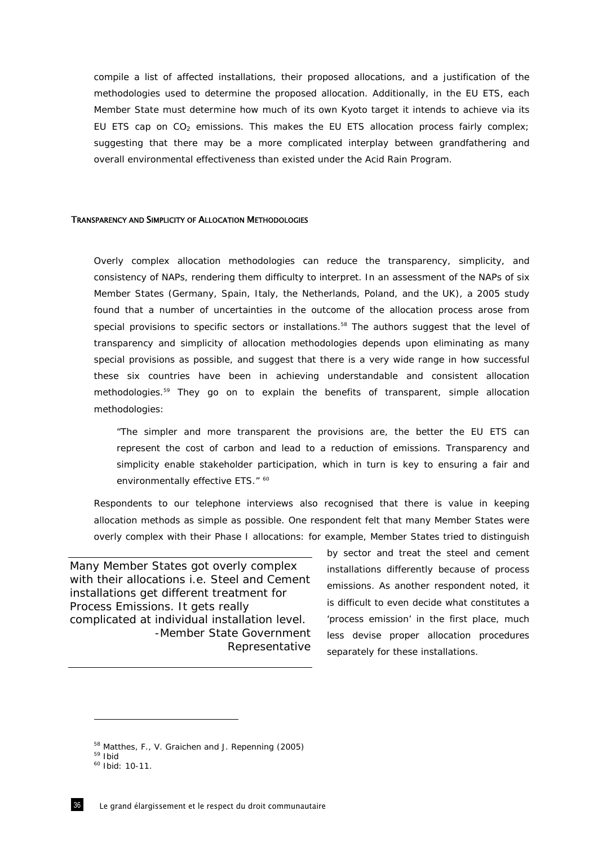compile a list of affected installations, their proposed allocations, and a justification of the methodologies used to determine the proposed allocation. Additionally, in the EU ETS, each Member State must determine how much of its own Kyoto target it intends to achieve via its EU ETS cap on  $CO<sub>2</sub>$  emissions. This makes the EU ETS allocation process fairly complex; suggesting that there may be a more complicated interplay between grandfathering and overall environmental effectiveness than existed under the Acid Rain Program.

#### TRANSPARENCY AND SIMPLICITY OF ALLOCATION METHODOLOGIES

Overly complex allocation methodologies can reduce the transparency, simplicity, and consistency of NAPs, rendering them difficulty to interpret. In an assessment of the NAPs of six Member States (Germany, Spain, Italy, the Netherlands, Poland, and the UK), a 2005 study found that a number of uncertainties in the outcome of the allocation process arose from special provisions to specific sectors or installations.<sup>58</sup> The authors suggest that the level of transparency and simplicity of allocation methodologies depends upon eliminating as many special provisions as possible, and suggest that there is a very wide range in how successful these six countries have been in achieving understandable and consistent allocation methodologies.59 They go on to explain the benefits of transparent, simple allocation methodologies:

*"The simpler and more transparent the provisions are, the better the EU ETS can*  represent the cost of carbon and lead to a reduction of emissions. Transparency and *simplicity enable stakeholder participation, which in turn is key to ensuring a fair and environmentally effective ETS." 60* 

Respondents to our telephone interviews also recognised that there is value in keeping allocation methods as simple as possible. One respondent felt that many Member States were overly complex with their Phase I allocations: for example, Member States tried to distinguish

*Many Member States got overly complex with their allocations i.e. Steel and Cement installations get different treatment for Process Emissions. It gets really complicated at individual installation level.* -Member State Government Representative by sector and treat the steel and cement installations differently because of process emissions. As another respondent noted, it is difficult to even decide what constitutes a 'process emission' in the first place, much less devise proper allocation procedures separately for these installations.

<sup>&</sup>lt;sup>58</sup> Matthes, F., V. Graichen and J. Repenning (2005)<br><sup>59</sup> Ibid<br><sup>60</sup> Ibid: 10-11.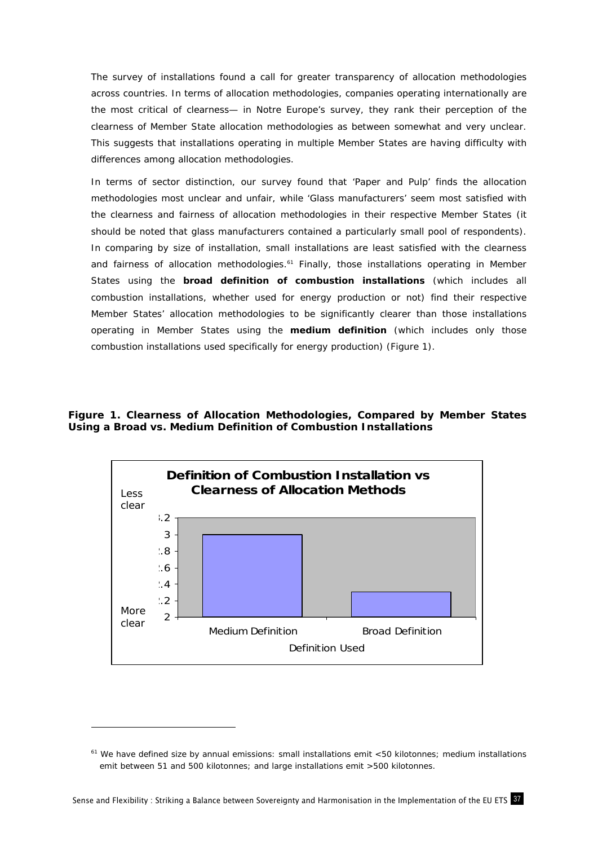The survey of installations found a call for greater transparency of allocation methodologies across countries. In terms of allocation methodologies, companies operating internationally are the most critical of clearness— in *Notre Europe's* survey, they rank their perception of the clearness of Member State allocation methodologies as between somewhat and very unclear. This suggests that installations operating in multiple Member States are having difficulty with differences among allocation methodologies.

In terms of sector distinction, our survey found that 'Paper and Pulp' finds the allocation methodologies most unclear and unfair, while 'Glass manufacturers' seem most satisfied with the clearness and fairness of allocation methodologies in their respective Member States (it should be noted that glass manufacturers contained a particularly small pool of respondents). In comparing by size of installation, small installations are least satisfied with the clearness and fairness of allocation methodologies.<sup>61</sup> Finally, those installations operating in Member States using the *broad definition of combustion installations* (which includes all combustion installations, whether used for energy production or not) find their respective Member States' allocation methodologies to be significantly clearer than those installations operating in Member States using the *medium definition* (which includes only those combustion installations used specifically for energy production) (Figure 1).

**Figure 1. Clearness of Allocation Methodologies, Compared by Member States Using a Broad vs. Medium Definition of Combustion Installations** 



 $61$  We have defined size by annual emissions: small installations emit <50 kilotonnes; medium installations emit between 51 and 500 kilotonnes; and large installations emit >500 kilotonnes.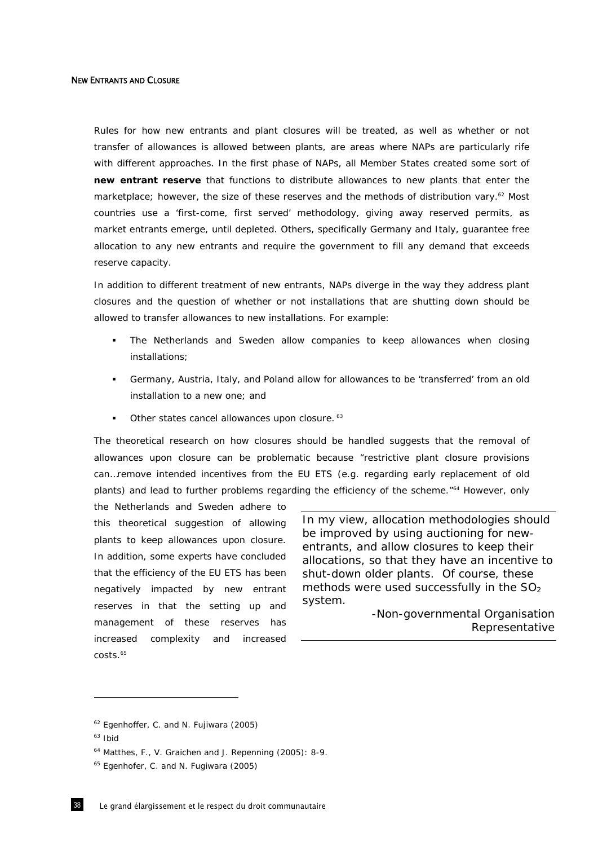#### NEW ENTRANTS AND CLOSURE

Rules for how new entrants and plant closures will be treated, as well as whether or not transfer of allowances is allowed between plants, are areas where NAPs are particularly rife with different approaches. In the first phase of NAPs, all Member States created some sort of *new entrant reserve* that functions to distribute allowances to new plants that enter the marketplace; however, the size of these reserves and the methods of distribution vary.<sup>62</sup> Most countries use a 'first-come, first served' methodology, giving away reserved permits, as market entrants emerge, until depleted. Others, specifically Germany and Italy, guarantee free allocation to any new entrants and require the government to fill any demand that exceeds reserve capacity.

In addition to different treatment of new entrants, NAPs diverge in the way they address plant closures and the question of whether or not installations that are shutting down should be allowed to transfer allowances to new installations. For example:

- The Netherlands and Sweden allow companies to keep allowances when closing installations;
- Germany, Austria, Italy, and Poland allow for allowances to be 'transferred' from an old installation to a new one; and
- Other states cancel allowances upon closure. 63

The theoretical research on how closures should be handled suggests that the removal of allowances upon closure can be problematic because "restrictive plant closure provisions can…remove intended incentives from the EU ETS (e.g. regarding early replacement of old plants) and lead to further problems regarding the efficiency of the scheme."64 However, only

the Netherlands and Sweden adhere to this theoretical suggestion of allowing plants to keep allowances upon closure. In addition, some experts have concluded that the efficiency of the EU ETS has been negatively impacted by new entrant reserves in that the setting up and management of these reserves has increased complexity and increased costs.65

*In my view, allocation methodologies should be improved by using auctioning for newentrants, and allow closures to keep their allocations, so that they have an incentive to shut-down older plants. Of course, these methods were used successfully in the SO2 system.* 

> -Non-governmental Organisation Representative

<sup>62</sup> Egenhoffer, C. and N. Fujiwara (2005)

 $63$  Ibid

<sup>64</sup> Matthes, F., V. Graichen and J. Repenning (2005): 8-9.

<sup>&</sup>lt;sup>65</sup> Egenhofer, C. and N. Fugiwara (2005)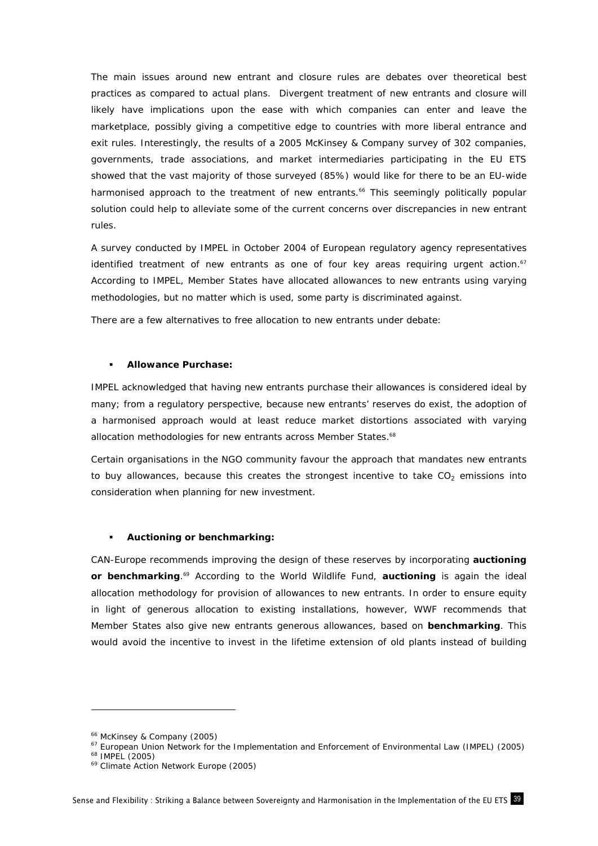The main issues around new entrant and closure rules are debates over theoretical best practices as compared to actual plans. Divergent treatment of new entrants and closure will likely have implications upon the ease with which companies can enter and leave the marketplace, possibly giving a competitive edge to countries with more liberal entrance and exit rules. Interestingly, the results of a 2005 McKinsey & Company survey of 302 companies, governments, trade associations, and market intermediaries participating in the EU ETS showed that the vast majority of those surveyed (85%) would like for there to be an EU-wide harmonised approach to the treatment of new entrants.<sup>66</sup> This seemingly politically popular solution could help to alleviate some of the current concerns over discrepancies in new entrant rules.

A survey conducted by IMPEL in October 2004 of European regulatory agency representatives identified treatment of new entrants as one of four key areas requiring urgent action. $67$ According to IMPEL, Member States have allocated allowances to new entrants using varying methodologies, but no matter which is used, some party is discriminated against.

There are a few alternatives to free allocation to new entrants under debate:

## **Allowance Purchase:**

IMPEL acknowledged that having new entrants purchase their allowances is considered ideal by many; from a regulatory perspective, because new entrants' reserves do exist, the adoption of a harmonised approach would at least reduce market distortions associated with varying allocation methodologies for new entrants across Member States.<sup>68</sup>

Certain organisations in the NGO community favour the approach that mandates new entrants to buy allowances, because this creates the strongest incentive to take  $CO<sub>2</sub>$  emissions into consideration when planning for new investment.

## **Auctioning or benchmarking:**

CAN-Europe recommends improving the design of these reserves by incorporating *auctioning*  or benchmarking.<sup>69</sup> According to the World Wildlife Fund, *auctioning* is again the ideal allocation methodology for provision of allowances to new entrants. In order to ensure equity in light of generous allocation to existing installations, however, WWF recommends that Member States also give new entrants generous allowances, based on *benchmarking*. This would avoid the incentive to invest in the lifetime extension of old plants instead of building

<sup>&</sup>lt;sup>66</sup> McKinsey & Company (2005)<br><sup>67</sup> European Union Network for the Implementation and Enforcement of Environmental Law (IMPEL) (2005)<br><sup>68</sup> IMPEL (2005)<br><sup>69</sup> Climate Action Network Europe (2005)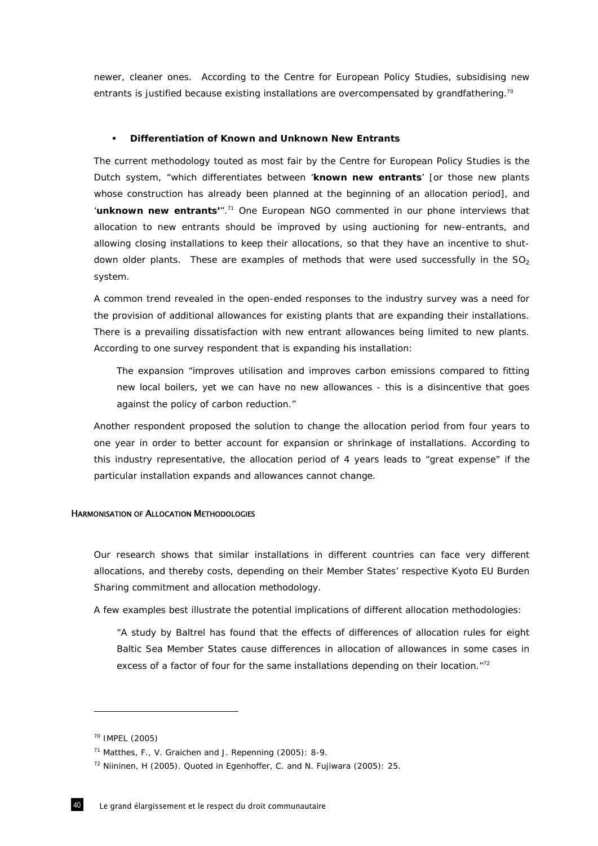newer, cleaner ones. According to the Centre for European Policy Studies, subsidising new entrants is justified because existing installations are overcompensated by grandfathering.<sup>70</sup>

## **Differentiation of Known and Unknown New Entrants**

The current methodology touted as most fair by the Centre for European Policy Studies is the Dutch system, "which differentiates between '*known new entrants*' [or those new plants whose construction has already been planned at the beginning of an allocation period], and '*unknown new entrants*".<sup>71</sup> One European NGO commented in our phone interviews that allocation to new entrants should be improved by using auctioning for new-entrants, and allowing closing installations to keep their allocations, so that they have an incentive to shutdown older plants. These are examples of methods that were used successfully in the  $SO<sub>2</sub>$ system.

A common trend revealed in the open-ended responses to the industry survey was a need for the provision of additional allowances for existing plants that are expanding their installations. There is a prevailing dissatisfaction with new entrant allowances being limited to new plants. According to one survey respondent that is expanding his installation:

The expansion "*improves utilisation and improves carbon emissions compared to fitting new local boilers, yet we can have no new allowances - this is a disincentive that goes against the policy of carbon reduction."* 

Another respondent proposed the solution to change the allocation period from four years to one year in order to better account for expansion or shrinkage of installations. According to this industry representative, the allocation period of 4 years leads to "great expense" if the particular installation expands and allowances cannot change.

## HARMONISATION OF ALLOCATION METHODOLOGIES

Our research shows that similar installations in different countries can face very different allocations, and thereby costs, depending on their Member States' respective Kyoto EU Burden Sharing commitment and allocation methodology.

A few examples best illustrate the potential implications of different allocation methodologies:

*"A study by Baltrel has found that the effects of differences of allocation rules for eight Baltic Sea Member States cause differences in allocation of allowances in some cases in excess of a factor of four for the same installations depending on their location*."72

<sup>70</sup> IMPEL (2005)

<sup>71</sup> Matthes, F., V. Graichen and J. Repenning (2005): 8-9.

<sup>72</sup> Niininen, H (2005). Quoted in Egenhoffer, C. and N. Fujiwara (2005): 25.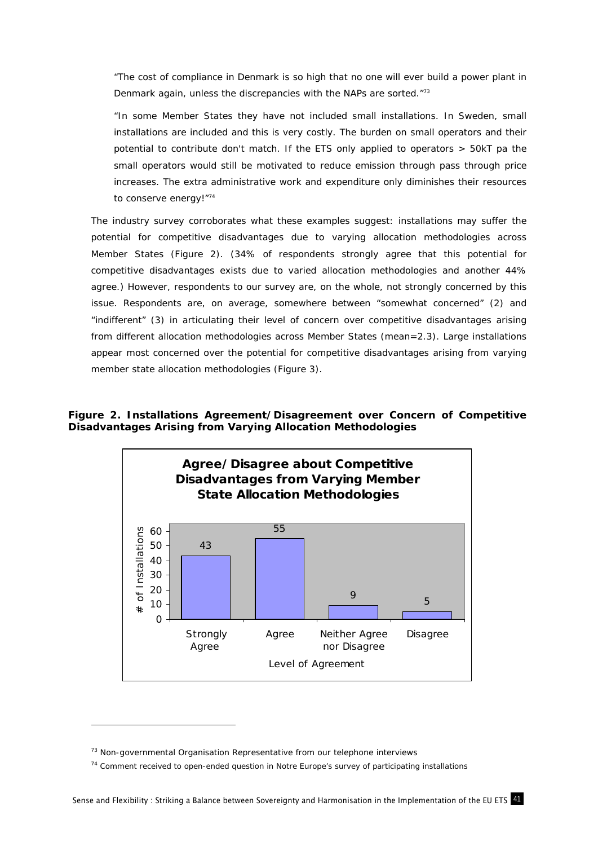*"The cost of compliance in Denmark is so high that no one will ever build a power plant in Denmark again, unless the discrepancies with the NAPs are sorted."73*

*"In some Member States they have not included small installations. In Sweden, small installations are included and this is very costly. The burden on small operators and their potential to contribute don't match. If the ETS only applied to operators > 50kT pa the small operators would still be motivated to reduce emission through pass through price increases. The extra administrative work and expenditure only diminishes their resources to conserve energy!"74*

The industry survey corroborates what these examples suggest: installations may suffer the potential for competitive disadvantages due to varying allocation methodologies across Member States (Figure 2). (34% of respondents strongly agree that this potential for competitive disadvantages exists due to varied allocation methodologies and another 44% agree.) However, respondents to our survey are, on the whole, not strongly concerned by this issue. Respondents are, on average, somewhere between "somewhat concerned" (2) and "indifferent" (3) in articulating their level of concern over competitive disadvantages arising from different allocation methodologies across Member States (mean=2.3). Large installations appear most concerned over the potential for competitive disadvantages arising from varying member state allocation methodologies (Figure 3).

# **Figure 2. Installations Agreement/Disagreement over Concern of Competitive Disadvantages Arising from Varying Allocation Methodologies**



 $73$  Non-governmental Organisation Representative from our telephone interviews

<sup>74</sup> Comment received to open-ended question in *Notre Europe's* survey of participating installations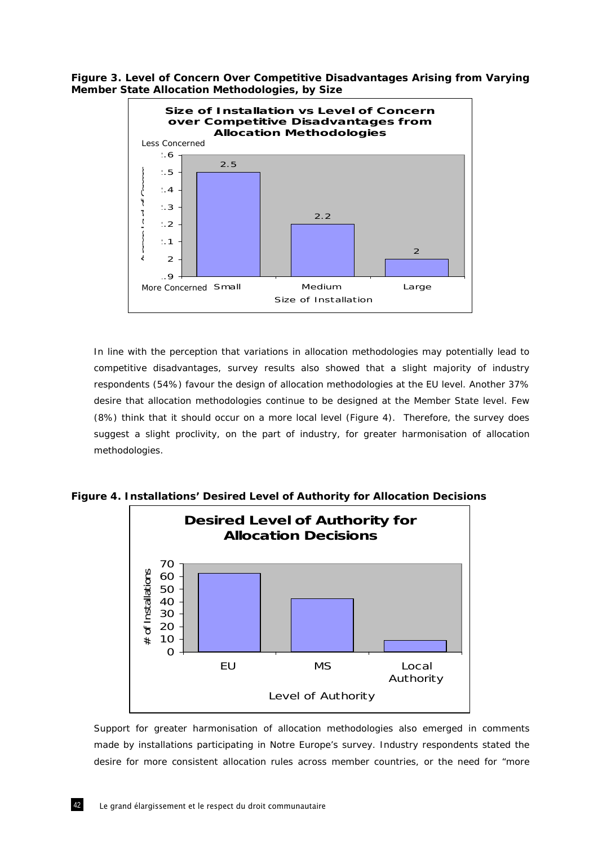**Figure 3. Level of Concern Over Competitive Disadvantages Arising from Varying Member State Allocation Methodologies, by Size** 



In line with the perception that variations in allocation methodologies may potentially lead to competitive disadvantages, survey results also showed that a slight majority of industry respondents (54%) favour the design of allocation methodologies at the EU level. Another 37% desire that allocation methodologies continue to be designed at the Member State level. Few (8%) think that it should occur on a more local level (Figure 4). Therefore, the survey does suggest a slight proclivity, on the part of industry, for greater harmonisation of allocation methodologies.





Support for greater harmonisation of allocation methodologies also emerged in comments made by installations participating in Notre Europe's survey. Industry respondents stated the desire for more consistent allocation rules across member countries, or the need for "more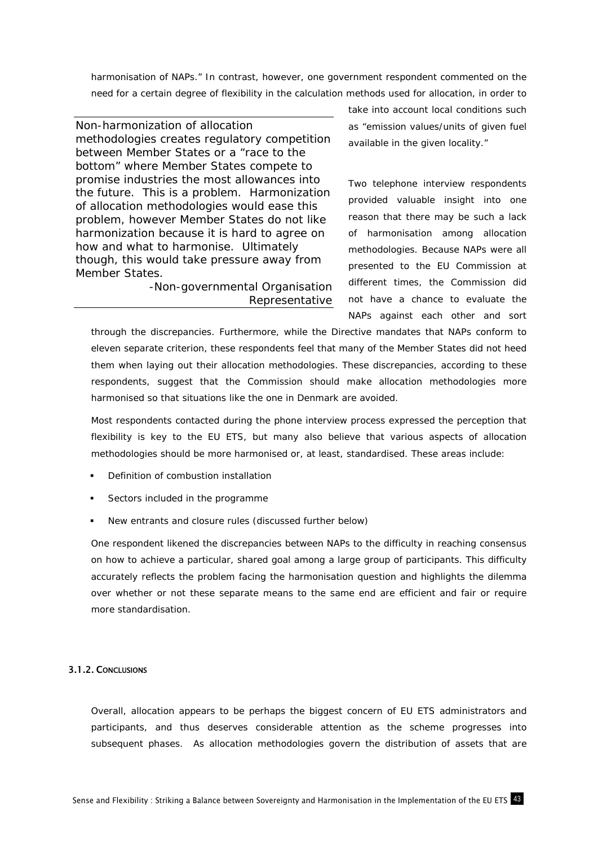harmonisation of NAPs." In contrast, however, one government respondent commented on the need for a certain degree of flexibility in the calculation methods used for allocation, in order to

*Non-harmonization of allocation methodologies creates regulatory competition between Member States or a "race to the bottom" where Member States compete to promise industries the most allowances into the future. This is a problem. Harmonization of allocation methodologies would ease this problem, however Member States do not like harmonization because it is hard to agree on how and what to harmonise. Ultimately though, this would take pressure away from Member States.* 

> -Non-governmental Organisation Representative

take into account local conditions such as "emission values/units of given fuel available in the given locality."

Two telephone interview respondents provided valuable insight into one reason that there may be such a lack of harmonisation among allocation methodologies. Because NAPs were all presented to the EU Commission at different times, the Commission did not have a chance to evaluate the NAPs against each other and sort

through the discrepancies. Furthermore, while the Directive mandates that NAPs conform to eleven separate criterion, these respondents feel that many of the Member States did not heed them when laying out their allocation methodologies. These discrepancies, according to these respondents, suggest that the Commission should make allocation methodologies more harmonised so that situations like the one in Denmark are avoided.

Most respondents contacted during the phone interview process expressed the perception that flexibility is key to the EU ETS, but many also believe that various aspects of allocation methodologies should be more harmonised or, at least, standardised. These areas include:

- Definition of combustion installation
- **Sectors included in the programme**
- New entrants and closure rules (discussed further below)

One respondent likened the discrepancies between NAPs to the difficulty in reaching consensus on how to achieve a particular, shared goal among a large group of participants. This difficulty accurately reflects the problem facing the harmonisation question and highlights the dilemma over whether or not these separate means to the same end are efficient and fair or require more standardisation.

## 3.1.2. CONCLUSIONS

Overall, allocation appears to be perhaps the biggest concern of EU ETS administrators and participants, and thus deserves considerable attention as the scheme progresses into subsequent phases. As allocation methodologies govern the distribution of assets that are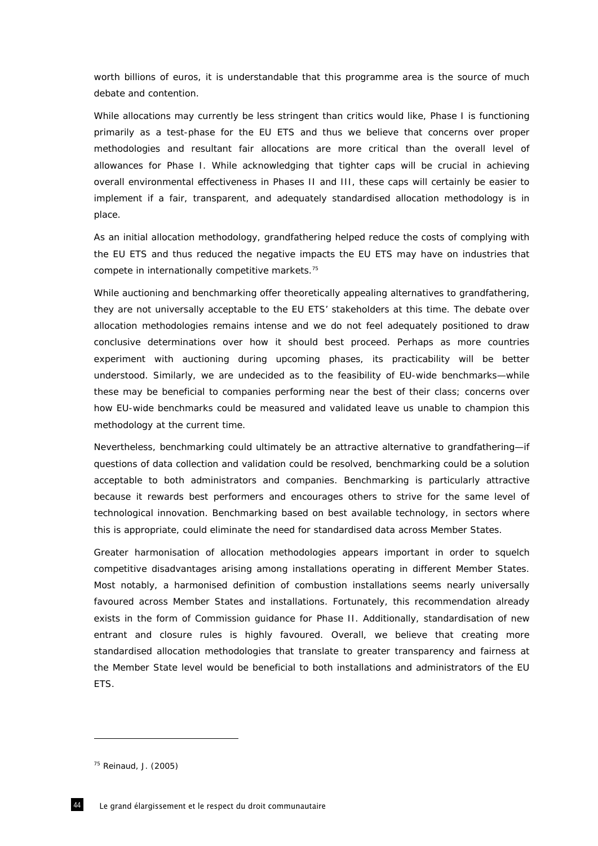worth billions of euros, it is understandable that this programme area is the source of much debate and contention.

While allocations may currently be less stringent than critics would like, Phase I is functioning primarily as a test-phase for the EU ETS and thus we believe that concerns over proper methodologies and resultant fair allocations are more critical than the overall level of allowances for Phase I. While acknowledging that tighter caps will be crucial in achieving overall environmental effectiveness in Phases II and III, these caps will certainly be easier to implement if a fair, transparent, and adequately standardised allocation methodology is in place.

As an initial allocation methodology, grandfathering helped reduce the costs of complying with the EU ETS and thus reduced the negative impacts the EU ETS may have on industries that compete in internationally competitive markets.75

While auctioning and benchmarking offer theoretically appealing alternatives to grandfathering, they are not universally acceptable to the EU ETS' stakeholders at this time. The debate over allocation methodologies remains intense and we do not feel adequately positioned to draw conclusive determinations over how it should best proceed. Perhaps as more countries experiment with auctioning during upcoming phases, its practicability will be better understood. Similarly, we are undecided as to the feasibility of EU-wide benchmarks—while these may be beneficial to companies performing near the best of their class; concerns over how EU-wide benchmarks could be measured and validated leave us unable to champion this methodology at the current time.

Nevertheless, benchmarking could ultimately be an attractive alternative to grandfathering—if questions of data collection and validation could be resolved, benchmarking could be a solution acceptable to both administrators and companies. Benchmarking is particularly attractive because it rewards best performers and encourages others to strive for the same level of technological innovation. Benchmarking based on best available technology, in sectors where this is appropriate, could eliminate the need for standardised data across Member States.

Greater harmonisation of allocation methodologies appears important in order to squelch competitive disadvantages arising among installations operating in different Member States. Most notably, a harmonised definition of combustion installations seems nearly universally favoured across Member States and installations. Fortunately, this recommendation already exists in the form of Commission guidance for Phase II. Additionally, standardisation of new entrant and closure rules is highly favoured. Overall, we believe that creating more standardised allocation methodologies that translate to greater transparency and fairness at the Member State level would be beneficial to both installations and administrators of the EU ETS.

<sup>75</sup> Reinaud, J. (2005)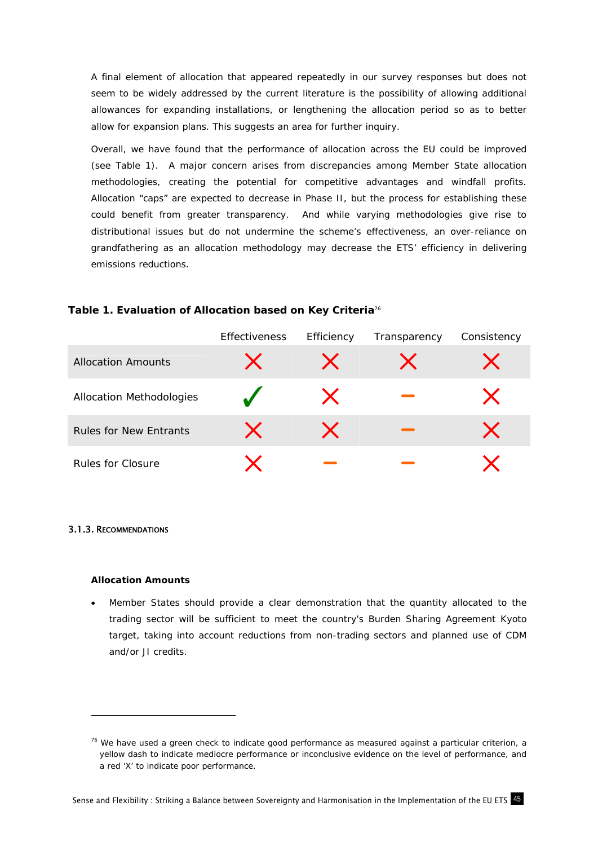A final element of allocation that appeared repeatedly in our survey responses but does not seem to be widely addressed by the current literature is the possibility of allowing additional allowances for expanding installations, or lengthening the allocation period so as to better allow for expansion plans. This suggests an area for further inquiry.

Overall, we have found that the performance of allocation across the EU could be improved (see Table 1). A major concern arises from discrepancies among Member State allocation methodologies, creating the potential for competitive advantages and windfall profits. Allocation "caps" are expected to decrease in Phase II, but the process for establishing these could benefit from greater transparency. And while varying methodologies give rise to distributional issues but do not undermine the scheme's effectiveness, an over-reliance on grandfathering as an allocation methodology may decrease the ETS' efficiency in delivering emissions reductions.

# **Table 1. Evaluation of Allocation based on Key Criteria**<sup>76</sup>

|                               | <b>Effectiveness</b> | Efficiency | Transparency | Consistency |
|-------------------------------|----------------------|------------|--------------|-------------|
| <b>Allocation Amounts</b>     |                      |            |              |             |
| Allocation Methodologies      |                      |            |              |             |
| <b>Rules for New Entrants</b> |                      |            |              |             |
| Rules for Closure             |                      |            |              |             |

### 3.1.3. RECOMMENDATIONS

-

### **Allocation Amounts**

• Member States should provide a clear demonstration that the quantity allocated to the trading sector will be sufficient to meet the country's Burden Sharing Agreement Kyoto target, taking into account reductions from non-trading sectors and planned use of CDM and/or JI credits.

 $76$  We have used a green check to indicate good performance as measured against a particular criterion, a yellow dash to indicate mediocre performance or inconclusive evidence on the level of performance, and a red 'X' to indicate poor performance.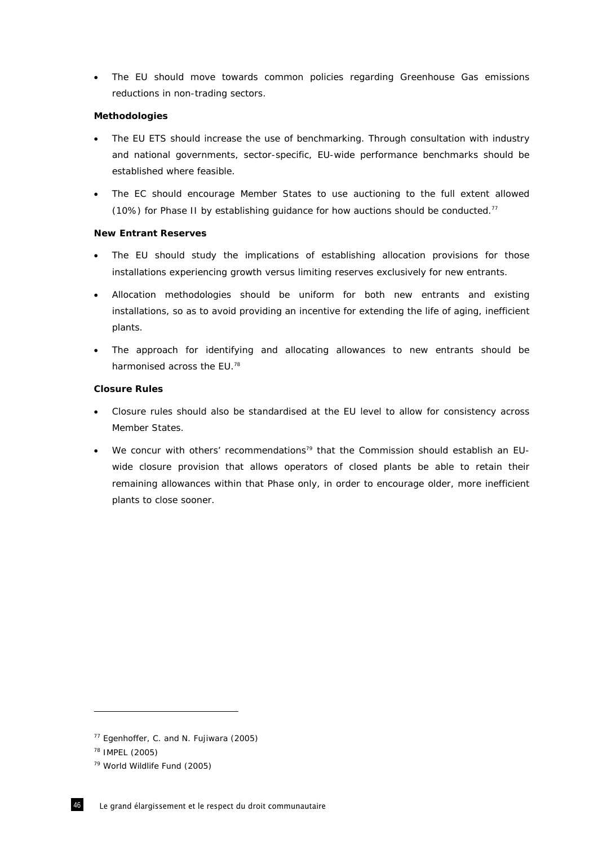• The EU should move towards common policies regarding Greenhouse Gas emissions reductions in non-trading sectors.

## **Methodologies**

- The EU ETS should increase the use of benchmarking. Through consultation with industry and national governments, sector-specific, EU-wide performance benchmarks should be established where feasible.
- The EC should encourage Member States to use auctioning to the full extent allowed (10%) for Phase II by establishing guidance for how auctions should be conducted.77

# **New Entrant Reserves**

- The EU should study the implications of establishing allocation provisions for those installations experiencing growth versus limiting reserves exclusively for new entrants.
- Allocation methodologies should be uniform for both new entrants and existing installations, so as to avoid providing an incentive for extending the life of aging, inefficient plants.
- The approach for identifying and allocating allowances to new entrants should be harmonised across the EU.<sup>78</sup>

# **Closure Rules**

- Closure rules should also be standardised at the EU level to allow for consistency across Member States.
- We concur with others' recommendations<sup>79</sup> that the Commission should establish an EUwide closure provision that allows operators of closed plants be able to retain their remaining allowances within that Phase only, in order to encourage older, more inefficient plants to close sooner.

<sup>77</sup> Egenhoffer, C. and N. Fujiwara (2005)

<sup>78</sup> IMPEL (2005)

<sup>79</sup> World Wildlife Fund (2005)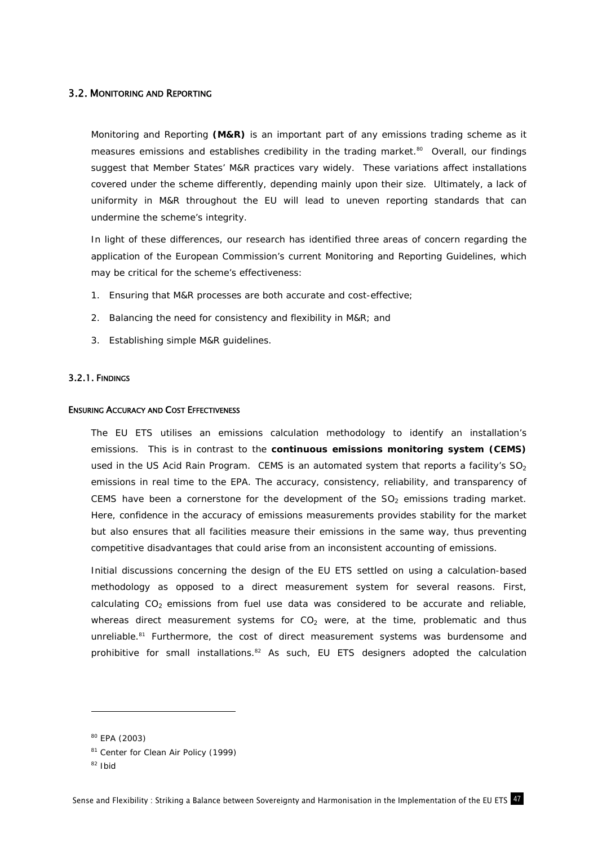## 3.2. MONITORING AND REPORTING

Monitoring and Reporting *(M&R)* is an important part of any emissions trading scheme as it measures emissions and establishes credibility in the trading market.<sup>80</sup> Overall, our findings suggest that Member States' M&R practices vary widely. These variations affect installations covered under the scheme differently, depending mainly upon their size. Ultimately, a lack of uniformity in M&R throughout the EU will lead to uneven reporting standards that can undermine the scheme's integrity.

In light of these differences, our research has identified three areas of concern regarding the application of the European Commission's current Monitoring and Reporting Guidelines, which may be critical for the scheme's effectiveness:

- 1. Ensuring that M&R processes are both accurate and cost-effective;
- 2. Balancing the need for consistency and flexibility in M&R; and
- 3. Establishing simple M&R guidelines.

### 3.2.1. FINDINGS

### ENSURING ACCURACY AND COST EFFECTIVENESS

The EU ETS utilises an emissions calculation methodology to identify an installation's emissions. This is in contrast to the *continuous emissions monitoring system (CEMS)* used in the US Acid Rain Program. CEMS is an automated system that reports a facility's  $SO_2$ emissions in real time to the EPA. The accuracy, consistency, reliability, and transparency of CEMS have been a cornerstone for the development of the  $SO<sub>2</sub>$  emissions trading market. Here, confidence in the accuracy of emissions measurements provides stability for the market but also ensures that all facilities measure their emissions in the same way, thus preventing competitive disadvantages that could arise from an inconsistent accounting of emissions.

Initial discussions concerning the design of the EU ETS settled on using a calculation-based methodology as opposed to a direct measurement system for several reasons. First, calculating  $CO<sub>2</sub>$  emissions from fuel use data was considered to be accurate and reliable, whereas direct measurement systems for  $CO<sub>2</sub>$  were, at the time, problematic and thus unreliable.<sup>81</sup> Furthermore, the cost of direct measurement systems was burdensome and prohibitive for small installations.<sup>82</sup> As such, EU ETS designers adopted the calculation

<sup>80</sup> EPA (2003)

<sup>81</sup> Center for Clean Air Policy (1999)

 $82$  Ibid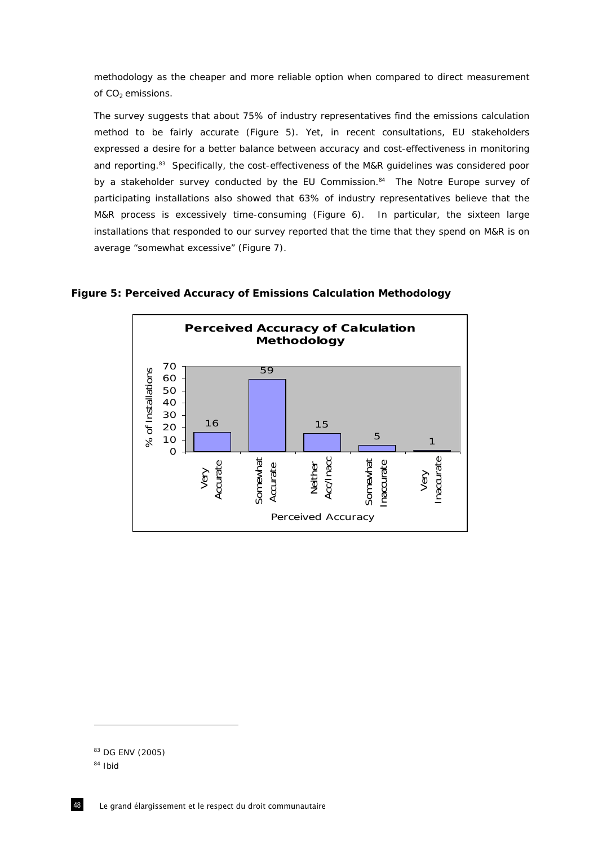methodology as the cheaper and more reliable option when compared to direct measurement of CO<sub>2</sub> emissions.

The survey suggests that about 75% of industry representatives find the emissions calculation method to be fairly accurate (Figure 5). Yet, in recent consultations, EU stakeholders expressed a desire for a better balance between accuracy and cost-effectiveness in monitoring and reporting.<sup>83</sup> Specifically, the cost-effectiveness of the M&R guidelines was considered poor by a stakeholder survey conducted by the EU Commission.<sup>84</sup> The *Notre Europe* survey of participating installations also showed that 63% of industry representatives believe that the M&R process is excessively time-consuming (Figure 6). In particular, the sixteen large installations that responded to our survey reported that the time that they spend on M&R is on average "somewhat excessive" (Figure 7).



**Figure 5: Perceived Accuracy of Emissions Calculation Methodology** 

<sup>83</sup> DG ENV (2005)

<sup>84</sup> Ibid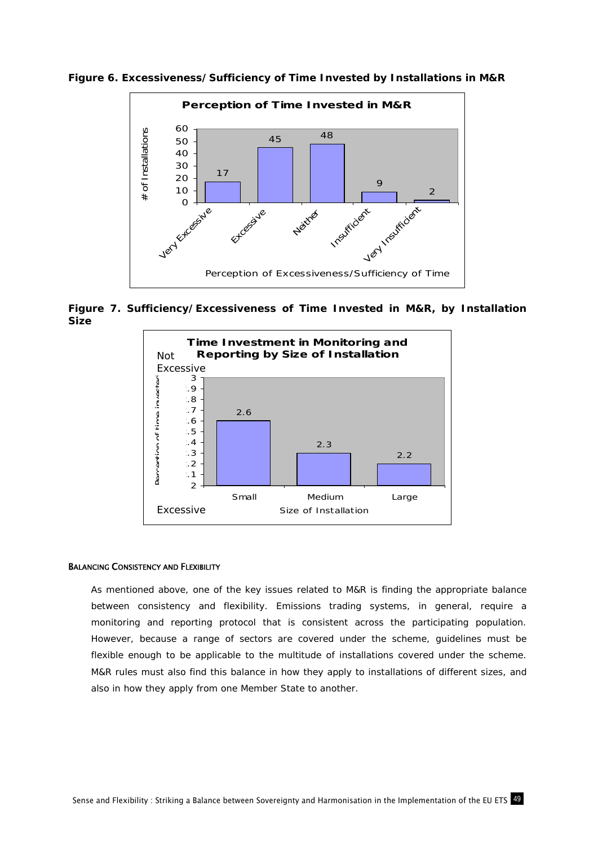**Figure 6. Excessiveness/Sufficiency of Time Invested by Installations in M&R** 



**Figure 7. Sufficiency/Excessiveness of Time Invested in M&R, by Installation Size** 



#### BALANCING CONSISTENCY AND FLEXIBILITY

As mentioned above, one of the key issues related to M&R is finding the appropriate balance between consistency and flexibility. Emissions trading systems, in general, require a monitoring and reporting protocol that is consistent across the participating population. However, because a range of sectors are covered under the scheme, guidelines must be flexible enough to be applicable to the multitude of installations covered under the scheme. M&R rules must also find this balance in how they apply to installations of different sizes, and also in how they apply from one Member State to another.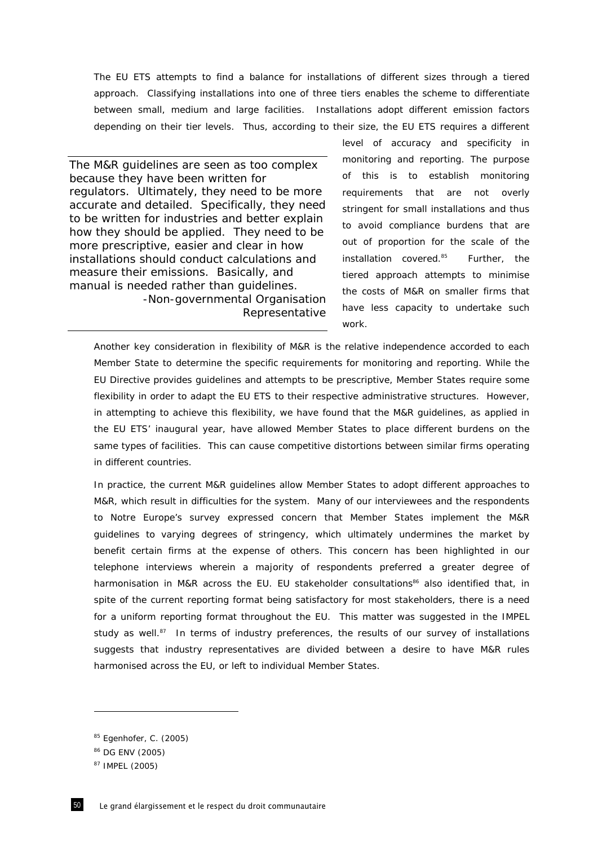The EU ETS attempts to find a balance for installations of different sizes through a tiered approach. Classifying installations into one of three tiers enables the scheme to differentiate between small, medium and large facilities. Installations adopt different emission factors depending on their tier levels. Thus, according to their size, the EU ETS requires a different

*The M&R guidelines are seen as too complex because they have been written for regulators. Ultimately, they need to be more accurate and detailed. Specifically, they need to be written for industries and better explain how they should be applied. They need to be more prescriptive, easier and clear in how installations should conduct calculations and measure their emissions. Basically, and manual is needed rather than guidelines.*  -Non-governmental Organisation

level of accuracy and specificity in monitoring and reporting. The purpose of this is to establish monitoring requirements that are not overly stringent for small installations and thus to avoid compliance burdens that are out of proportion for the scale of the installation covered. $85$  Further, the tiered approach attempts to minimise the costs of M&R on smaller firms that have less capacity to undertake such work.

Another key consideration in flexibility of M&R is the relative independence accorded to each Member State to determine the specific requirements for monitoring and reporting. While the EU Directive provides guidelines and attempts to be prescriptive, Member States require some flexibility in order to adapt the EU ETS to their respective administrative structures. However, in attempting to achieve this flexibility, we have found that the M&R guidelines, as applied in the EU ETS' inaugural year, have allowed Member States to place different burdens on the same types of facilities. This can cause competitive distortions between similar firms operating in different countries.

Representative

In practice, the current M&R guidelines allow Member States to adopt different approaches to M&R, which result in difficulties for the system. Many of our interviewees and the respondents to *Notre Europe's* survey expressed concern that Member States implement the M&R guidelines to varying degrees of stringency, which ultimately undermines the market by benefit certain firms at the expense of others. This concern has been highlighted in our telephone interviews wherein a majority of respondents preferred a greater degree of harmonisation in M&R across the EU. EU stakeholder consultations<sup>86</sup> also identified that, in spite of the current reporting format being satisfactory for most stakeholders, there is a need for a uniform reporting format throughout the EU. This matter was suggested in the IMPEL study as well.<sup>87</sup> In terms of industry preferences, the results of our survey of installations suggests that industry representatives are divided between a desire to have M&R rules harmonised across the EU, or left to individual Member States.

<sup>85</sup> Egenhofer, C. (2005)

<sup>86</sup> DG ENV (2005)

<sup>87</sup> IMPEL (2005)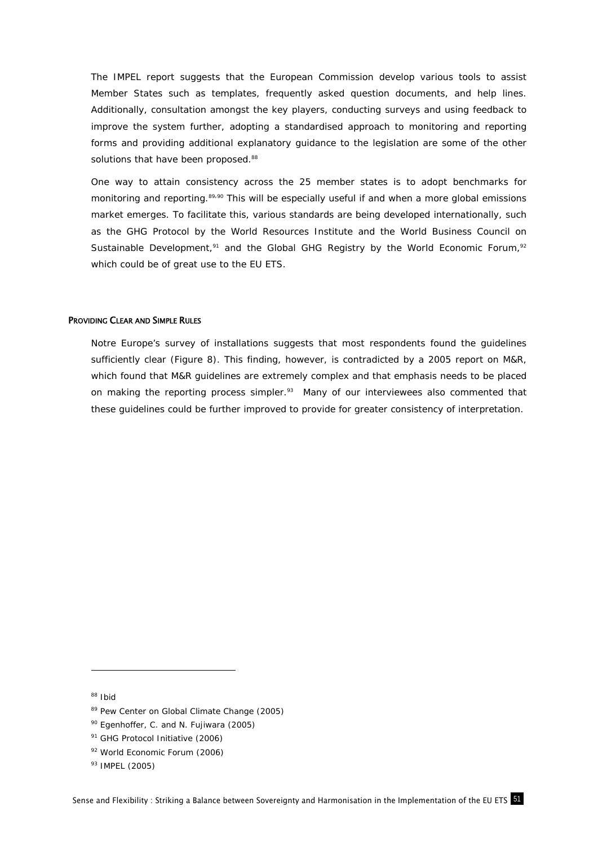The IMPEL report suggests that the European Commission develop various tools to assist Member States such as templates, frequently asked question documents, and help lines. Additionally, consultation amongst the key players, conducting surveys and using feedback to improve the system further, adopting a standardised approach to monitoring and reporting forms and providing additional explanatory guidance to the legislation are some of the other solutions that have been proposed.<sup>88</sup>

One way to attain consistency across the 25 member states is to adopt benchmarks for monitoring and reporting.<sup>89,90</sup> This will be especially useful if and when a more global emissions market emerges. To facilitate this, various standards are being developed internationally, such as the GHG Protocol by the World Resources Institute and the World Business Council on Sustainable Development,<sup>91</sup> and the Global GHG Registry by the World Economic Forum,<sup>92</sup> which could be of great use to the EU ETS.

### PROVIDING CLEAR AND SIMPLE RULES

*Notre Europe's* survey of installations suggests that most respondents found the guidelines sufficiently clear (Figure 8). This finding, however, is contradicted by a 2005 report on M&R, which found that M&R guidelines are extremely complex and that emphasis needs to be placed on making the reporting process simpler. $93$  Many of our interviewees also commented that these guidelines could be further improved to provide for greater consistency of interpretation.

88 Ibid

<sup>89</sup> Pew Center on Global Climate Change (2005)

<sup>90</sup> Egenhoffer, C. and N. Fujiwara (2005)

<sup>&</sup>lt;sup>91</sup> GHG Protocol Initiative (2006)

<sup>92</sup> World Economic Forum (2006)

<sup>93</sup> IMPEL (2005)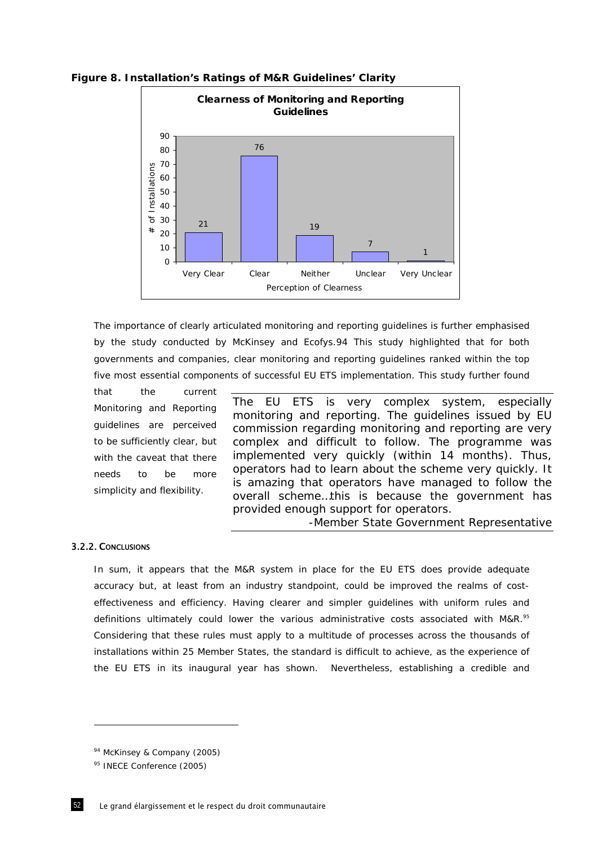

## **Figure 8. Installation's Ratings of M&R Guidelines' Clarity**

The importance of clearly articulated monitoring and reporting guidelines is further emphasised by the study conducted by McKinsey and Ecofys.94 This study highlighted that for both governments and companies, clear monitoring and reporting guidelines ranked within the top five most essential components of successful EU ETS implementation. This study further found

that the current Monitoring and Reporting guidelines are perceived to be sufficiently clear, but with the caveat that there needs to be more simplicity and flexibility.

*The EU ETS is very complex system, especially monitoring and reporting. The guidelines issued by EU commission regarding monitoring and reporting are very complex and difficult to follow. The programme was implemented very quickly (within 14 months). Thus, operators had to learn about the scheme very quickly. It is amazing that operators have managed to follow the overall scheme…this is because the government has provided enough support for operators.* 

-Member State Government Representative

## 3.2.2. CONCLUSIONS

ł

In sum, it appears that the M&R system in place for the EU ETS does provide adequate accuracy but, at least from an industry standpoint, could be improved the realms of costeffectiveness and efficiency. Having clearer and simpler guidelines with uniform rules and definitions ultimately could lower the various administrative costs associated with M&R.<sup>95</sup> Considering that these rules must apply to a multitude of processes across the thousands of installations within 25 Member States, the standard is difficult to achieve, as the experience of the EU ETS in its inaugural year has shown. Nevertheless, establishing a credible and

<sup>&</sup>lt;sup>94</sup> McKinsey & Company (2005)

<sup>95</sup> INECE Conference (2005)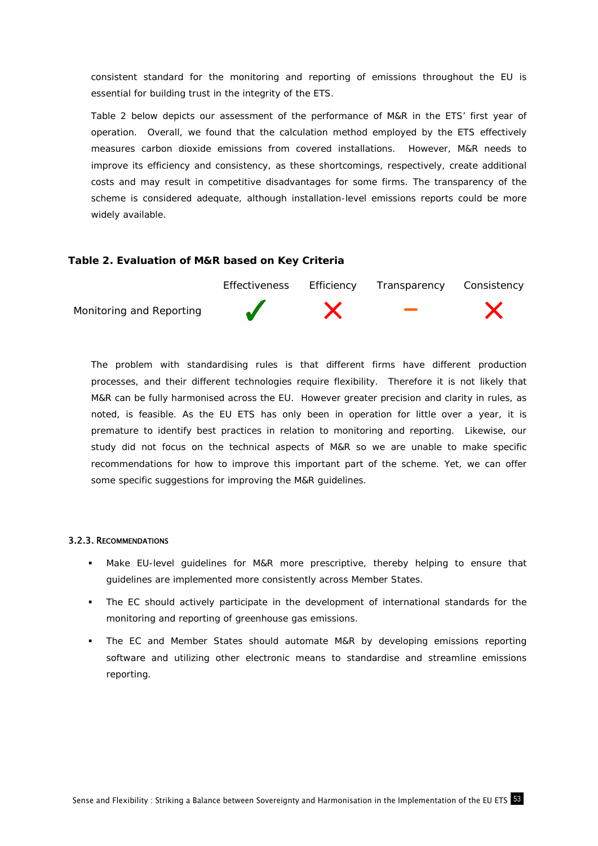consistent standard for the monitoring and reporting of emissions throughout the EU is essential for building trust in the integrity of the ETS.

Table 2 below depicts our assessment of the performance of M&R in the ETS' first year of operation. Overall, we found that the calculation method employed by the ETS effectively measures carbon dioxide emissions from covered installations. However, M&R needs to improve its efficiency and consistency, as these shortcomings, respectively, create additional costs and may result in competitive disadvantages for some firms. The transparency of the scheme is considered adequate, although installation-level emissions reports could be more widely available.

# **Table 2. Evaluation of M&R based on Key Criteria**



The problem with standardising rules is that different firms have different production processes, and their different technologies require flexibility. Therefore it is not likely that M&R can be fully harmonised across the EU. However greater precision and clarity in rules, as noted, is feasible. As the EU ETS has only been in operation for little over a year, it is premature to identify best practices in relation to monitoring and reporting. Likewise, our study did not focus on the technical aspects of M&R so we are unable to make specific recommendations for how to improve this important part of the scheme. Yet, we can offer some specific suggestions for improving the M&R guidelines.

## 3.2.3. RECOMMENDATIONS

- Make EU-level guidelines for M&R more prescriptive, thereby helping to ensure that guidelines are implemented more consistently across Member States.
- The EC should actively participate in the development of international standards for the monitoring and reporting of greenhouse gas emissions.
- The EC and Member States should automate M&R by developing emissions reporting software and utilizing other electronic means to standardise and streamline emissions reporting.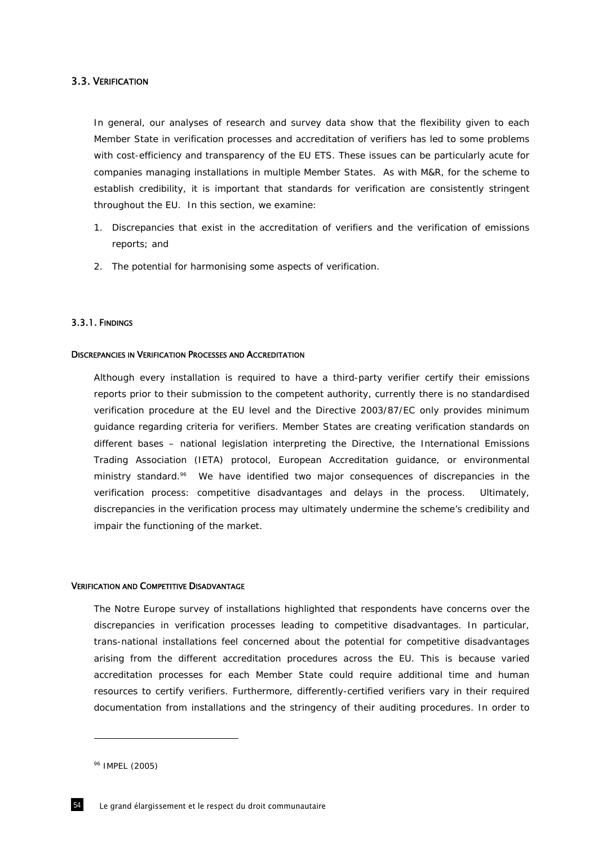## 3.3. VERIFICATION

In general, our analyses of research and survey data show that the flexibility given to each Member State in verification processes and accreditation of verifiers has led to some problems with cost-efficiency and transparency of the EU ETS. These issues can be particularly acute for companies managing installations in multiple Member States. As with M&R, for the scheme to establish credibility, it is important that standards for verification are consistently stringent throughout the EU. In this section, we examine:

- 1. Discrepancies that exist in the accreditation of verifiers and the verification of emissions reports; and
- 2. The potential for harmonising some aspects of verification.

### 3.3.1. FINDINGS

#### DISCREPANCIES IN VERIFICATION PROCESSES AND ACCREDITATION

Although every installation is required to have a third-party verifier certify their emissions reports prior to their submission to the competent authority, currently there is no standardised verification procedure at the EU level and the Directive 2003/87/EC only provides minimum guidance regarding criteria for verifiers. Member States are creating verification standards on different bases – national legislation interpreting the Directive, the International Emissions Trading Association (IETA) protocol, European Accreditation guidance, or environmental ministry standard.<sup>96</sup> We have identified two major consequences of discrepancies in the verification process: competitive disadvantages and delays in the process. Ultimately, discrepancies in the verification process may ultimately undermine the scheme's credibility and impair the functioning of the market.

#### VERIFICATION AND COMPETITIVE DISADVANTAGE

The *Notre Europe* survey of installations highlighted that respondents have concerns over the discrepancies in verification processes leading to competitive disadvantages. In particular, trans-national installations feel concerned about the potential for competitive disadvantages arising from the different accreditation procedures across the EU. This is because varied accreditation processes for each Member State could require additional time and human resources to certify verifiers. Furthermore, differently-certified verifiers vary in their required documentation from installations and the stringency of their auditing procedures. In order to

<sup>96</sup> IMPEL (2005)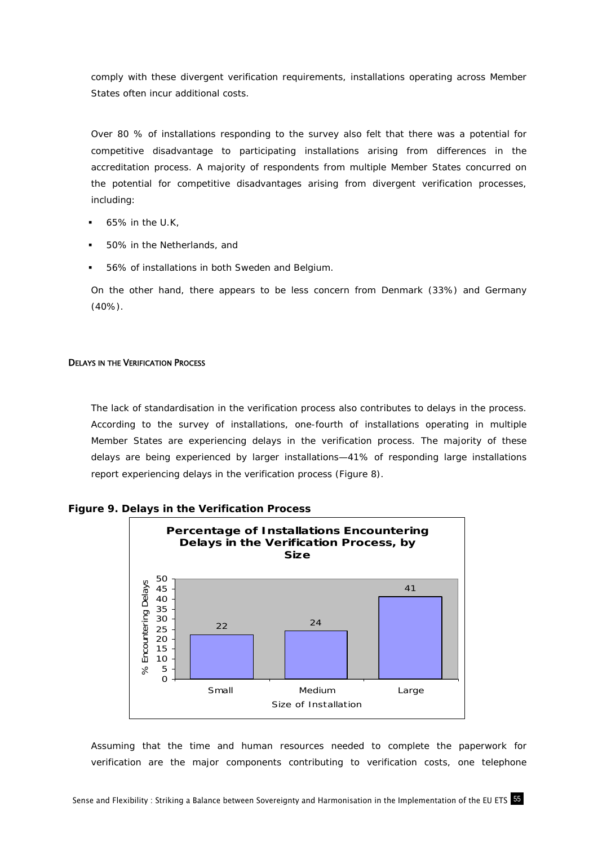comply with these divergent verification requirements, installations operating across Member States often incur additional costs.

Over 80 % of installations responding to the survey also felt that there was a potential for competitive disadvantage to participating installations arising from differences in the accreditation process. A majority of respondents from multiple Member States concurred on the potential for competitive disadvantages arising from divergent verification processes, including:

- 65% in the U.K,
- 50% in the Netherlands, and
- 56% of installations in both Sweden and Belgium.

On the other hand, there appears to be less concern from Denmark (33%) and Germany (40%).

## **DELAYS IN THE VERIFICATION PROCESS**

The lack of standardisation in the verification process also contributes to delays in the process. According to the survey of installations, one-fourth of installations operating in multiple Member States are experiencing delays in the verification process. The majority of these delays are being experienced by larger installations—41% of responding large installations report experiencing delays in the verification process (Figure 8).





Assuming that the time and human resources needed to complete the paperwork for verification are the major components contributing to verification costs, one telephone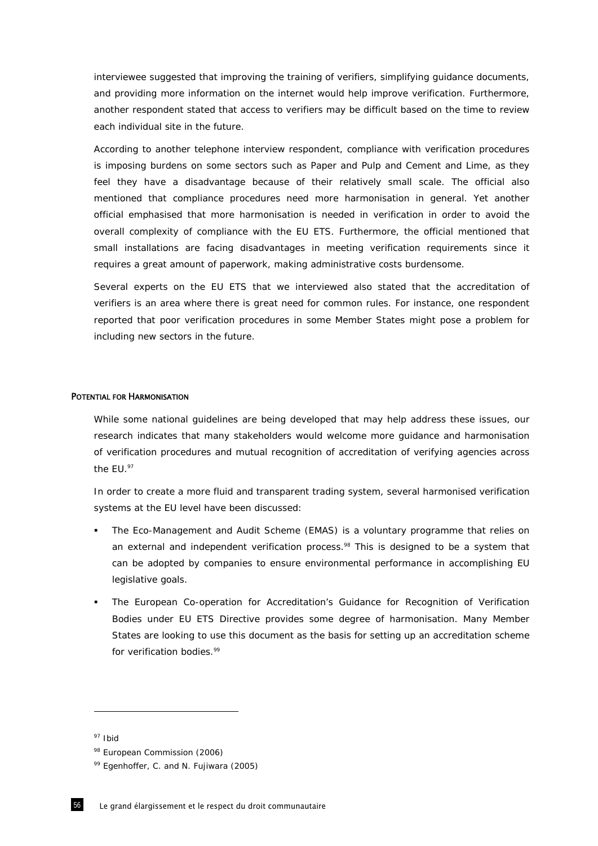interviewee suggested that improving the training of verifiers, simplifying guidance documents, and providing more information on the internet would help improve verification. Furthermore, another respondent stated that access to verifiers may be difficult based on the time to review each individual site in the future.

According to another telephone interview respondent, compliance with verification procedures is imposing burdens on some sectors such as Paper and Pulp and Cement and Lime, as they feel they have a disadvantage because of their relatively small scale. The official also mentioned that compliance procedures need more harmonisation in general. Yet another official emphasised that more harmonisation is needed in verification in order to avoid the overall complexity of compliance with the EU ETS. Furthermore, the official mentioned that small installations are facing disadvantages in meeting verification requirements since it requires a great amount of paperwork, making administrative costs burdensome.

Several experts on the EU ETS that we interviewed also stated that the accreditation of verifiers is an area where there is great need for common rules. For instance, one respondent reported that poor verification procedures in some Member States might pose a problem for including new sectors in the future.

#### POTENTIAL FOR HARMONISATION

While some national guidelines are being developed that may help address these issues, our research indicates that many stakeholders would welcome more guidance and harmonisation of verification procedures and mutual recognition of accreditation of verifying agencies across the EU.<sup>97</sup>

In order to create a more fluid and transparent trading system, several harmonised verification systems at the EU level have been discussed:

- The Eco-Management and Audit Scheme (EMAS) is a voluntary programme that relies on an external and independent verification process.<sup>98</sup> This is designed to be a system that can be adopted by companies to ensure environmental performance in accomplishing EU legislative goals.
- The European Co-operation for Accreditation's Guidance for Recognition of Verification Bodies under EU ETS Directive provides some degree of harmonisation. Many Member States are looking to use this document as the basis for setting up an accreditation scheme for verification bodies.<sup>99</sup>

<sup>97</sup> Ibid

<sup>98</sup> European Commission (2006)

<sup>99</sup> Egenhoffer, C. and N. Fujiwara (2005)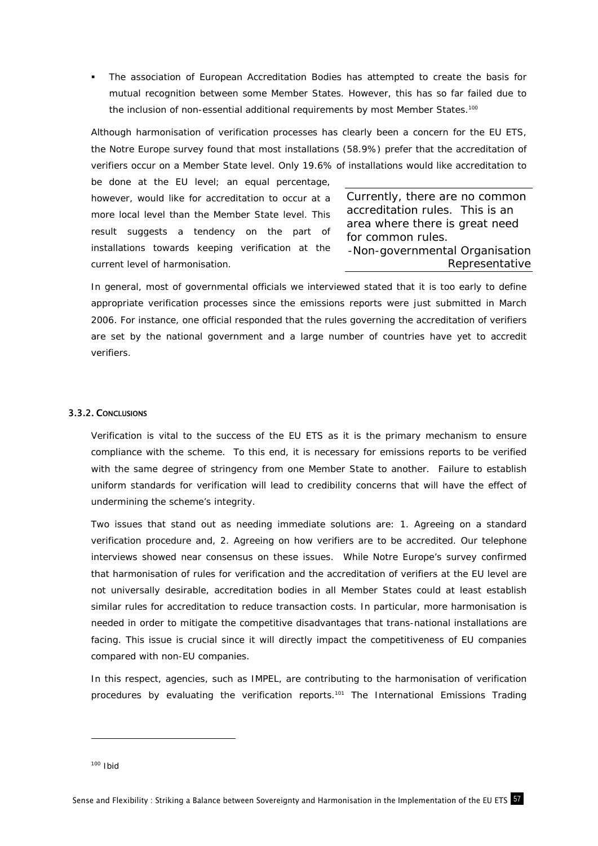The association of European Accreditation Bodies has attempted to create the basis for mutual recognition between some Member States. However, this has so far failed due to the inclusion of non-essential additional requirements by most Member States.<sup>100</sup>

Although harmonisation of verification processes has clearly been a concern for the EU ETS, the *Notre Europe* survey found that most installations (58.9%) prefer that the accreditation of verifiers occur on a Member State level. Only 19.6% of installations would like accreditation to

be done at the EU level; an equal percentage, however, would like for accreditation to occur at a more local level than the Member State level. This result suggests a tendency on the part of installations towards keeping verification at the current level of harmonisation.

*Currently, there are no common accreditation rules. This is an area where there is great need for common rules.*  -Non-governmental Organisation Representative

In general, most of governmental officials we interviewed stated that it is too early to define appropriate verification processes since the emissions reports were just submitted in March 2006. For instance, one official responded that the rules governing the accreditation of verifiers are set by the national government and a large number of countries have yet to accredit verifiers.

## 3.3.2. CONCLUSIONS

Verification is vital to the success of the EU ETS as it is the primary mechanism to ensure compliance with the scheme. To this end, it is necessary for emissions reports to be verified with the same degree of stringency from one Member State to another. Failure to establish uniform standards for verification will lead to credibility concerns that will have the effect of undermining the scheme's integrity.

Two issues that stand out as needing immediate solutions are: 1. Agreeing on a standard verification procedure and, 2. Agreeing on how verifiers are to be accredited. Our telephone interviews showed near consensus on these issues. While *Notre Europe*'s survey confirmed that harmonisation of rules for verification and the accreditation of verifiers at the EU level are not universally desirable, accreditation bodies in all Member States could at least establish similar rules for accreditation to reduce transaction costs. In particular, more harmonisation is needed in order to mitigate the competitive disadvantages that trans-national installations are facing. This issue is crucial since it will directly impact the competitiveness of EU companies compared with non-EU companies.

In this respect, agencies, such as IMPEL, are contributing to the harmonisation of verification procedures by evaluating the verification reports.<sup>101</sup> The International Emissions Trading

 $100$  Ibid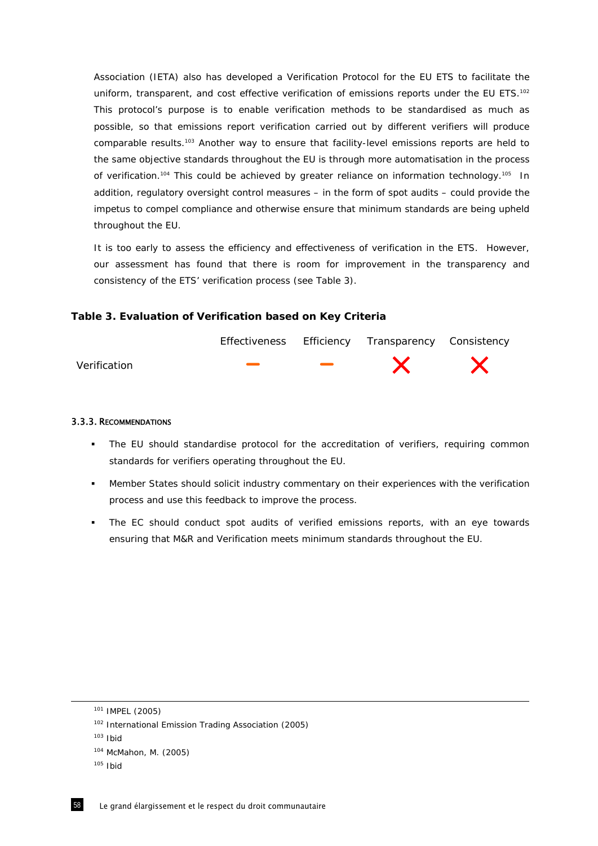Association (IETA) also has developed a Verification Protocol for the EU ETS to facilitate the uniform, transparent, and cost effective verification of emissions reports under the EU ETS.<sup>102</sup> This protocol's purpose is to enable verification methods to be standardised as much as possible, so that emissions report verification carried out by different verifiers will produce comparable results.<sup>103</sup> Another way to ensure that facility-level emissions reports are held to the same objective standards throughout the EU is through more automatisation in the process of verification.<sup>104</sup> This could be achieved by greater reliance on information technology.<sup>105</sup> In addition, regulatory oversight control measures – in the form of spot audits – could provide the impetus to compel compliance and otherwise ensure that minimum standards are being upheld throughout the EU.

It is too early to assess the efficiency and effectiveness of verification in the ETS. However, our assessment has found that there is room for improvement in the transparency and consistency of the ETS' verification process (see Table 3).

# **Table 3. Evaluation of Verification based on Key Criteria**



## 3.3.3. RECOMMENDATIONS

- The EU should standardise protocol for the accreditation of verifiers, requiring common standards for verifiers operating throughout the EU.
- Member States should solicit industry commentary on their experiences with the verification process and use this feedback to improve the process.
- The EC should conduct spot audits of verified emissions reports, with an eye towards ensuring that M&R and Verification meets minimum standards throughout the EU.

<sup>101</sup> IMPEL (2005)

<sup>102</sup> International Emission Trading Association (2005)

 $103$  Ibid

<sup>104</sup> McMahon, M. (2005)

 $105$  Ibid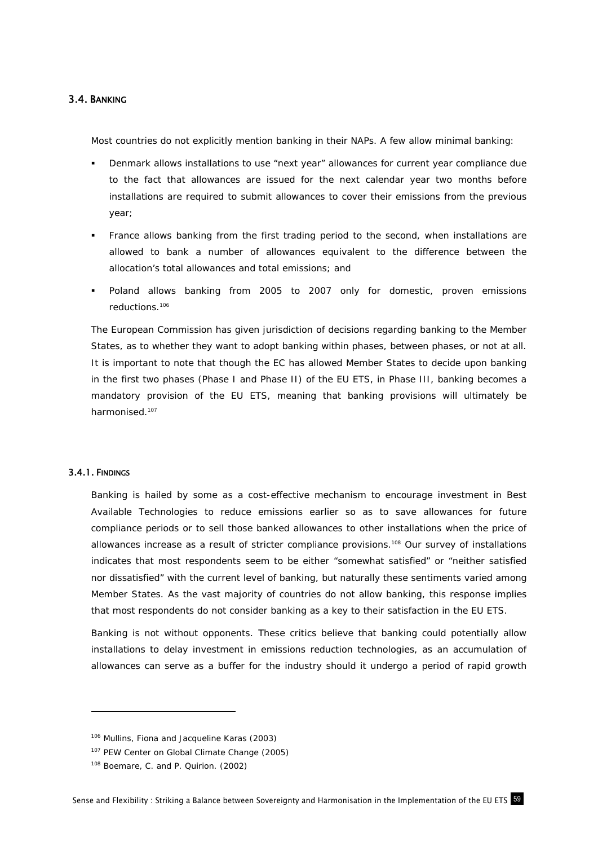# 3.4. BANKING

Most countries do not explicitly mention banking in their NAPs. A few allow minimal banking:

- Denmark allows installations to use "next year" allowances for current year compliance due to the fact that allowances are issued for the next calendar year two months before installations are required to submit allowances to cover their emissions from the previous year;
- France allows banking from the first trading period to the second, when installations are allowed to bank a number of allowances equivalent to the difference between the allocation's total allowances and total emissions; and
- Poland allows banking from 2005 to 2007 only for domestic, proven emissions reductions.106

The European Commission has given jurisdiction of decisions regarding banking to the Member States, as to whether they want to adopt banking within phases, between phases, or not at all. It is important to note that though the EC has allowed Member States to decide upon banking in the first two phases (Phase I and Phase II) of the EU ETS, in Phase III, banking becomes a mandatory provision of the EU ETS, meaning that banking provisions will ultimately be harmonised.<sup>107</sup>

## 3.4.1. FINDINGS

-

Banking is hailed by some as a cost-effective mechanism to encourage investment in Best Available Technologies to reduce emissions earlier so as to save allowances for future compliance periods or to sell those banked allowances to other installations when the price of allowances increase as a result of stricter compliance provisions.108 Our survey of installations indicates that most respondents seem to be either "somewhat satisfied" or "neither satisfied nor dissatisfied" with the current level of banking, but naturally these sentiments varied among Member States. As the vast majority of countries do not allow banking, this response implies that most respondents do not consider banking as a key to their satisfaction in the EU ETS.

Banking is not without opponents. These critics believe that banking could potentially allow installations to delay investment in emissions reduction technologies, as an accumulation of allowances can serve as a buffer for the industry should it undergo a period of rapid growth

<sup>106</sup> Mullins, Fiona and Jacqueline Karas (2003)

<sup>107</sup> PEW Center on Global Climate Change (2005)

<sup>108</sup> Boemare, C. and P. Quirion. (2002)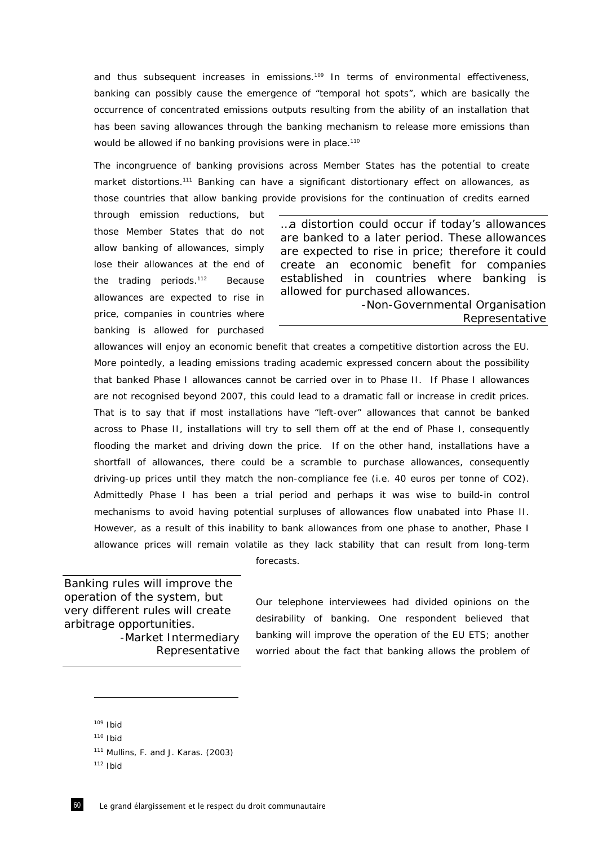and thus subsequent increases in emissions.<sup>109</sup> In terms of environmental effectiveness, banking can possibly cause the emergence of "temporal hot spots", which are basically the occurrence of concentrated emissions outputs resulting from the ability of an installation that has been saving allowances through the banking mechanism to release more emissions than would be allowed if no banking provisions were in place.<sup>110</sup>

The incongruence of banking provisions across Member States has the potential to create market distortions.111 Banking can have a significant distortionary effect on allowances, as those countries that allow banking provide provisions for the continuation of credits earned

through emission reductions, but those Member States that do not allow banking of allowances, simply lose their allowances at the end of the trading periods.112Because allowances are expected to rise in price, companies in countries where banking is allowed for purchased

*…a distortion could occur if today's allowances are banked to a later period. These allowances are expected to rise in price; therefore it could create an economic benefit for companies established in countries where banking is allowed for purchased allowances.* 

> -Non-Governmental Organisation Representative

allowances will enjoy an economic benefit that creates a competitive distortion across the EU. More pointedly, a leading emissions trading academic expressed concern about the possibility that banked Phase I allowances cannot be carried over in to Phase II. If Phase I allowances are not recognised beyond 2007, this could lead to a dramatic fall or increase in credit prices. That is to say that if most installations have "left-over" allowances that cannot be banked across to Phase II, installations will try to sell them off at the end of Phase I, consequently flooding the market and driving down the price. If on the other hand, installations have a shortfall of allowances, there could be a scramble to purchase allowances, consequently driving-up prices until they match the non-compliance fee (i.e. 40 euros per tonne of CO2). Admittedly Phase I has been a trial period and perhaps it was wise to build-in control mechanisms to avoid having potential surpluses of allowances flow unabated into Phase II. However, as a result of this inability to bank allowances from one phase to another, Phase I allowance prices will remain volatile as they lack stability that can result from long-term

forecasts.

*Banking rules will improve the operation of the system, but very different rules will create arbitrage opportunities.*  -Market Intermediary Representative

Our telephone interviewees had divided opinions on the desirability of banking. One respondent believed that banking will improve the operation of the EU ETS; another worried about the fact that banking allows the problem of

 $109$  Ibid

 $110$  Ibid

<sup>111</sup> Mullins, F. and J. Karas. (2003)

 $112$  Ibid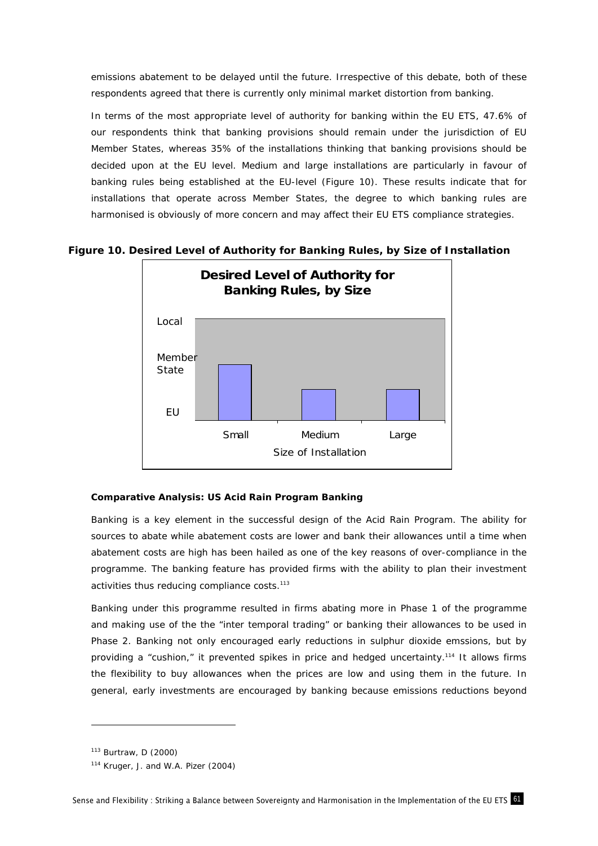emissions abatement to be delayed until the future. Irrespective of this debate, both of these respondents agreed that there is currently only minimal market distortion from banking.

In terms of the most appropriate level of authority for banking within the EU ETS, 47.6% of our respondents think that banking provisions should remain under the jurisdiction of EU Member States, whereas 35% of the installations thinking that banking provisions should be decided upon at the EU level. Medium and large installations are particularly in favour of banking rules being established at the EU-level (Figure 10). These results indicate that for installations that operate across Member States, the degree to which banking rules are harmonised is obviously of more concern and may affect their EU ETS compliance strategies.



# **Figure 10. Desired Level of Authority for Banking Rules, by Size of Installation**

## **Comparative Analysis: US Acid Rain Program Banking**

Banking is a key element in the successful design of the Acid Rain Program. The ability for sources to abate while abatement costs are lower and bank their allowances until a time when abatement costs are high has been hailed as one of the key reasons of over-compliance in the programme. The banking feature has provided firms with the ability to plan their investment activities thus reducing compliance costs.<sup>113</sup>

Banking under this programme resulted in firms abating more in Phase 1 of the programme and making use of the the "inter temporal trading" or banking their allowances to be used in Phase 2. Banking not only encouraged early reductions in sulphur dioxide emssions, but by providing a "cushion," it prevented spikes in price and hedged uncertainty.114 It allows firms the flexibility to buy allowances when the prices are low and using them in the future. In general, early investments are encouraged by banking because emissions reductions beyond

<sup>113</sup> Burtraw, D (2000)

<sup>114</sup> Kruger, J. and W.A. Pizer (2004)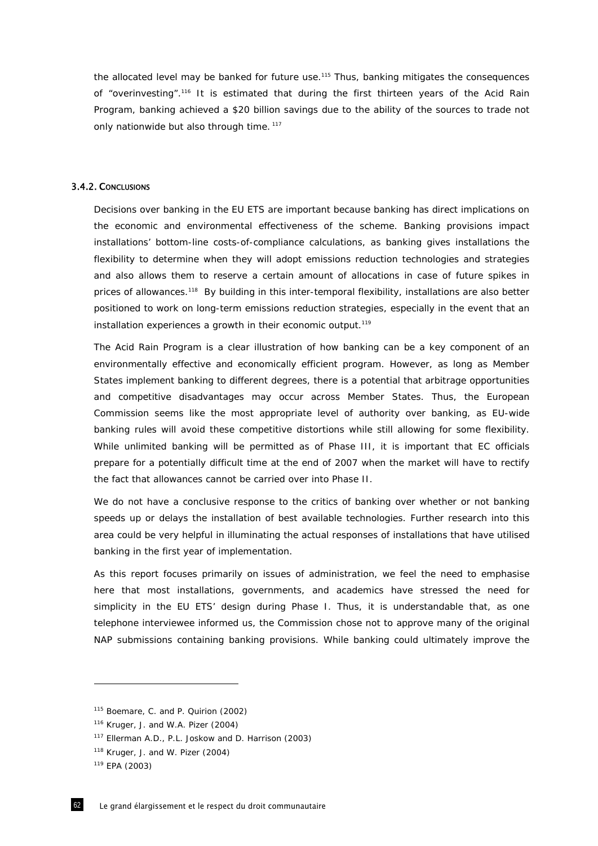the allocated level may be banked for future use.115 Thus, banking mitigates the consequences of "overinvesting".<sup>116</sup> It is estimated that during the first thirteen years of the Acid Rain Program, banking achieved a \$20 billion savings due to the ability of the sources to trade not only nationwide but also through time.<sup>117</sup>

## 3.4.2. CONCLUSIONS

Decisions over banking in the EU ETS are important because banking has direct implications on the economic and environmental effectiveness of the scheme. Banking provisions impact installations' bottom-line costs-of-compliance calculations, as banking gives installations the flexibility to determine when they will adopt emissions reduction technologies and strategies and also allows them to reserve a certain amount of allocations in case of future spikes in prices of allowances.118 By building in this inter-temporal flexibility, installations are also better positioned to work on long-term emissions reduction strategies, especially in the event that an installation experiences a growth in their economic output.<sup>119</sup>

The Acid Rain Program is a clear illustration of how banking can be a key component of an environmentally effective and economically efficient program. However, as long as Member States implement banking to different degrees, there is a potential that arbitrage opportunities and competitive disadvantages may occur across Member States. Thus, the European Commission seems like the most appropriate level of authority over banking, as EU-wide banking rules will avoid these competitive distortions while still allowing for some flexibility. While unlimited banking will be permitted as of Phase III, it is important that EC officials prepare for a potentially difficult time at the end of 2007 when the market will have to rectify the fact that allowances cannot be carried over into Phase II.

We do not have a conclusive response to the critics of banking over whether or not banking speeds up or delays the installation of best available technologies. Further research into this area could be very helpful in illuminating the actual responses of installations that have utilised banking in the first year of implementation.

As this report focuses primarily on issues of administration, we feel the need to emphasise here that most installations, governments, and academics have stressed the need for simplicity in the EU ETS' design during Phase I. Thus, it is understandable that, as one telephone interviewee informed us, the Commission chose not to approve many of the original NAP submissions containing banking provisions. While banking could ultimately improve the

<sup>&</sup>lt;sup>115</sup> Boemare, C. and P. Quirion (2002)

<sup>116</sup> Kruger, J. and W.A. Pizer (2004)

<sup>117</sup> Ellerman A.D., P.L. Joskow and D. Harrison (2003)

<sup>118</sup> Kruger, J. and W. Pizer (2004)

<sup>119</sup> EPA (2003)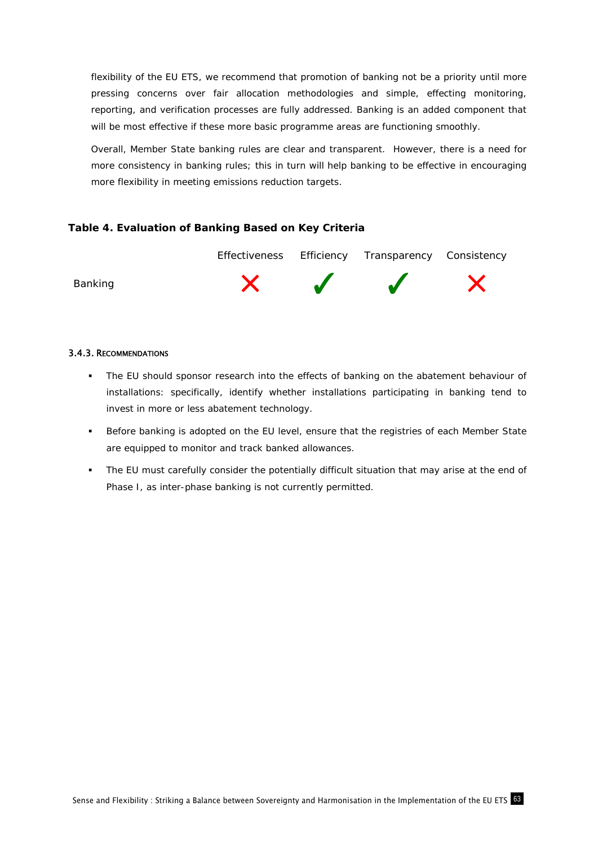flexibility of the EU ETS, we recommend that promotion of banking not be a priority until more pressing concerns over fair allocation methodologies and simple, effecting monitoring, reporting, and verification processes are fully addressed. Banking is an added component that will be most effective if these more basic programme areas are functioning smoothly.

Overall, Member State banking rules are clear and transparent. However, there is a need for more consistency in banking rules; this in turn will help banking to be effective in encouraging more flexibility in meeting emissions reduction targets.

# **Table 4. Evaluation of Banking Based on Key Criteria**



# 3.4.3. RECOMMENDATIONS

- The EU should sponsor research into the effects of banking on the abatement behaviour of installations: specifically, identify whether installations participating in banking tend to invest in *more* or *less* abatement technology.
- Before banking is adopted on the EU level, ensure that the registries of each Member State are equipped to monitor and track banked allowances.
- The EU must carefully consider the potentially difficult situation that may arise at the end of Phase I, as inter-phase banking is not currently permitted.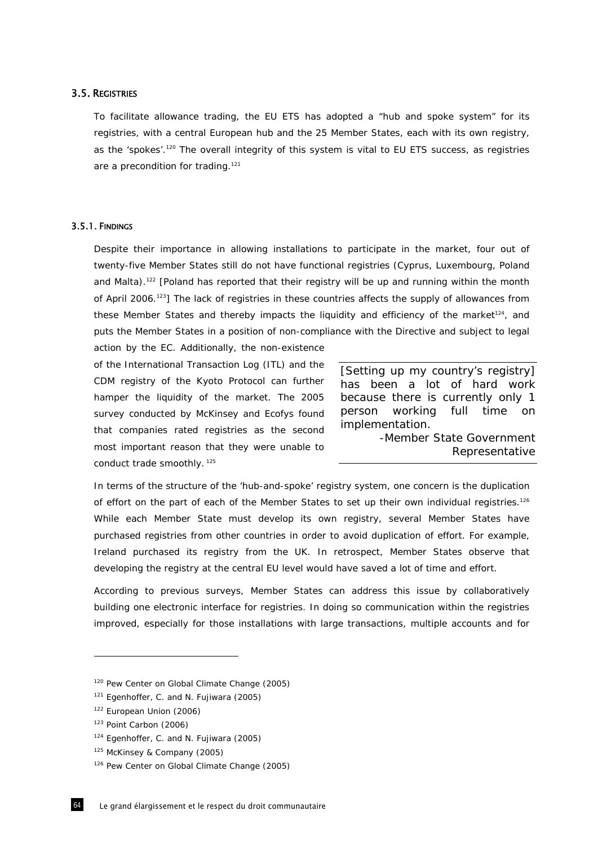## 3.5. REGISTRIES

To facilitate allowance trading, the EU ETS has adopted a "hub and spoke system" for its registries, with a central European hub and the 25 Member States, each with its own registry, as the 'spokes'.<sup>120</sup> The overall integrity of this system is vital to EU ETS success, as registries are a precondition for trading.<sup>121</sup>

## 3.5.1. FINDINGS

Despite their importance in allowing installations to participate in the market, four out of twenty-five Member States still do not have functional registries (Cyprus, Luxembourg, Poland and Malta).<sup>122</sup> [Poland has reported that their registry will be up and running within the month of April 2006.123] The lack of registries in these countries affects the supply of allowances from these Member States and thereby impacts the liquidity and efficiency of the market<sup>124</sup>, and puts the Member States in a position of non-compliance with the Directive and subject to legal action by the EC. Additionally, the non-existence

of the International Transaction Log (ITL) and the CDM registry of the Kyoto Protocol can further hamper the liquidity of the market. The 2005 survey conducted by McKinsey and Ecofys found that companies rated registries as the second most important reason that they were unable to conduct trade smoothly.<sup>125</sup>

*[Setting up my country's registry] has been a lot of hard work because there is currently only 1 person working full time on implementation.*  -Member State Government

Representative

In terms of the structure of the 'hub-and-spoke' registry system, one concern is the duplication of effort on the part of each of the Member States to set up their own individual registries.<sup>126</sup> While each Member State must develop its own registry, several Member States have purchased registries from other countries in order to avoid duplication of effort. For example, Ireland purchased its registry from the UK. In retrospect, Member States observe that developing the registry at the central EU level would have saved a lot of time and effort.

According to previous surveys, Member States can address this issue by collaboratively building one electronic interface for registries. In doing so communication within the registries improved, especially for those installations with large transactions, multiple accounts and for

<sup>120</sup> Pew Center on Global Climate Change (2005)

<sup>&</sup>lt;sup>121</sup> Egenhoffer, C. and N. Fujiwara (2005)

<sup>122</sup> European Union (2006)

<sup>123</sup> Point Carbon (2006)

<sup>124</sup> Egenhoffer, C. and N. Fujiwara (2005)

<sup>125</sup> McKinsey & Company (2005)

<sup>126</sup> Pew Center on Global Climate Change (2005)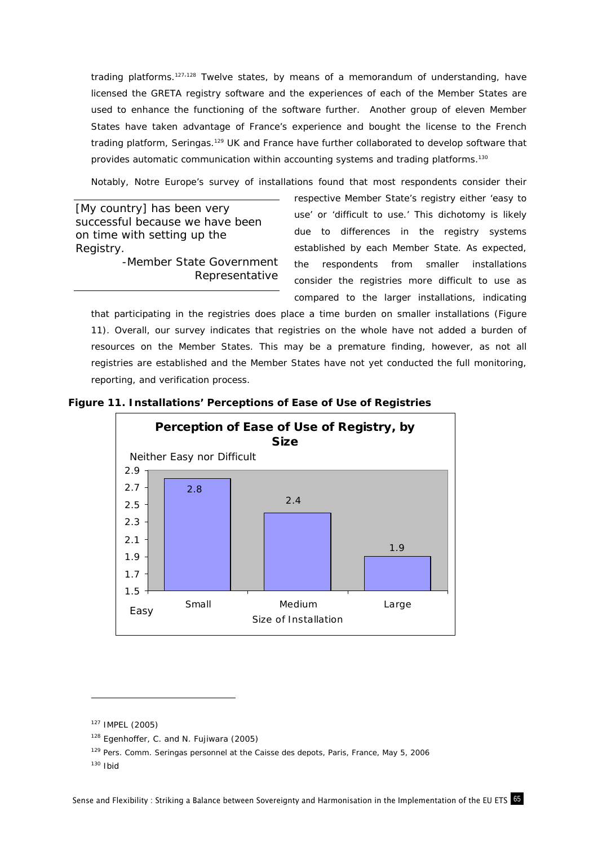trading platforms.<sup>127,128</sup> Twelve states, by means of a memorandum of understanding, have licensed the GRETA registry software and the experiences of each of the Member States are used to enhance the functioning of the software further. Another group of eleven Member States have taken advantage of France's experience and bought the license to the French trading platform, Seringas.<sup>129</sup> UK and France have further collaborated to develop software that provides automatic communication within accounting systems and trading platforms.<sup>130</sup>

Notably, *Notre Europe's* survey of installations found that most respondents consider their

*[My country] has been very successful because we have been on time with setting up the Registry.*  -Member State Government Representative respective Member State's registry either 'easy to use' or 'difficult to use.' This dichotomy is likely due to differences in the registry systems established by each Member State. As expected, the respondents from smaller installations consider the registries more difficult to use as compared to the larger installations, indicating

that participating in the registries does place a time burden on smaller installations (Figure 11). Overall, our survey indicates that registries on the whole have not added a burden of resources on the Member States. This may be a premature finding, however, as not all registries are established and the Member States have not yet conducted the full monitoring, reporting, and verification process.





<sup>127</sup> IMPEL (2005)

<sup>128</sup> Egenhoffer, C. and N. Fujiwara (2005)

<sup>&</sup>lt;sup>129</sup> Pers. Comm. Seringas personnel at the Caisse des depots, Paris, France, May 5, 2006

 $130$  Ibid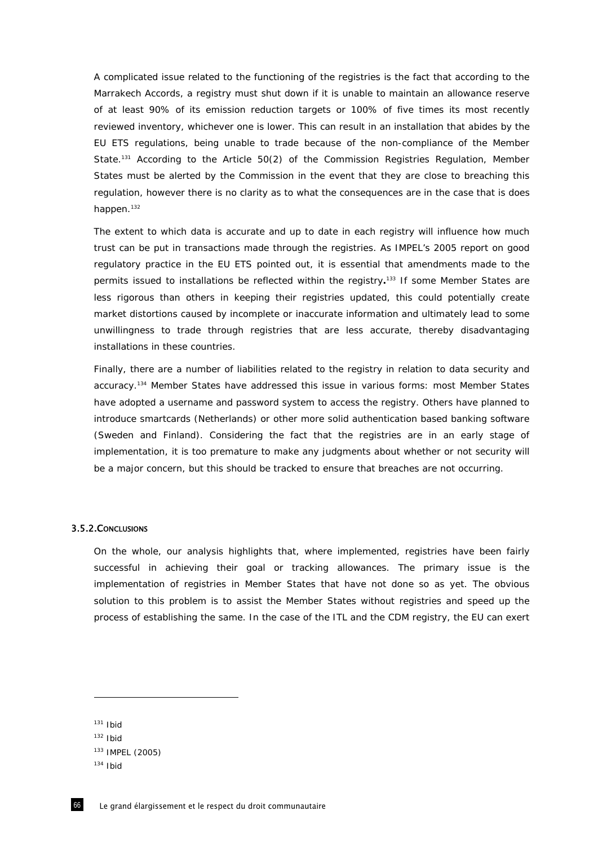A complicated issue related to the functioning of the registries is the fact that according to the Marrakech Accords, a registry must shut down if it is unable to maintain an allowance reserve of at least 90% of its emission reduction targets or 100% of five times its most recently reviewed inventory, whichever one is lower. This can result in an installation that abides by the EU ETS regulations, being unable to trade because of the non-compliance of the Member State.<sup>131</sup> According to the Article 50(2) of the Commission Registries Regulation, Member States must be alerted by the Commission in the event that they are close to breaching this regulation, however there is no clarity as to what the consequences are in the case that is does happen.<sup>132</sup>

The extent to which data is accurate and up to date in each registry will influence how much trust can be put in transactions made through the registries. As IMPEL's 2005 report on good regulatory practice in the EU ETS pointed out, it is essential that amendments made to the permits issued to installations be reflected within the registry**.** 133 If some Member States are less rigorous than others in keeping their registries updated, this could potentially create market distortions caused by incomplete or inaccurate information and ultimately lead to some unwillingness to trade through registries that are less accurate, thereby disadvantaging installations in these countries.

Finally, there are a number of liabilities related to the registry in relation to data security and accuracy.134 Member States have addressed this issue in various forms: most Member States have adopted a username and password system to access the registry. Others have planned to introduce smartcards (Netherlands) or other more solid authentication based banking software (Sweden and Finland). Considering the fact that the registries are in an early stage of implementation, it is too premature to make any judgments about whether or not security will be a major concern, but this should be tracked to ensure that breaches are not occurring.

### 3.5.2.CONCLUSIONS

On the whole, our analysis highlights that, where implemented, registries have been fairly successful in achieving their goal or tracking allowances. The primary issue is the implementation of registries in Member States that have not done so as yet. The obvious solution to this problem is to assist the Member States without registries and speed up the process of establishing the same. In the case of the ITL and the CDM registry, the EU can exert

 $131$  Ibid

 $132$  Ibid

<sup>133</sup> IMPEL (2005)

 $134$  Ibid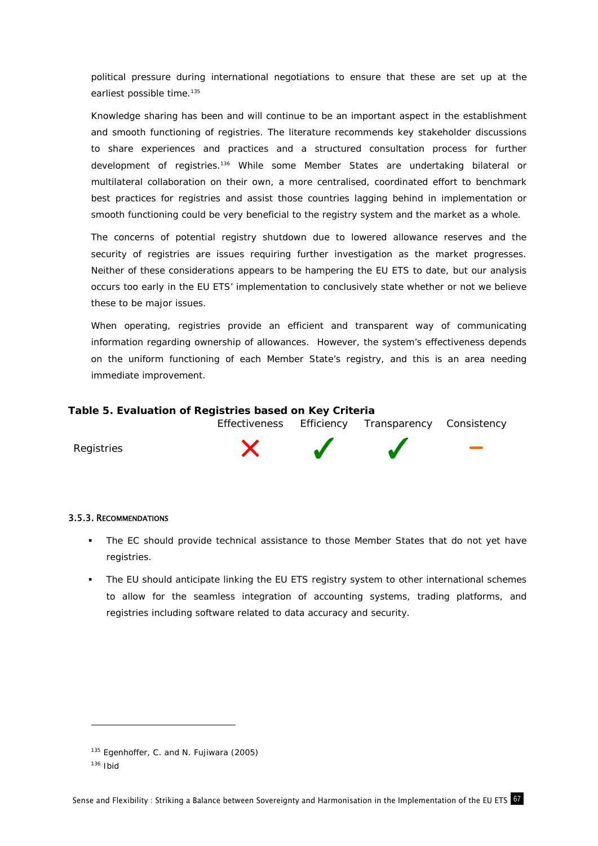political pressure during international negotiations to ensure that these are set up at the earliest possible time.<sup>135</sup>

Knowledge sharing has been and will continue to be an important aspect in the establishment and smooth functioning of registries. The literature recommends key stakeholder discussions to share experiences and practices and a structured consultation process for further development of registries.136 While some Member States are undertaking bilateral or multilateral collaboration on their own, a more centralised, coordinated effort to benchmark best practices for registries and assist those countries lagging behind in implementation or smooth functioning could be very beneficial to the registry system and the market as a whole.

The concerns of potential registry shutdown due to lowered allowance reserves and the security of registries are issues requiring further investigation as the market progresses. Neither of these considerations appears to be hampering the EU ETS to date, but our analysis occurs too early in the EU ETS' implementation to conclusively state whether or not we believe these to be major issues.

When operating, registries provide an efficient and transparent way of communicating information regarding ownership of allowances. However, the system's effectiveness depends on the uniform functioning of each Member State's registry, and this is an area needing immediate improvement.

### **Table 5. Evaluation of Registries based on Key Criteria**



## 3.5.3. RECOMMENDATIONS

- The EC should provide technical assistance to those Member States that do not yet have registries.
- The EU should anticipate linking the EU ETS registry system to other international schemes to allow for the seamless integration of accounting systems, trading platforms, and registries including software related to data accuracy and security.

<sup>135</sup> Egenhoffer, C. and N. Fujiwara (2005)

 $136$  Ibid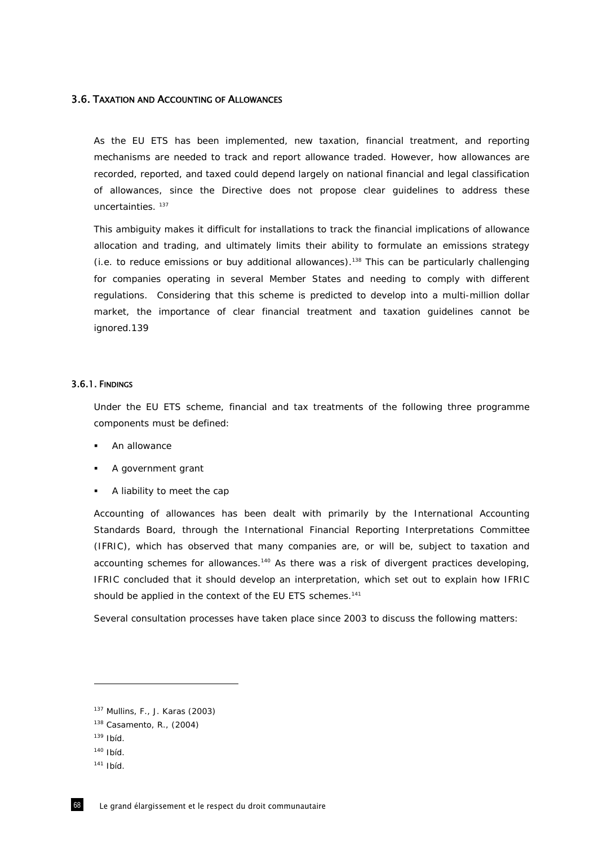## 3.6. TAXATION AND ACCOUNTING OF ALLOWANCES

As the EU ETS has been implemented, new taxation, financial treatment, and reporting mechanisms are needed to track and report allowance traded. However, how allowances are recorded, reported, and taxed could depend largely on national financial and legal classification of allowances, since the Directive does not propose clear guidelines to address these uncertainties. 137

This ambiguity makes it difficult for installations to track the financial implications of allowance allocation and trading, and ultimately limits their ability to formulate an emissions strategy (i.e. to reduce emissions or buy additional allowances).138 This can be particularly challenging for companies operating in several Member States and needing to comply with different regulations. Considering that this scheme is predicted to develop into a multi-million dollar market, the importance of clear financial treatment and taxation guidelines cannot be ignored.139

## 3.6.1. FINDINGS

Under the EU ETS scheme, financial and tax treatments of the following three programme components must be defined:

- An allowance
- A government grant
- A liability to meet the cap

Accounting of allowances has been dealt with primarily by the International Accounting Standards Board, through the International Financial Reporting Interpretations Committee (IFRIC), which has observed that many companies are, or will be, subject to taxation and accounting schemes for allowances.<sup>140</sup> As there was a risk of divergent practices developing, IFRIC concluded that it should develop an interpretation, which set out to explain how IFRIC should be applied in the context of the EU ETS schemes.<sup>141</sup>

Several consultation processes have taken place since 2003 to discuss the following matters:

<sup>137</sup> Mullins, F., J. Karas (2003)

<sup>138</sup> Casamento, R., (2004)

 $139$  Ibid.

<sup>140</sup> Ibíd.

 $141$  Ibíd.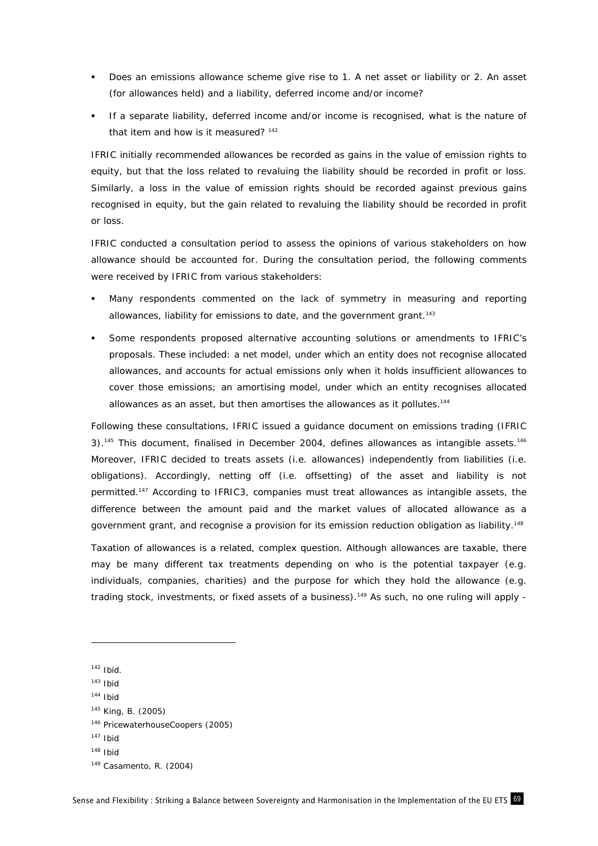- Does an emissions allowance scheme give rise to 1. A net asset or liability or 2. An asset (for allowances held) and a liability, deferred income and/or income?
- If a separate liability, deferred income and/or income is recognised, what is the nature of that item and how is it measured?<sup>142</sup>

IFRIC initially recommended allowances be recorded as gains in the value of emission rights to equity, but that the loss related to revaluing the liability should be recorded in profit or loss. Similarly, a loss in the value of emission rights should be recorded against previous gains recognised in equity, but the gain related to revaluing the liability should be recorded in profit or loss.

IFRIC conducted a consultation period to assess the opinions of various stakeholders on how allowance should be accounted for. During the consultation period, the following comments were received by IFRIC from various stakeholders:

- Many respondents commented on the lack of symmetry in measuring and reporting allowances, liability for emissions to date, and the government grant.<sup>143</sup>
- Some respondents proposed alternative accounting solutions or amendments to IFRIC's proposals. These included: a net model, under which an entity does not recognise allocated allowances, and accounts for actual emissions only when it holds insufficient allowances to cover those emissions; an amortising model, under which an entity recognises allocated allowances as an asset, but then amortises the allowances as it pollutes.<sup>144</sup>

Following these consultations, IFRIC issued a guidance document on emissions trading (IFRIC  $3$ ).<sup>145</sup> This document, finalised in December 2004, defines allowances as intangible assets.<sup>146</sup> Moreover, IFRIC decided to treats assets (i.e. allowances) independently from liabilities (i.e. obligations). Accordingly, netting off (i.e. offsetting) of the asset and liability is not permitted.147 According to IFRIC3, companies must treat allowances as intangible assets, the difference between the amount paid and the market values of allocated allowance as a government grant, and recognise a provision for its emission reduction obligation as liability.<sup>148</sup>

Taxation of allowances is a related, complex question. Although allowances are taxable, there may be many different tax treatments depending on who is the potential taxpayer (e.g. individuals, companies, charities) and the purpose for which they hold the allowance (e.g. trading stock, investments, or fixed assets of a business).<sup>149</sup> As such, no one ruling will apply -

-

- $143$  Ibid
- $144$  Ibid
- 145 King, B. (2005)
- 146 PricewaterhouseCoopers (2005)

 $148$  Ibid

 $142$  Ibíd.

 $147$  Ibid

<sup>149</sup> Casamento, R. (2004)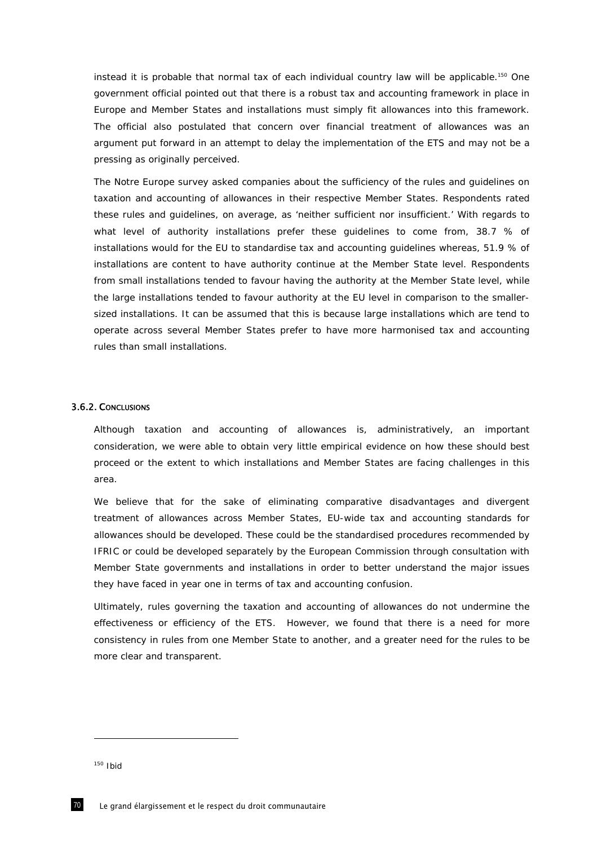instead it is probable that normal tax of each individual country law will be applicable.<sup>150</sup> One government official pointed out that there is a robust tax and accounting framework in place in Europe and Member States and installations must simply fit allowances into this framework. The official also postulated that concern over financial treatment of allowances was an argument put forward in an attempt to delay the implementation of the ETS and may not be a pressing as originally perceived.

The *Notre Europe* survey asked companies about the sufficiency of the rules and guidelines on taxation and accounting of allowances in their respective Member States. Respondents rated these rules and guidelines, on average, as 'neither sufficient nor insufficient.' With regards to what level of authority installations prefer these guidelines to come from, 38.7 % of installations would for the EU to standardise tax and accounting guidelines whereas, 51.9 % of installations are content to have authority continue at the Member State level. Respondents from small installations tended to favour having the authority at the Member State level, while the large installations tended to favour authority at the EU level in comparison to the smallersized installations. It can be assumed that this is because large installations which are tend to operate across several Member States prefer to have more harmonised tax and accounting rules than small installations.

## 3.6.2. CONCLUSIONS

Although taxation and accounting of allowances is, administratively, an important consideration, we were able to obtain very little empirical evidence on how these should best proceed or the extent to which installations and Member States are facing challenges in this area.

We believe that for the sake of eliminating comparative disadvantages and divergent treatment of allowances across Member States, EU-wide tax and accounting standards for allowances should be developed. These could be the standardised procedures recommended by IFRIC or could be developed separately by the European Commission through consultation with Member State governments and installations in order to better understand the major issues they have faced in year one in terms of tax and accounting confusion.

Ultimately, rules governing the taxation and accounting of allowances do not undermine the effectiveness or efficiency of the ETS. However, we found that there is a need for more consistency in rules from one Member State to another, and a greater need for the rules to be more clear and transparent.

 $150$  Ibid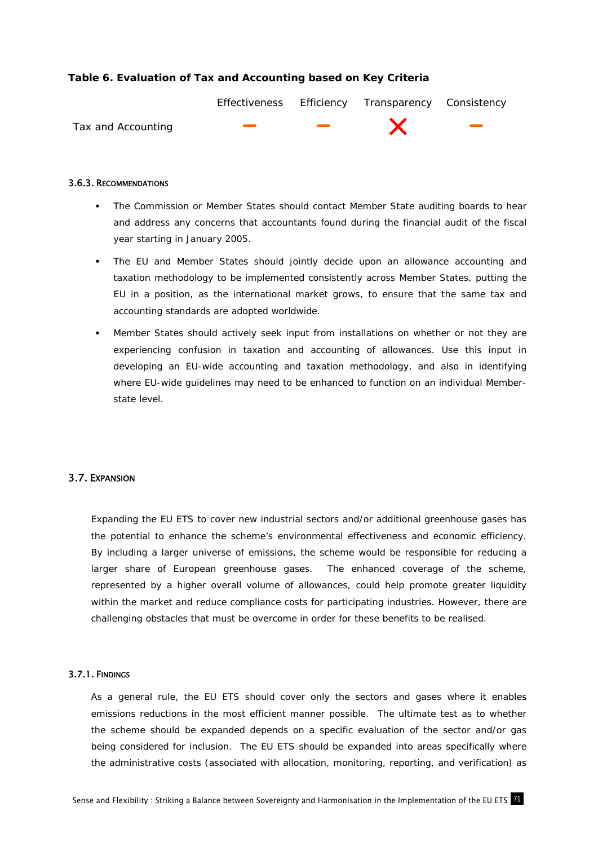# **Table 6. Evaluation of Tax and Accounting based on Key Criteria**



### 3.6.3. RECOMMENDATIONS

- The Commission or Member States should contact Member State auditing boards to hear and address any concerns that accountants found during the financial audit of the fiscal year starting in January 2005.
- The EU and Member States should jointly decide upon an allowance accounting and taxation methodology to be implemented consistently across Member States, putting the EU in a position, as the international market grows, to ensure that the same tax and accounting standards are adopted worldwide.
- Member States should actively seek input from installations on whether or not they are experiencing confusion in taxation and accounting of allowances. Use this input in developing an EU-wide accounting and taxation methodology, and also in identifying where EU-wide guidelines may need to be enhanced to function on an individual Memberstate level.

## 3.7. EXPANSION

Expanding the EU ETS to cover new industrial sectors and/or additional greenhouse gases has the potential to enhance the scheme's environmental effectiveness and economic efficiency. By including a larger universe of emissions, the scheme would be responsible for reducing a larger share of European greenhouse gases. The enhanced coverage of the scheme, represented by a higher overall volume of allowances, could help promote greater liquidity within the market and reduce compliance costs for participating industries. However, there are challenging obstacles that must be overcome in order for these benefits to be realised.

### 3.7.1. FINDINGS

As a general rule, the EU ETS should cover only the sectors and gases where it enables emissions reductions in the most efficient manner possible. The ultimate test as to whether the scheme should be expanded depends on a specific evaluation of the sector and/or gas being considered for inclusion. The EU ETS should be expanded into areas specifically where the administrative costs (associated with allocation, monitoring, reporting, and verification) as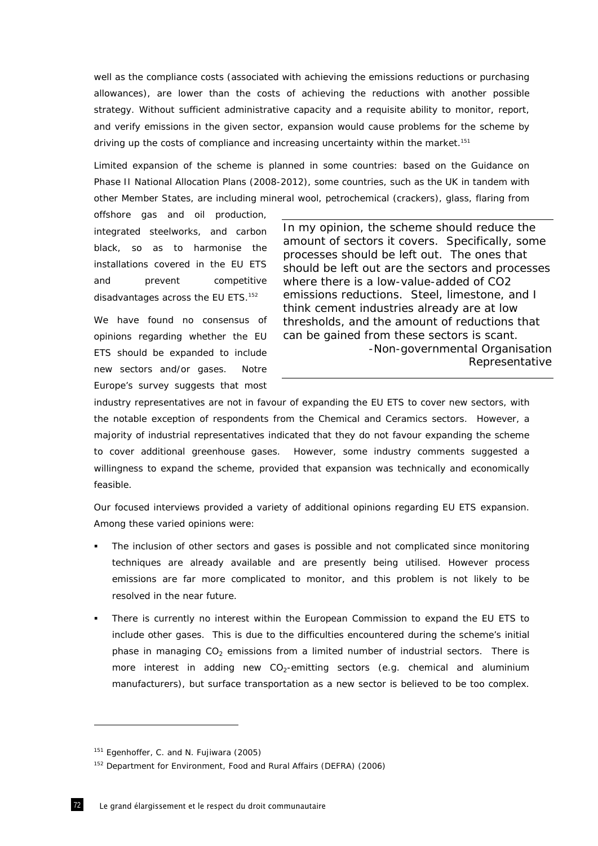well as the compliance costs (associated with achieving the emissions reductions or purchasing allowances), are lower than the costs of achieving the reductions with another possible strategy. Without sufficient administrative capacity and a requisite ability to monitor, report, and verify emissions in the given sector, expansion would cause problems for the scheme by driving up the costs of compliance and increasing uncertainty within the market.<sup>151</sup>

Limited expansion of the scheme is planned in some countries: based on the Guidance on Phase II National Allocation Plans (2008-2012), some countries, such as the UK in tandem with other Member States, are including mineral wool, petrochemical (crackers), glass, flaring from

offshore gas and oil production, integrated steelworks, and carbon black, so as to harmonise the installations covered in the EU ETS and prevent competitive disadvantages across the EU ETS.<sup>152</sup>

We have found no consensus of opinions regarding whether the EU ETS should be expanded to include new sectors and/or gases. *Notre Europe*'s survey suggests that most

*In my opinion, the scheme should reduce the amount of sectors it covers. Specifically, some processes should be left out. The ones that should be left out are the sectors and processes where there is a low-value-added of CO2 emissions reductions. Steel, limestone, and I think cement industries already are at low thresholds, and the amount of reductions that can be gained from these sectors is scant.*  -Non-governmental Organisation Representative

industry representatives are not in favour of expanding the EU ETS to cover new sectors, with the notable exception of respondents from the Chemical and Ceramics sectors. However, a majority of industrial representatives indicated that they do not favour expanding the scheme to cover additional greenhouse gases. However, some industry comments suggested a willingness to expand the scheme, provided that expansion was technically and economically feasible.

Our focused interviews provided a variety of additional opinions regarding EU ETS expansion. Among these varied opinions were:

- *The inclusion of other sectors and gases is possible and not complicated since monitoring techniques are already available and are presently being utilised. However process*  emissions are far more complicated to monitor, and this problem is not likely to be *resolved in the near future.*
- There is currently no interest within the European Commission to expand the EU ETS to include other gases. This is due to the difficulties encountered during the scheme's initial phase in managing  $CO<sub>2</sub>$  emissions from a limited number of industrial sectors. There is more interest in adding new  $CO<sub>2</sub>$ -emitting sectors (e.g. chemical and aluminium manufacturers), but surface transportation as a new sector is believed to be too complex.

<sup>&</sup>lt;sup>151</sup> Egenhoffer, C. and N. Fujiwara (2005)

<sup>152</sup> Department for Environment, Food and Rural Affairs (DEFRA) (2006)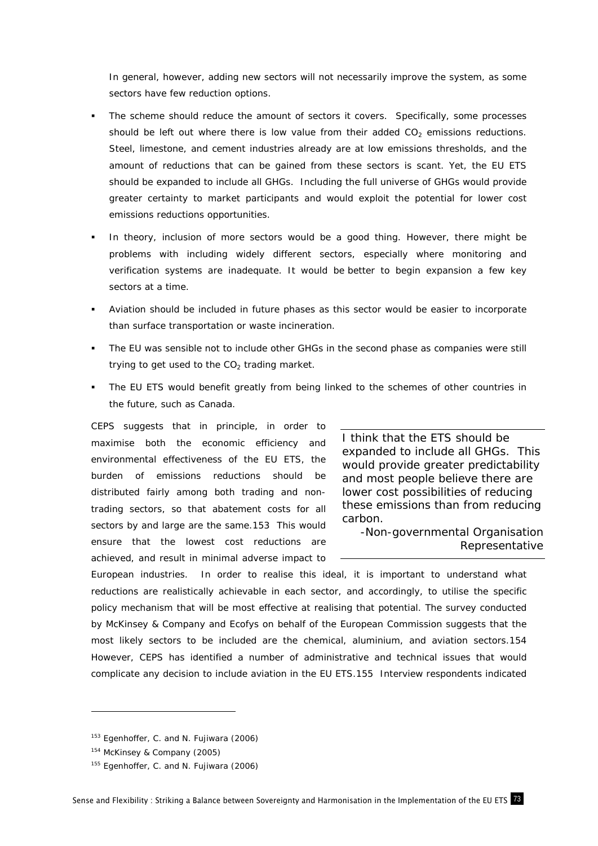In general, however, adding new sectors will not necessarily improve the system, as some sectors have few reduction options.

- The scheme should reduce the amount of sectors it covers. Specifically, some processes should be left out where there is low value from their added  $CO<sub>2</sub>$  emissions reductions. Steel, limestone, and cement industries already are at low emissions thresholds, and the amount of reductions that can be gained from these sectors is scant. Yet, the EU ETS should be expanded to include all GHGs. Including the full universe of GHGs would provide greater certainty to market participants and would exploit the potential for lower cost emissions reductions opportunities.
- In theory, inclusion of more sectors would be a good thing. However, there might be problems with including widely different sectors, especially where monitoring and verification systems are inadequate. It would be better to begin expansion a few key sectors at a time.
- Aviation should be included in future phases as this sector would be easier to incorporate than surface transportation or waste incineration.
- The EU was sensible not to include other GHGs in the second phase as companies were still trying to get used to the  $CO<sub>2</sub>$  trading market.
- The EU ETS would benefit greatly from being linked to the schemes of other countries in the future, such as Canada.

CEPS suggests that in principle, in order to maximise both the economic efficiency and environmental effectiveness of the EU ETS, the burden of emissions reductions should be distributed fairly among both trading and nontrading sectors, so that abatement costs for all sectors by and large are the same.153 This would ensure that the lowest cost reductions are achieved, and result in minimal adverse impact to

*I think that the ETS should be expanded to include all GHGs. This would provide greater predictability and most people believe there are lower cost possibilities of reducing these emissions than from reducing carbon.* 

-Non-governmental Organisation Representative

European industries. In order to realise this ideal, it is important to understand what reductions are realistically achievable in each sector, and accordingly, to utilise the specific policy mechanism that will be most effective at realising that potential. The survey conducted by McKinsey & Company and Ecofys on behalf of the European Commission suggests that the most likely sectors to be included are the chemical, aluminium, and aviation sectors.154 However, CEPS has identified a number of administrative and technical issues that would complicate any decision to include aviation in the EU ETS.155 Interview respondents indicated

-

<sup>&</sup>lt;sup>153</sup> Egenhoffer, C. and N. Fujiwara (2006)

<sup>154</sup> McKinsey & Company (2005)

<sup>&</sup>lt;sup>155</sup> Egenhoffer, C. and N. Fujiwara (2006)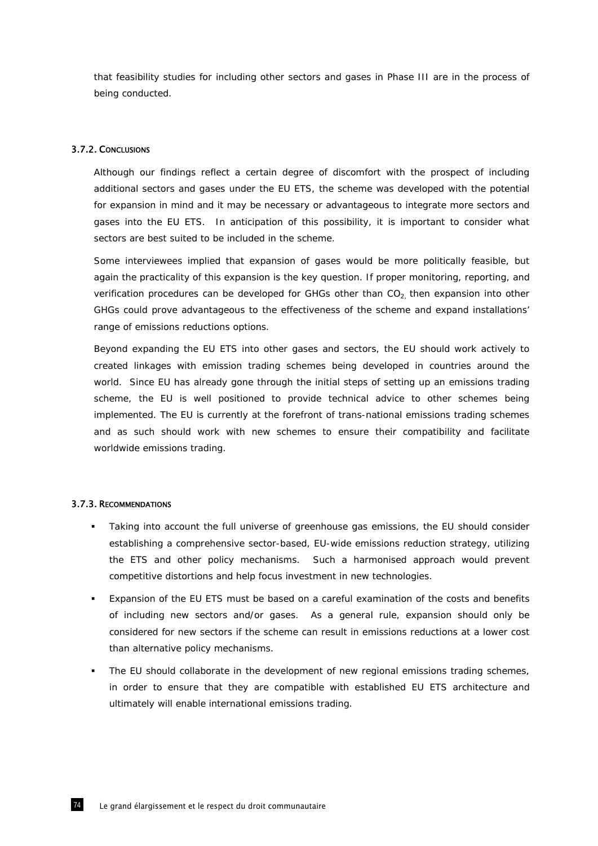that feasibility studies for including other sectors and gases in Phase III are in the process of being conducted.

#### 3.7.2. CONCLUSIONS

Although our findings reflect a certain degree of discomfort with the prospect of including additional sectors and gases under the EU ETS, the scheme was developed with the potential for expansion in mind and it may be necessary or advantageous to integrate more sectors and gases into the EU ETS. In anticipation of this possibility, it is important to consider what sectors are best suited to be included in the scheme.

Some interviewees implied that expansion of gases would be more politically feasible, but again the practicality of this expansion is the key question. If proper monitoring, reporting, and verification procedures can be developed for GHGs other than  $CO<sub>2</sub>$  then expansion into other GHGs could prove advantageous to the effectiveness of the scheme and expand installations' range of emissions reductions options.

Beyond expanding the EU ETS into other gases and sectors, the EU should work actively to created linkages with emission trading schemes being developed in countries around the world. Since EU has already gone through the initial steps of setting up an emissions trading scheme, the EU is well positioned to provide technical advice to other schemes being implemented. The EU is currently at the forefront of trans-national emissions trading schemes and as such should work with new schemes to ensure their compatibility and facilitate worldwide emissions trading.

### 3.7.3. RECOMMENDATIONS

- Taking into account the full universe of greenhouse gas emissions, the EU should consider establishing a comprehensive sector-based, EU-wide emissions reduction strategy, utilizing the ETS and other policy mechanisms. Such a harmonised approach would prevent competitive distortions and help focus investment in new technologies.
- Expansion of the EU ETS must be based on a careful examination of the costs and benefits of including new sectors and/or gases. As a general rule, expansion should only be considered for new sectors if the scheme can result in emissions reductions at a lower cost than alternative policy mechanisms.
- **The EU should collaborate in the development of new regional emissions trading schemes,** in order to ensure that they are compatible with established EU ETS architecture and ultimately will enable international emissions trading.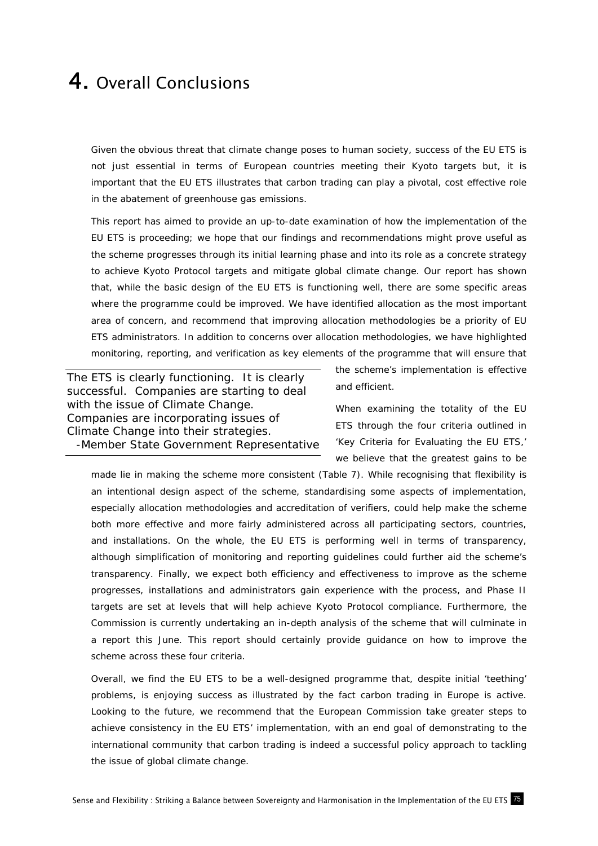# 4. Overall Conclusions

Given the obvious threat that climate change poses to human society, success of the EU ETS is not just essential in terms of European countries meeting their Kyoto targets but, it is important that the EU ETS illustrates that carbon trading can play a pivotal, cost effective role in the abatement of greenhouse gas emissions.

This report has aimed to provide an up-to-date examination of how the implementation of the EU ETS is proceeding; we hope that our findings and recommendations might prove useful as the scheme progresses through its initial learning phase and into its role as a concrete strategy to achieve Kyoto Protocol targets and mitigate global climate change. Our report has shown that, while the basic design of the EU ETS is functioning well, there are some specific areas where the programme could be improved. We have identified allocation as the most important area of concern, and recommend that improving allocation methodologies be a priority of EU ETS administrators. In addition to concerns over allocation methodologies, we have highlighted monitoring, reporting, and verification as key elements of the programme that will ensure that

*The ETS is clearly functioning. It is clearly successful. Companies are starting to deal with the issue of Climate Change. Companies are incorporating issues of Climate Change into their strategies.*  -Member State Government Representative

the scheme's implementation is effective and efficient.

When examining the totality of the EU ETS through the four criteria outlined in 'Key Criteria for Evaluating the EU ETS,' we believe that the greatest gains to be

made lie in making the scheme more consistent (Table 7). While recognising that flexibility is an intentional design aspect of the scheme, standardising some aspects of implementation, especially allocation methodologies and accreditation of verifiers, could help make the scheme both more effective and more fairly administered across all participating sectors, countries, and installations. On the whole, the EU ETS is performing well in terms of transparency, although simplification of monitoring and reporting guidelines could further aid the scheme's transparency. Finally, we expect both efficiency and effectiveness to improve as the scheme progresses, installations and administrators gain experience with the process, and Phase II targets are set at levels that will help achieve Kyoto Protocol compliance. Furthermore, the Commission is currently undertaking an in-depth analysis of the scheme that will culminate in a report this June. This report should certainly provide guidance on how to improve the scheme across these four criteria.

Overall, we find the EU ETS to be a well-designed programme that, despite initial 'teething' problems, is enjoying success as illustrated by the fact carbon trading in Europe is active. Looking to the future, we recommend that the European Commission take greater steps to achieve consistency in the EU ETS' implementation, with an end goal of demonstrating to the international community that carbon trading is indeed a successful policy approach to tackling the issue of global climate change.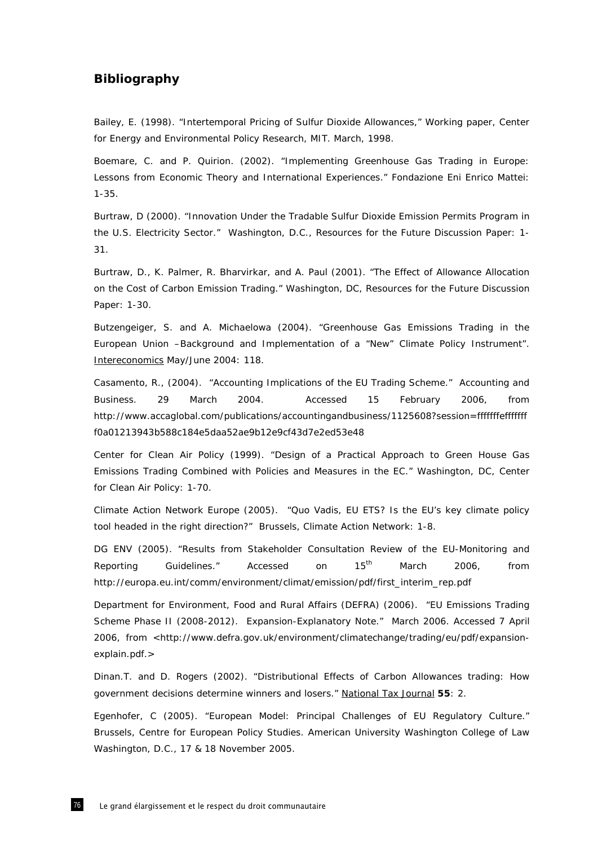### **Bibliography**

Bailey, E. (1998). "Intertemporal Pricing of Sulfur Dioxide Allowances," Working paper, Center for Energy and Environmental Policy Research, MIT. March, 1998.

Boemare, C. and P. Quirion. (2002). "Implementing Greenhouse Gas Trading in Europe: Lessons from Economic Theory and International Experiences." Fondazione Eni Enrico Mattei: 1-35.

Burtraw, D (2000). "Innovation Under the Tradable Sulfur Dioxide Emission Permits Program in the U.S. Electricity Sector." Washington, D.C., Resources for the Future Discussion Paper: 1- 31.

Burtraw, D., K. Palmer, R. Bharvirkar, and A. Paul (2001). "The Effect of Allowance Allocation on the Cost of Carbon Emission Trading." Washington, DC, Resources for the Future Discussion Paper: 1-30.

Butzengeiger, S. and A. Michaelowa (2004). "Greenhouse Gas Emissions Trading in the European Union –Background and Implementation of a "New" Climate Policy Instrument". Intereconomics May/June 2004: 118.

Casamento, R., (2004). "Accounting Implications of the EU Trading Scheme." Accounting and Business. 29 March 2004. Accessed 15 February 2006, from http://www.accaglobal.com/publications/accountingandbusiness/1125608?session=fffffffefffffff f0a01213943b588c184e5daa52ae9b12e9cf43d7e2ed53e48

Center for Clean Air Policy (1999). "Design of a Practical Approach to Green House Gas Emissions Trading Combined with Policies and Measures in the EC." Washington, DC, Center for Clean Air Policy: 1-70.

Climate Action Network Europe (2005). "Quo Vadis, EU ETS? Is the EU's key climate policy tool headed in the right direction?" Brussels, Climate Action Network: 1-8.

DG ENV (2005). "Results from Stakeholder Consultation Review of the EU-Monitoring and Reporting Guidelines." Accessed on 15<sup>th</sup> March 2006, from http://europa.eu.int/comm/environment/climat/emission/pdf/first\_interim\_rep.pdf

Department for Environment, Food and Rural Affairs (DEFRA) (2006). "EU Emissions Trading Scheme Phase II (2008-2012). Expansion-Explanatory Note." March 2006. Accessed 7 April 2006, from <http://www.defra.gov.uk/environment/climatechange/trading/eu/pdf/expansionexplain.pdf.>

Dinan.T. and D. Rogers (2002). "Distributional Effects of Carbon Allowances trading: How government decisions determine winners and losers." National Tax Journal **55**: 2.

Egenhofer, C (2005). "European Model: Principal Challenges of EU Regulatory Culture." Brussels, Centre for European Policy Studies. American University Washington College of Law Washington, D.C., 17 & 18 November 2005.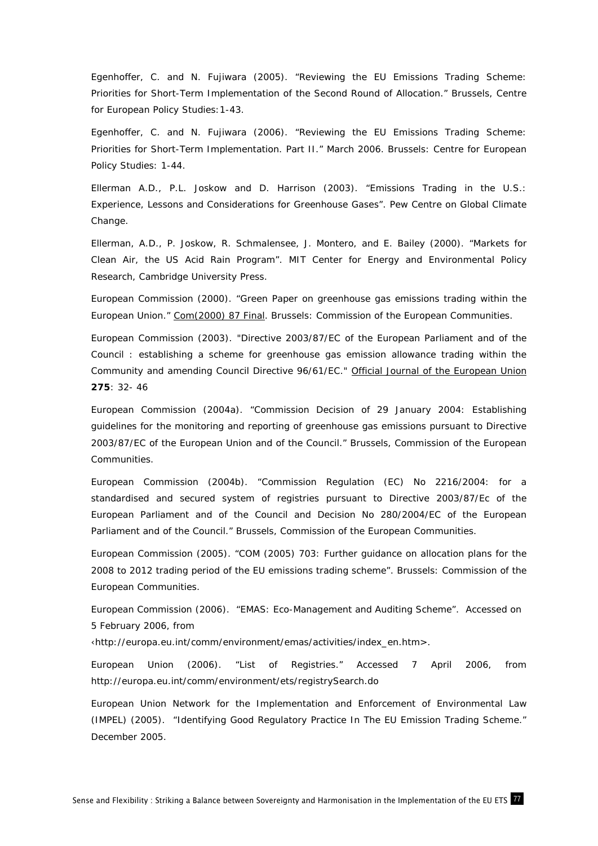Egenhoffer, C. and N. Fujiwara (2005). "Reviewing the EU Emissions Trading Scheme: Priorities for Short-Term Implementation of the Second Round of Allocation." Brussels, Centre for European Policy Studies:1-43.

Egenhoffer, C. and N. Fujiwara (2006). "Reviewing the EU Emissions Trading Scheme: Priorities for Short-Term Implementation. Part II." March 2006. Brussels: Centre for European Policy Studies: 1-44.

Ellerman A.D., P.L. Joskow and D. Harrison (2003). "Emissions Trading in the U.S.: Experience, Lessons and Considerations for Greenhouse Gases". Pew Centre on Global Climate Change.

Ellerman, A.D., P. Joskow, R. Schmalensee, J. Montero, and E. Bailey (2000). "Markets for Clean Air, the US Acid Rain Program". MIT Center for Energy and Environmental Policy Research, Cambridge University Press.

European Commission (2000). "Green Paper on greenhouse gas emissions trading within the European Union." Com(2000) 87 Final. Brussels: Commission of the European Communities.

European Commission (2003). "Directive 2003/87/EC of the European Parliament and of the Council : establishing a scheme for greenhouse gas emission allowance trading within the Community and amending Council Directive 96/61/EC." Official Journal of the European Union **275**: 32- 46

European Commission (2004a). "Commission Decision of 29 January 2004: Establishing guidelines for the monitoring and reporting of greenhouse gas emissions pursuant to Directive 2003/87/EC of the European Union and of the Council." Brussels, Commission of the European Communities.

European Commission (2004b). "Commission Regulation (EC) No 2216/2004: for a standardised and secured system of registries pursuant to Directive 2003/87/Ec of the European Parliament and of the Council and Decision No 280/2004/EC of the European Parliament and of the Council." Brussels, Commission of the European Communities.

European Commission (2005). "COM (2005) 703: Further guidance on allocation plans for the 2008 to 2012 trading period of the EU emissions trading scheme". Brussels: Commission of the European Communities.

European Commission (2006). "EMAS: Eco-Management and Auditing Scheme". Accessed on 5 February 2006, from

‹http://europa.eu.int/comm/environment/emas/activities/index\_en.htm>.

European Union (2006). "List of Registries." Accessed 7 April 2006, from http://europa.eu.int/comm/environment/ets/registrySearch.do

European Union Network for the Implementation and Enforcement of Environmental Law (IMPEL) (2005). "Identifying Good Regulatory Practice In The EU Emission Trading Scheme." December 2005.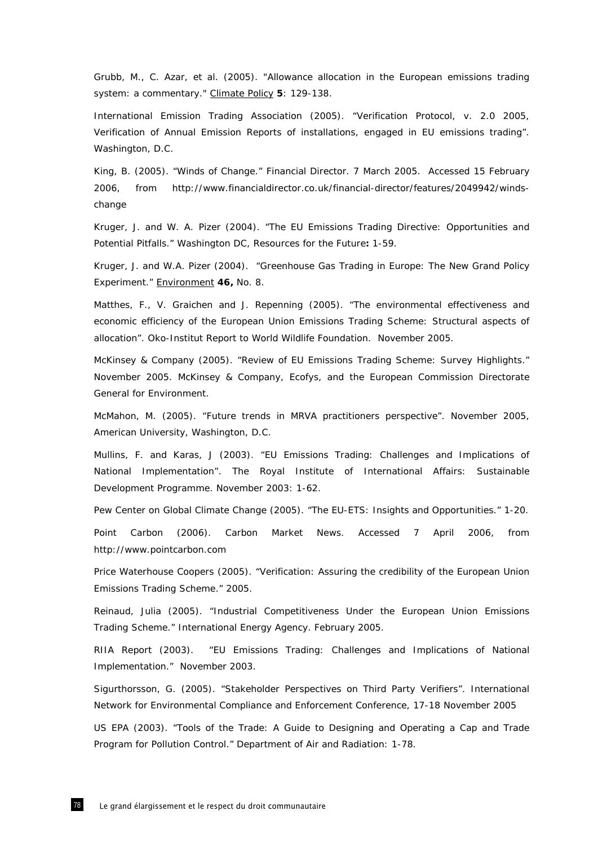Grubb, M., C. Azar, et al. (2005). "Allowance allocation in the European emissions trading system: a commentary." Climate Policy **5**: 129-138.

International Emission Trading Association (2005). "Verification Protocol, v. 2.0 2005, Verification of Annual Emission Reports of installations, engaged in EU emissions trading". Washington, D.C.

King, B. (2005). "Winds of Change." Financial Director. 7 March 2005. Accessed 15 February 2006, from http://www.financialdirector.co.uk/financial-director/features/2049942/windschange

Kruger, J. and W. A. Pizer (2004). "The EU Emissions Trading Directive: Opportunities and Potential Pitfalls." Washington DC, Resources for the Future**:** 1-59.

Kruger, J. and W.A. Pizer (2004). "Greenhouse Gas Trading in Europe: The New Grand Policy Experiment." Environment **46,** No. 8.

Matthes, F., V. Graichen and J. Repenning (2005). "The environmental effectiveness and economic efficiency of the European Union Emissions Trading Scheme: Structural aspects of allocation". Oko-Institut Report to World Wildlife Foundation. November 2005.

McKinsey & Company (2005). "Review of EU Emissions Trading Scheme: Survey Highlights." November 2005. McKinsey & Company, Ecofys, and the European Commission Directorate General for Environment.

McMahon, M. (2005). "Future trends in MRVA practitioners perspective". November 2005, American University, Washington, D.C.

Mullins, F. and Karas, J (2003). "EU Emissions Trading: Challenges and Implications of National Implementation". The Royal Institute of International Affairs: Sustainable Development Programme. November 2003: 1-62.

Pew Center on Global Climate Change (2005). "The EU-ETS: Insights and Opportunities." 1-20.

Point Carbon (2006). Carbon Market News. Accessed 7 April 2006, from http://www.pointcarbon.com

Price Waterhouse Coopers (2005). "Verification: Assuring the credibility of the European Union Emissions Trading Scheme." 2005.

Reinaud, Julia (2005). "Industrial Competitiveness Under the European Union Emissions Trading Scheme." International Energy Agency. February 2005.

RIIA Report (2003). "EU Emissions Trading: Challenges and Implications of National Implementation." November 2003.

Sigurthorsson, G. (2005). "Stakeholder Perspectives on Third Party Verifiers". International Network for Environmental Compliance and Enforcement Conference, 17-18 November 2005

US EPA (2003). "Tools of the Trade: A Guide to Designing and Operating a Cap and Trade Program for Pollution Control." Department of Air and Radiation: 1-78.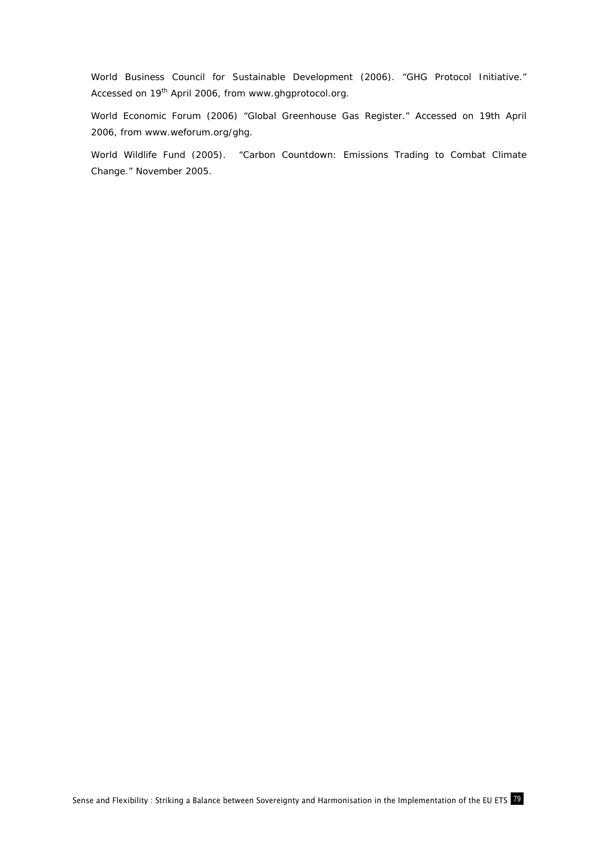World Business Council for Sustainable Development (2006). "GHG Protocol Initiative." Accessed on 19<sup>th</sup> April 2006, from www.ghgprotocol.org.

World Economic Forum (2006) "Global Greenhouse Gas Register." Accessed on 19th April 2006, from www.weforum.org/ghg.

World Wildlife Fund (2005). "Carbon Countdown: Emissions Trading to Combat Climate Change." November 2005.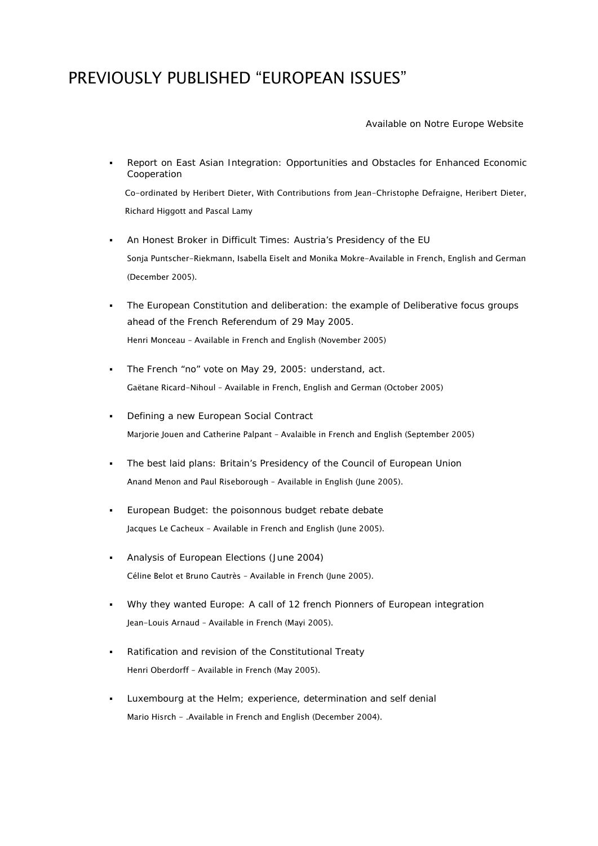## PREVIOUSLY PUBLISHED "EUROPEAN ISSUES"

Available on Notre Europe Website

 Report on East Asian Integration: Opportunities and Obstacles for Enhanced Economic Cooperation

Co-ordinated by Heribert Dieter, With Contributions from Jean-Christophe Defraigne, Heribert Dieter, Richard Higgott and Pascal Lamy

- An Honest Broker in Difficult Times: Austria's Presidency of the EU Sonja Puntscher-Riekmann, Isabella Eiselt and Monika Mokre-Available in French, English and German (December 2005).
- The European Constitution and deliberation: the example of Deliberative focus groups ahead of the French Referendum of 29 May 2005. Henri Monceau – Available in French and English (November 2005)
- The French "no" vote on May 29, 2005: understand, act. Gaëtane Ricard-Nihoul – Available in French, English and German (October 2005)
- **•** Defining a new European Social Contract Marjorie Jouen and Catherine Palpant – Avalaible in French and English (September 2005)
- The best laid plans: Britain's Presidency of the Council of European Union Anand Menon and Paul Riseborough – Available in English (June 2005).
- European Budget: the poisonnous budget rebate debate Jacques Le Cacheux – Available in French and English (June 2005).
- Analysis of European Elections (June 2004) Céline Belot et Bruno Cautrès - Available in French (June 2005).
- Why they wanted Europe: A call of 12 french Pionners of European integration Jean-Louis Arnaud – Available in French (Mayi 2005).
- Ratification and revision of the Constitutional Treaty Henri Oberdorff – Available in French (May 2005).
- Luxembourg at the Helm; experience, determination and self denial Mario Hisrch - .Available in French and English (December 2004).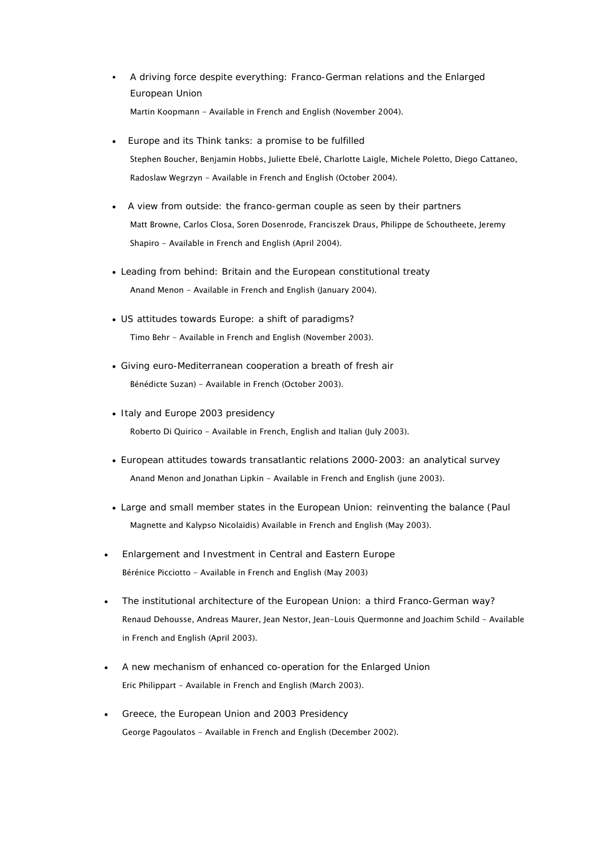- A driving force despite everything: Franco-German relations and the Enlarged European Union Martin Koopmann - Available in French and English (November 2004).
- Europe and its Think tanks: a promise to be fulfilled Stephen Boucher, Benjamin Hobbs, Juliette Ebelé, Charlotte Laigle, Michele Poletto, Diego Cattaneo, Radoslaw Wegrzyn - Available in French and English (October 2004).
- A view from outside: the franco-german couple as seen by their partners Matt Browne, Carlos Closa, Soren Dosenrode, Franciszek Draus, Philippe de Schoutheete, Jeremy Shapiro - Available in French and English (April 2004).
- Leading from behind: Britain and the European constitutional treaty Anand Menon - Available in French and English (January 2004).
- US attitudes towards Europe: a shift of paradigms? Timo Behr - Available in French and English (November 2003).
- Giving euro-Mediterranean cooperation a breath of fresh air Bénédicte Suzan) - Available in French (October 2003).
- Italy and Europe 2003 presidency Roberto Di Quirico - Available in French, English and Italian (July 2003).
- European attitudes towards transatlantic relations 2000-2003: an analytical survey Anand Menon and Jonathan Lipkin - Available in French and English (june 2003).
- Large and small member states in the European Union: reinventing the balance (Paul Magnette and Kalypso Nicolaïdis) Available in French and English (May 2003).
- Enlargement and Investment in Central and Eastern Europe Bérénice Picciotto - Available in French and English (May 2003)
- The institutional architecture of the European Union: a third Franco-German way? Renaud Dehousse, Andreas Maurer, Jean Nestor, Jean-Louis Quermonne and Joachim Schild - Available in French and English (April 2003).
- A new mechanism of enhanced co-operation for the Enlarged Union Eric Philippart - Available in French and English (March 2003).
- Greece, the European Union and 2003 Presidency George Pagoulatos - Available in French and English (December 2002).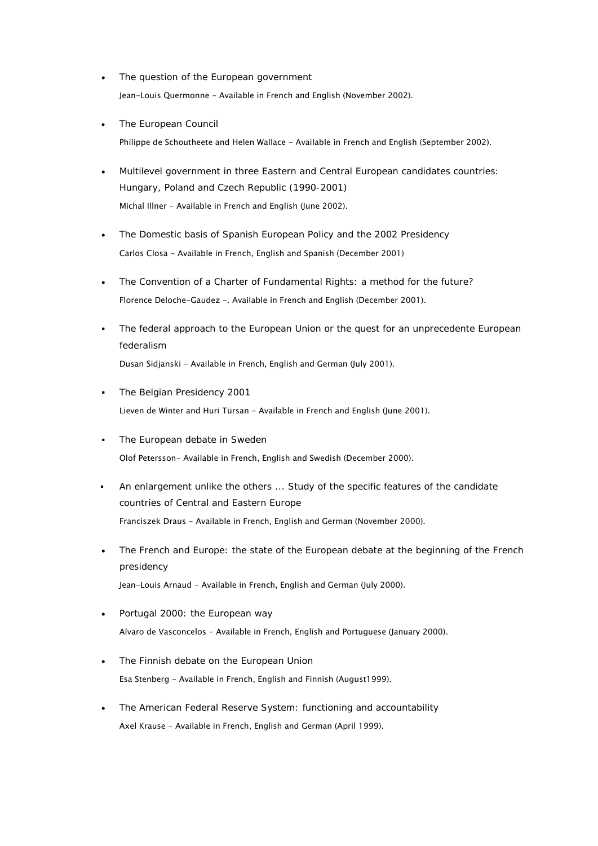- The question of the European government Jean-Louis Quermonne - Available in French and English (November 2002).
- The European Council Philippe de Schoutheete and Helen Wallace - Available in French and English (September 2002).
- Multilevel government in three Eastern and Central European candidates countries: Hungary, Poland and Czech Republic (1990-2001) Michal Illner - Available in French and English (June 2002).
- The Domestic basis of Spanish European Policy and the 2002 Presidency Carlos Closa - Available in French, English and Spanish (December 2001)
- The Convention of a Charter of Fundamental Rights: a method for the future? Florence Deloche-Gaudez -. Available in French and English (December 2001).
- The federal approach to the European Union or the quest for an unprecedente European federalism Dusan Sidjanski - Available in French, English and German (July 2001).
- The Belgian Presidency 2001 Lieven de Winter and Huri Türsan - Available in French and English (June 2001).
- The European debate in Sweden Olof Petersson- Available in French, English and Swedish (December 2000).
- An enlargement unlike the others ... Study of the specific features of the candidate countries of Central and Eastern Europe Franciszek Draus - Available in French, English and German (November 2000).
- The French and Europe: the state of the European debate at the beginning of the French presidency Jean-Louis Arnaud - Available in French, English and German (July 2000).
- Portugal 2000: the European way Alvaro de Vasconcelos - Available in French, English and Portuguese (January 2000).
- The Finnish debate on the European Union Esa Stenberg - Available in French, English and Finnish (August1999).
- The American Federal Reserve System: functioning and accountability Axel Krause - Available in French, English and German (April 1999).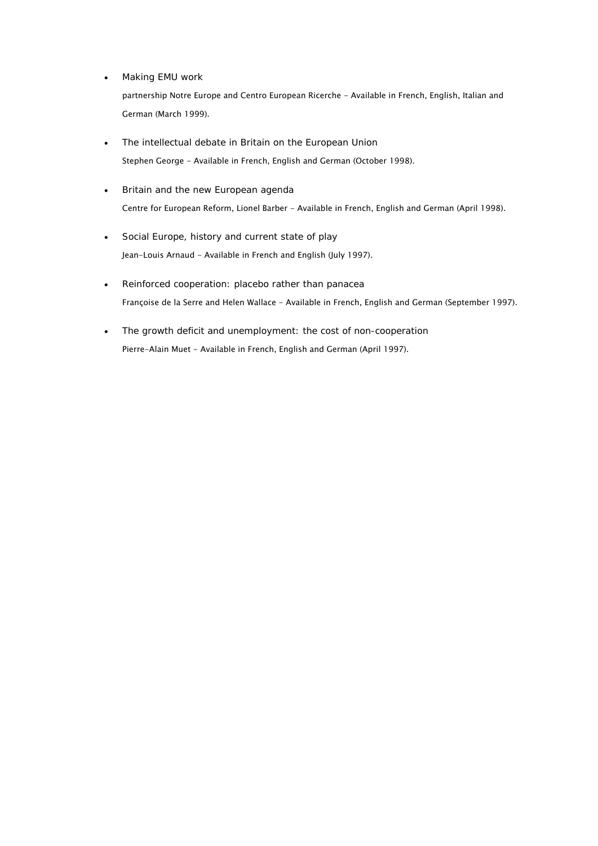• Making EMU work

partnership Notre Europe and Centro European Ricerche - Available in French, English, Italian and German (March 1999).

- The intellectual debate in Britain on the European Union Stephen George - Available in French, English and German (October 1998).
- Britain and the new European agenda Centre for European Reform, Lionel Barber - Available in French, English and German (April 1998).
- Social Europe, history and current state of play Jean-Louis Arnaud - Available in French and English (July 1997).
- Reinforced cooperation: placebo rather than panacea Françoise de la Serre and Helen Wallace - Available in French, English and German (September 1997).
- The growth deficit and unemployment: the cost of non-cooperation Pierre-Alain Muet - Available in French, English and German (April 1997).